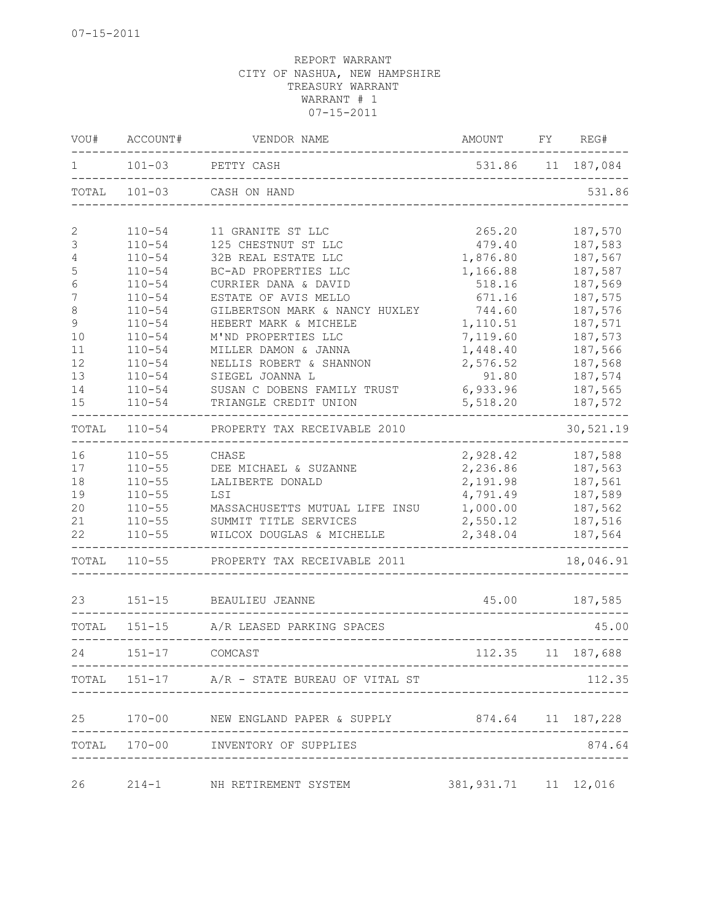| VOU#        | ACCOUNT#   | VENDOR NAME                                            | AMOUNT                             | FY. | REG#              |
|-------------|------------|--------------------------------------------------------|------------------------------------|-----|-------------------|
| 1           | $101 - 03$ | PETTY CASH                                             |                                    |     | 531.86 11 187,084 |
| TOTAL       | $101 - 03$ | CASH ON HAND                                           |                                    |     | 531.86            |
| 2           | $110 - 54$ | 11 GRANITE ST LLC                                      | 265.20                             |     | 187,570           |
| 3           | $110 - 54$ | 125 CHESTNUT ST LLC                                    | 479.40                             |     | 187,583           |
| $\sqrt{4}$  | $110 - 54$ | 32B REAL ESTATE LLC                                    | 1,876.80                           |     | 187,567           |
| 5           | $110 - 54$ | BC-AD PROPERTIES LLC                                   | 1,166.88                           |     | 187,587           |
| $\epsilon$  | $110 - 54$ | CURRIER DANA & DAVID                                   | 518.16                             |     | 187,569           |
| 7           | $110 - 54$ | ESTATE OF AVIS MELLO                                   | 671.16                             |     | 187,575           |
| $\,8\,$     | $110 - 54$ | GILBERTSON MARK & NANCY HUXLEY                         | 744.60                             |     | 187,576           |
| $\mathsf 9$ | $110 - 54$ | HEBERT MARK & MICHELE                                  | 1,110.51                           |     | 187,571           |
| 10          | $110 - 54$ | M'ND PROPERTIES LLC                                    | 7,119.60                           |     | 187,573           |
| 11          | $110 - 54$ | MILLER DAMON & JANNA                                   | 1,448.40                           |     | 187,566           |
| 12          | $110 - 54$ | NELLIS ROBERT & SHANNON                                | 2,576.52                           |     | 187,568           |
| 13          | $110 - 54$ | SIEGEL JOANNA L                                        | 91.80                              |     | 187,574           |
| 14          | $110 - 54$ | SUSAN C DOBENS FAMILY TRUST                            | 6,933.96                           |     | 187,565           |
| 15          | $110 - 54$ | TRIANGLE CREDIT UNION                                  | 5,518.20                           |     | 187,572           |
| TOTAL       | $110 - 54$ | PROPERTY TAX RECEIVABLE 2010                           |                                    |     | 30,521.19         |
| 16          | $110 - 55$ | CHASE                                                  | 2,928.42                           |     | 187,588           |
| 17          | $110 - 55$ | DEE MICHAEL & SUZANNE                                  | 2,236.86                           |     | 187,563           |
| 18          | $110 - 55$ | LALIBERTE DONALD                                       | 2,191.98                           |     | 187,561           |
| 19          | $110 - 55$ | LSI                                                    | 4,791.49                           |     | 187,589           |
| 20          | $110 - 55$ | MASSACHUSETTS MUTUAL LIFE INSU                         | 1,000.00                           |     | 187,562           |
| 21          | $110 - 55$ | SUMMIT TITLE SERVICES                                  | 2,550.12                           |     | 187,516           |
| 22          | $110 - 55$ | WILCOX DOUGLAS & MICHELLE                              | 2,348.04                           |     | 187,564           |
| TOTAL       | $110 - 55$ | PROPERTY TAX RECEIVABLE 2011                           |                                    |     | 18,046.91         |
| 23          | $151 - 15$ | BEAULIEU JEANNE                                        | 45.00                              |     | 187,585           |
| TOTAL       | $151 - 15$ | A/R LEASED PARKING SPACES                              |                                    |     | 45.00             |
| 24          | $151 - 17$ | COMCAST                                                |                                    |     | 112.35 11 187,688 |
|             |            |                                                        |                                    |     |                   |
|             |            | TOTAL 151-17 A/R - STATE BUREAU OF VITAL ST            |                                    |     | 112.35            |
|             |            | 25 170-00 NEW ENGLAND PAPER & SUPPLY 874.64 11 187,228 |                                    |     |                   |
|             |            | TOTAL 170-00 INVENTORY OF SUPPLIES                     | ---------------------------------- |     | 874.64            |
| 26          |            | 214-1 NH RETIREMENT SYSTEM                             | 381, 931.71 11 12, 016             |     |                   |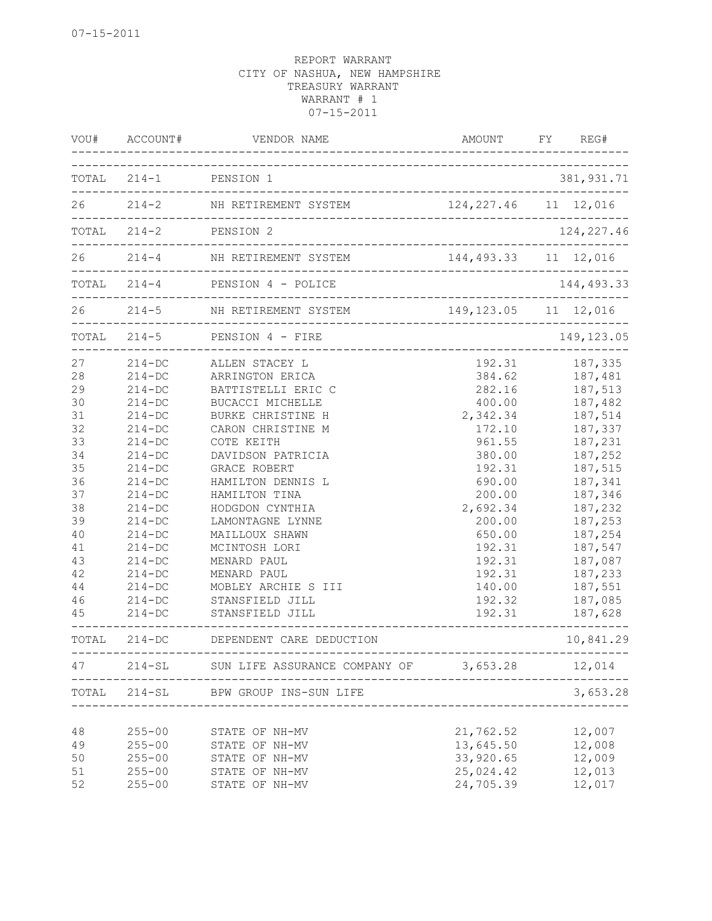| VOU#                                                                                                                 | ACCOUNT#                                                                                                                                                                                                                                                     | VENDOR NAME                                                                                                                                                                                                                                                                                                                                                                                | AMOUNT                                                                                                                                                                                                   | FY | REG#                                                                                                                                                                                                                     |
|----------------------------------------------------------------------------------------------------------------------|--------------------------------------------------------------------------------------------------------------------------------------------------------------------------------------------------------------------------------------------------------------|--------------------------------------------------------------------------------------------------------------------------------------------------------------------------------------------------------------------------------------------------------------------------------------------------------------------------------------------------------------------------------------------|----------------------------------------------------------------------------------------------------------------------------------------------------------------------------------------------------------|----|--------------------------------------------------------------------------------------------------------------------------------------------------------------------------------------------------------------------------|
|                                                                                                                      | TOTAL 214-1 PENSION 1                                                                                                                                                                                                                                        |                                                                                                                                                                                                                                                                                                                                                                                            |                                                                                                                                                                                                          |    | 381, 931.71                                                                                                                                                                                                              |
|                                                                                                                      |                                                                                                                                                                                                                                                              | 26 214-2 NH RETIREMENT SYSTEM                                                                                                                                                                                                                                                                                                                                                              | 124, 227.46 11 12, 016                                                                                                                                                                                   |    |                                                                                                                                                                                                                          |
|                                                                                                                      | $TOTAL 214-2$                                                                                                                                                                                                                                                | PENSION 2<br>-------------------------------------                                                                                                                                                                                                                                                                                                                                         |                                                                                                                                                                                                          |    | 124, 227.46                                                                                                                                                                                                              |
| 26                                                                                                                   |                                                                                                                                                                                                                                                              | 214-4 NH RETIREMENT SYSTEM                                                                                                                                                                                                                                                                                                                                                                 | 144, 493.33 11 12, 016                                                                                                                                                                                   |    |                                                                                                                                                                                                                          |
|                                                                                                                      | $TOTAL 214-4$                                                                                                                                                                                                                                                | PENSION 4 - POLICE                                                                                                                                                                                                                                                                                                                                                                         |                                                                                                                                                                                                          |    | 144, 493.33                                                                                                                                                                                                              |
|                                                                                                                      | $26$ $214-5$                                                                                                                                                                                                                                                 | NH RETIREMENT SYSTEM                                                                                                                                                                                                                                                                                                                                                                       | 149, 123.05 11 12, 016                                                                                                                                                                                   |    |                                                                                                                                                                                                                          |
|                                                                                                                      | $TOTAL$ 214-5                                                                                                                                                                                                                                                | PENSION 4 - FIRE<br>----------------------                                                                                                                                                                                                                                                                                                                                                 |                                                                                                                                                                                                          |    | 149, 123.05                                                                                                                                                                                                              |
| 27<br>28<br>29<br>30<br>31<br>32<br>33<br>34<br>35<br>36<br>37<br>38<br>39<br>40<br>41<br>43<br>42<br>44<br>46<br>45 | $214 - DC$<br>$214 - DC$<br>$214 - DC$<br>$214 - DC$<br>$214-DC$<br>$214-DC$<br>$214-DC$<br>$214-DC$<br>$214-DC$<br>$214-DC$<br>$214 - DC$<br>$214-DC$<br>$214-DC$<br>$214 - DC$<br>$214-DC$<br>$214 - DC$<br>$214-DC$<br>$214 - DC$<br>$214-DC$<br>$214-DC$ | ALLEN STACEY L<br>ARRINGTON ERICA<br>BATTISTELLI ERIC C<br>BUCACCI MICHELLE<br>BURKE CHRISTINE H<br>CARON CHRISTINE M<br>COTE KEITH<br>DAVIDSON PATRICIA<br><b>GRACE ROBERT</b><br>HAMILTON DENNIS L<br>HAMILTON TINA<br>HODGDON CYNTHIA<br>LAMONTAGNE LYNNE<br>MAILLOUX SHAWN<br>MCINTOSH LORI<br>MENARD PAUL<br>MENARD PAUL<br>MOBLEY ARCHIE S III<br>STANSFIELD JILL<br>STANSFIELD JILL | 192.31<br>384.62<br>282.16<br>400.00<br>2,342.34<br>172.10<br>961.55<br>380.00<br>192.31<br>690.00<br>200.00<br>2,692.34<br>200.00<br>650.00<br>192.31<br>192.31<br>192.31<br>140.00<br>192.32<br>192.31 |    | 187,335<br>187,481<br>187,513<br>187,482<br>187,514<br>187,337<br>187,231<br>187,252<br>187,515<br>187,341<br>187,346<br>187,232<br>187,253<br>187,254<br>187,547<br>187,087<br>187,233<br>187,551<br>187,085<br>187,628 |
| TOTAL                                                                                                                | $214 - DC$                                                                                                                                                                                                                                                   | DEPENDENT CARE DEDUCTION                                                                                                                                                                                                                                                                                                                                                                   |                                                                                                                                                                                                          |    | 10,841.29                                                                                                                                                                                                                |
| 47                                                                                                                   | --------------------<br>$214 - SL$                                                                                                                                                                                                                           | SUN LIFE ASSURANCE COMPANY OF                                                                                                                                                                                                                                                                                                                                                              | 3,653.28                                                                                                                                                                                                 |    | 12,014                                                                                                                                                                                                                   |
| TOTAL                                                                                                                | $214 - SL$                                                                                                                                                                                                                                                   | BPW GROUP INS-SUN LIFE                                                                                                                                                                                                                                                                                                                                                                     |                                                                                                                                                                                                          |    | 3,653.28                                                                                                                                                                                                                 |
| 48<br>49<br>50<br>51<br>52                                                                                           | $255 - 00$<br>$255 - 00$<br>$255 - 00$<br>$255 - 00$<br>$255 - 00$                                                                                                                                                                                           | STATE OF NH-MV<br>STATE OF NH-MV<br>STATE OF NH-MV<br>STATE OF NH-MV<br>STATE OF NH-MV                                                                                                                                                                                                                                                                                                     | 21,762.52<br>13,645.50<br>33,920.65<br>25,024.42<br>24,705.39                                                                                                                                            |    | 12,007<br>12,008<br>12,009<br>12,013<br>12,017                                                                                                                                                                           |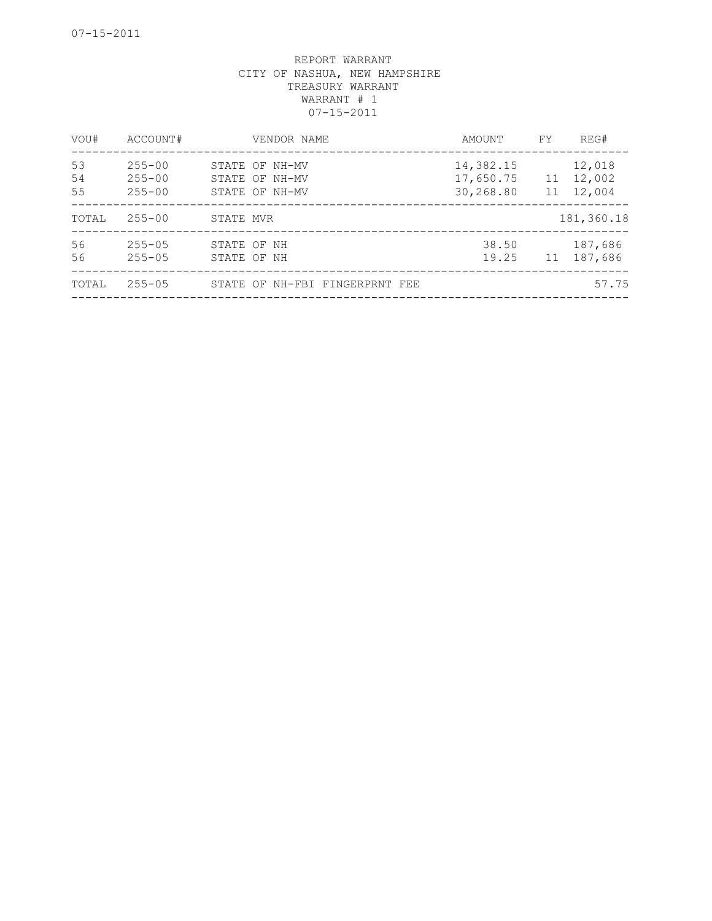| VOU#           | ACCOUNT#                               |           | VENDOR NAME                                        | AMOUNT                              | FY. | REG#                          |
|----------------|----------------------------------------|-----------|----------------------------------------------------|-------------------------------------|-----|-------------------------------|
| 53<br>54<br>55 | $255 - 00$<br>$255 - 00$<br>$255 - 00$ |           | STATE OF NH-MV<br>STATE OF NH-MV<br>STATE OF NH-MV | 14,382.15<br>17,650.75<br>30,268.80 | 11  | 12,018<br>11 12,002<br>12,004 |
| TOTAL          | $255 - 00$                             | STATE MVR |                                                    |                                     |     | 181,360.18                    |
| 56<br>56       | $255 - 05$<br>$255 - 05$               |           | STATE OF NH<br>STATE OF NH                         | 38.50<br>19.25                      | 11  | 187,686<br>187,686            |
| TOTAL          | $255 - 05$                             |           | STATE OF NH-FBI FINGERPRNT FEE                     |                                     |     | 57.75                         |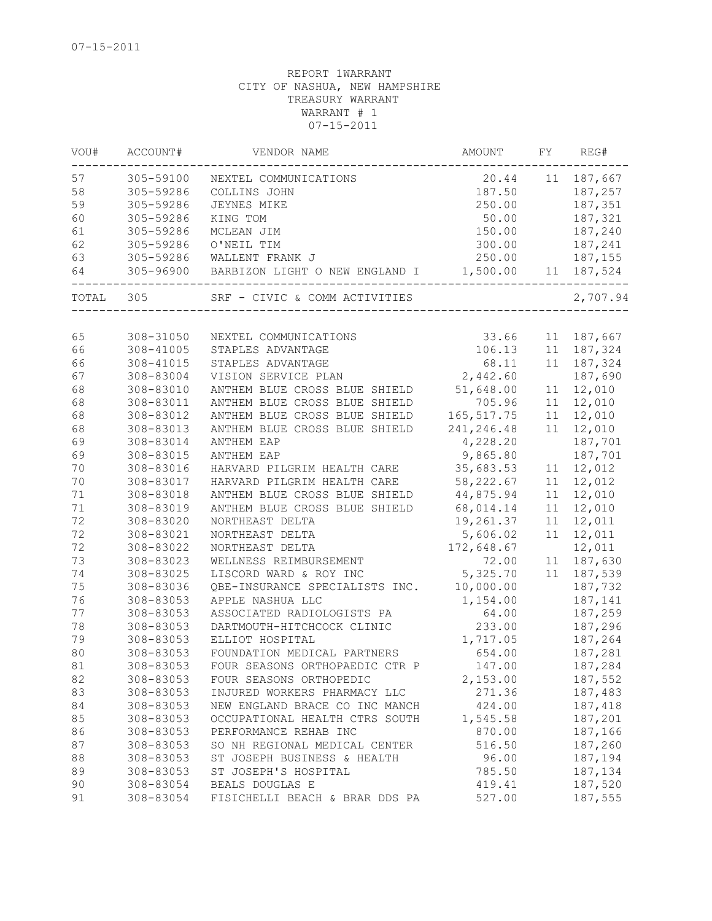| VOU#  | ACCOUNT#  | VENDOR NAME                             | AMOUNT      | FY. | REG#       |
|-------|-----------|-----------------------------------------|-------------|-----|------------|
| 57    | 305-59100 | NEXTEL COMMUNICATIONS                   | 20.44       | 11  | 187,667    |
| 58    | 305-59286 | COLLINS JOHN                            | 187.50      |     | 187,257    |
| 59    | 305-59286 | JEYNES MIKE                             | 250.00      |     | 187,351    |
| 60    | 305-59286 | KING TOM                                | 50.00       |     | 187,321    |
| 61    | 305-59286 | MCLEAN JIM                              | 150.00      |     | 187,240    |
| 62    | 305-59286 | O'NEIL TIM                              | 300.00      |     | 187,241    |
| 63    | 305-59286 | WALLENT FRANK J                         | 250.00      |     | 187,155    |
| 64    | 305-96900 | BARBIZON LIGHT O NEW ENGLAND I 1,500.00 |             | 11  | 187,524    |
| TOTAL | 305       | SRF - CIVIC & COMM ACTIVITIES           |             |     | 2,707.94   |
|       |           |                                         |             |     |            |
| 65    | 308-31050 | NEXTEL COMMUNICATIONS                   | 33.66       |     | 11 187,667 |
| 66    | 308-41005 | STAPLES ADVANTAGE                       | 106.13      |     | 11 187,324 |
| 66    | 308-41015 | STAPLES ADVANTAGE                       | 68.11       |     | 11 187,324 |
| 67    | 308-83004 | VISION SERVICE PLAN                     | 2,442.60    |     | 187,690    |
| 68    | 308-83010 | ANTHEM BLUE CROSS BLUE SHIELD           | 51,648.00   | 11  | 12,010     |
| 68    | 308-83011 | ANTHEM BLUE CROSS BLUE SHIELD           | 705.96      | 11  | 12,010     |
| 68    | 308-83012 | ANTHEM BLUE CROSS BLUE SHIELD           | 165, 517.75 | 11  | 12,010     |
| 68    | 308-83013 | ANTHEM BLUE CROSS BLUE SHIELD           | 241, 246.48 | 11  | 12,010     |
| 69    | 308-83014 | ANTHEM EAP                              | 4,228.20    |     | 187,701    |
| 69    | 308-83015 | ANTHEM EAP                              | 9,865.80    |     | 187,701    |
| 70    | 308-83016 | HARVARD PILGRIM HEALTH CARE             | 35,683.53   | 11  | 12,012     |
| 70    | 308-83017 | HARVARD PILGRIM HEALTH CARE             | 58,222.67   | 11  | 12,012     |
| 71    | 308-83018 | ANTHEM BLUE CROSS BLUE SHIELD           | 44,875.94   | 11  | 12,010     |
| 71    | 308-83019 | ANTHEM BLUE CROSS BLUE SHIELD           | 68,014.14   | 11  | 12,010     |
| 72    | 308-83020 | NORTHEAST DELTA                         | 19,261.37   | 11  | 12,011     |
| 72    | 308-83021 | NORTHEAST DELTA                         | 5,606.02    | 11  | 12,011     |
| 72    | 308-83022 | NORTHEAST DELTA                         | 172,648.67  |     | 12,011     |
| 73    | 308-83023 | WELLNESS REIMBURSEMENT                  | 72.00       | 11  | 187,630    |
| 74    | 308-83025 | LISCORD WARD & ROY INC                  | 5,325.70    | 11  | 187,539    |
| 75    | 308-83036 | QBE-INSURANCE SPECIALISTS INC.          | 10,000.00   |     | 187,732    |
| 76    | 308-83053 | APPLE NASHUA LLC                        | 1,154.00    |     | 187,141    |
| 77    | 308-83053 | ASSOCIATED RADIOLOGISTS PA              | 64.00       |     | 187,259    |
| 78    | 308-83053 | DARTMOUTH-HITCHCOCK CLINIC              | 233.00      |     | 187,296    |
| 79    | 308-83053 | ELLIOT HOSPITAL                         | 1,717.05    |     | 187,264    |
| 80    | 308-83053 | FOUNDATION MEDICAL PARTNERS             | 654.00      |     | 187,281    |
| 81    | 308-83053 | FOUR SEASONS ORTHOPAEDIC CTR P          | 147.00      |     | 187,284    |
| 82    | 308-83053 | FOUR SEASONS ORTHOPEDIC                 | 2,153.00    |     | 187,552    |
| 83    | 308-83053 | INJURED WORKERS PHARMACY LLC            | 271.36      |     | 187,483    |
| 84    | 308-83053 | NEW ENGLAND BRACE CO INC MANCH          | 424.00      |     | 187,418    |
| 85    | 308-83053 | OCCUPATIONAL HEALTH CTRS SOUTH          | 1,545.58    |     | 187,201    |
| 86    | 308-83053 | PERFORMANCE REHAB INC                   | 870.00      |     | 187,166    |
| 87    | 308-83053 | SO NH REGIONAL MEDICAL CENTER           | 516.50      |     | 187,260    |
| 88    | 308-83053 | ST JOSEPH BUSINESS & HEALTH             | 96.00       |     | 187,194    |
| 89    | 308-83053 | ST JOSEPH'S HOSPITAL                    | 785.50      |     | 187,134    |
| 90    | 308-83054 | BEALS DOUGLAS E                         | 419.41      |     | 187,520    |
| 91    | 308-83054 | FISICHELLI BEACH & BRAR DDS PA          | 527.00      |     | 187,555    |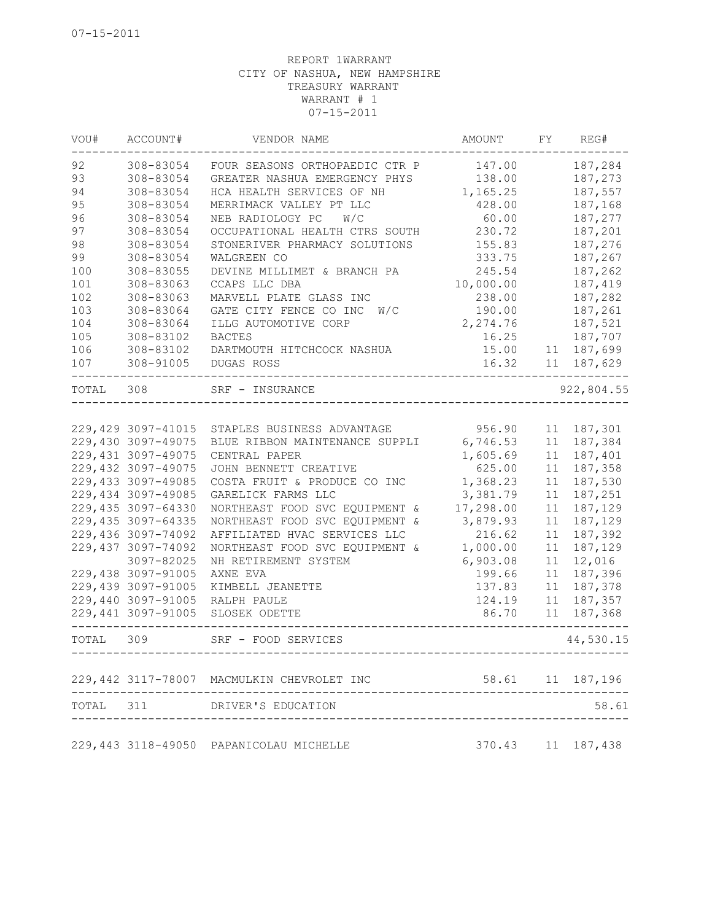| VOU#      | ACCOUNT#            | VENDOR NAME                                  | AMOUNT    | FY | REG#                  |
|-----------|---------------------|----------------------------------------------|-----------|----|-----------------------|
| 92        | 308-83054           | FOUR SEASONS ORTHOPAEDIC CTR P               | 147.00    |    | 187,284               |
| 93        | 308-83054           | GREATER NASHUA EMERGENCY PHYS                | 138.00    |    | 187,273               |
| 94        | 308-83054           | HCA HEALTH SERVICES OF NH                    | 1,165.25  |    | 187,557               |
| 95        | 308-83054           | MERRIMACK VALLEY PT LLC                      | 428.00    |    | 187,168               |
| 96        | 308-83054           | NEB RADIOLOGY PC<br>W/C                      | 60.00     |    | 187,277               |
| 97        | 308-83054           | OCCUPATIONAL HEALTH CTRS SOUTH               | 230.72    |    | 187,201               |
| 98        | 308-83054           | STONERIVER PHARMACY SOLUTIONS                | 155.83    |    | 187,276               |
| 99        | 308-83054           | WALGREEN CO                                  | 333.75    |    | 187,267               |
| 100       | 308-83055           | DEVINE MILLIMET & BRANCH PA                  | 245.54    |    | 187,262               |
| 101       | 308-83063           | CCAPS LLC DBA                                | 10,000.00 |    | 187,419               |
| 102       | 308-83063           | MARVELL PLATE GLASS INC                      | 238.00    |    | 187,282               |
| 103       | 308-83064           | GATE CITY FENCE CO INC<br>W/C                | 190.00    |    | 187,261               |
| 104       | 308-83064           | ILLG AUTOMOTIVE CORP                         | 2,274.76  |    | 187,521               |
| 105       | 308-83102           | <b>BACTES</b>                                | 16.25     |    | 187,707               |
| 106       | 308-83102           | DARTMOUTH HITCHCOCK NASHUA                   | 15.00     | 11 | 187,699               |
| 107       | 308-91005           | DUGAS ROSS                                   | 16.32     | 11 | 187,629               |
| TOTAL 308 |                     | SRF - INSURANCE                              |           |    | 922,804.55            |
|           |                     |                                              |           |    |                       |
|           | 229, 429 3097-41015 | STAPLES BUSINESS ADVANTAGE                   | 956.90    | 11 | 187,301               |
|           | 229,430 3097-49075  | BLUE RIBBON MAINTENANCE SUPPLI               | 6,746.53  | 11 | 187,384               |
|           | 229,431 3097-49075  | CENTRAL PAPER                                | 1,605.69  | 11 | 187,401               |
|           | 229,432 3097-49075  | JOHN BENNETT CREATIVE                        | 625.00    | 11 | 187,358               |
|           | 229,433 3097-49085  | COSTA FRUIT & PRODUCE CO INC                 | 1,368.23  | 11 | 187,530               |
|           | 229,434 3097-49085  | GARELICK FARMS LLC                           | 3,381.79  | 11 | 187,251               |
|           | 229,435 3097-64330  | NORTHEAST FOOD SVC EQUIPMENT &               | 17,298.00 | 11 | 187,129               |
|           | 229, 435 3097-64335 | NORTHEAST FOOD SVC EQUIPMENT &               | 3,879.93  | 11 | 187,129               |
|           | 229,436 3097-74092  | AFFILIATED HVAC SERVICES LLC                 | 216.62    | 11 | 187,392               |
|           | 229,437 3097-74092  | NORTHEAST FOOD SVC EQUIPMENT &               | 1,000.00  | 11 | 187,129               |
|           | 3097-82025          | NH RETIREMENT SYSTEM                         | 6,903.08  | 11 | 12,016                |
|           | 229,438 3097-91005  | AXNE EVA                                     | 199.66    | 11 | 187,396               |
|           | 229,439 3097-91005  | KIMBELL JEANETTE                             | 137.83    | 11 | 187,378               |
|           | 229,440 3097-91005  | RALPH PAULE                                  | 124.19    | 11 | 187,357               |
|           | 229,441 3097-91005  | SLOSEK ODETTE                                | 86.70     | 11 | 187,368               |
| TOTAL 309 | ----------          | SRF - FOOD SERVICES<br>--------------------- |           |    | 44,530.15             |
|           |                     | 229,442 3117-78007 MACMULKIN CHEVROLET INC   |           |    | 58.61 11 187,196      |
| TOTAL     | 311                 | DRIVER'S EDUCATION                           |           |    | 58.61                 |
|           |                     |                                              |           |    |                       |
|           |                     | 229,443 3118-49050 PAPANICOLAU MICHELLE      |           |    | 370.43   11   187,438 |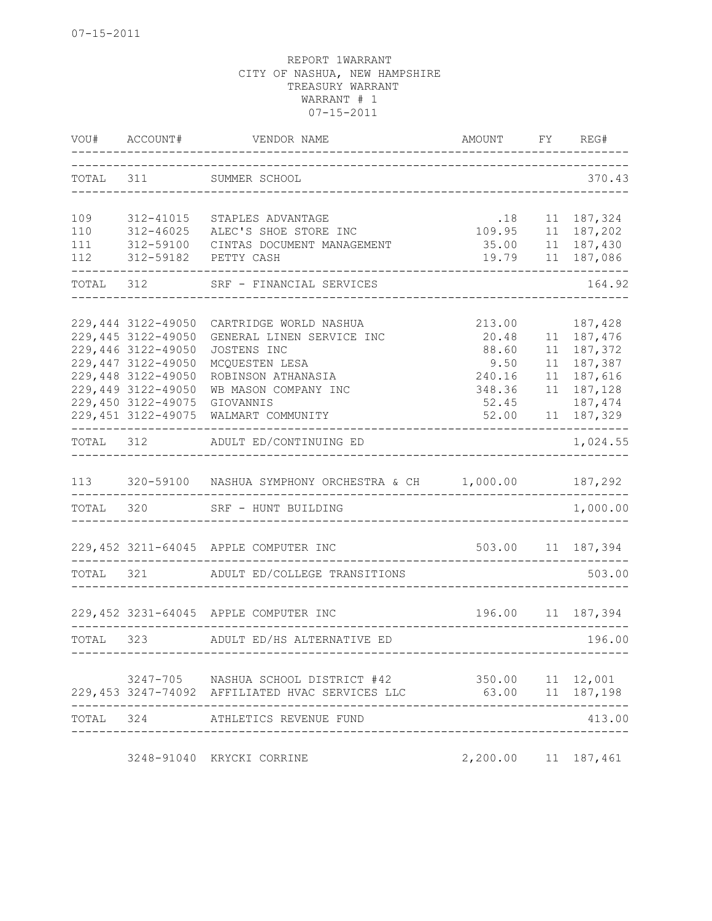|            | VOU# ACCOUNT#                            | VENDOR NAME<br>--------------------                                                    | AMOUNT FY REG#            |    |                          |
|------------|------------------------------------------|----------------------------------------------------------------------------------------|---------------------------|----|--------------------------|
| TOTAL 311  |                                          | SUMMER SCHOOL<br>____________________________                                          |                           |    | 370.43                   |
| 109        | 312-41015                                | STAPLES ADVANTAGE                                                                      | .18                       |    | 11 187,324               |
| 110<br>111 | 312-46025<br>312-59100                   | ALEC'S SHOE STORE INC<br>CINTAS DOCUMENT MANAGEMENT                                    | 35.00 11 187,430          |    | 109.95 11 187,202        |
| 112        | 312-59182                                | PETTY CASH                                                                             | 19.79                     |    | 11 187,086               |
| TOTAL 312  |                                          | SRF - FINANCIAL SERVICES                                                               |                           |    | 164.92                   |
|            | 229,444 3122-49050                       | CARTRIDGE WORLD NASHUA                                                                 | 213.00                    |    | 187,428                  |
|            | 229,445 3122-49050                       | GENERAL LINEN SERVICE INC                                                              | 20.48                     |    | 11 187,476               |
|            | 229,446 3122-49050                       | JOSTENS INC                                                                            | 88.60                     |    | 11 187, 372              |
|            | 229,447 3122-49050<br>229,448 3122-49050 | MCQUESTEN LESA<br>ROBINSON ATHANASIA                                                   | 9.50<br>240.16            |    | 11 187,387<br>11 187,616 |
|            | 229,449 3122-49050                       | WB MASON COMPANY INC                                                                   | 348.36                    | 11 | 187,128                  |
|            | 229,450 3122-49075                       | GIOVANNIS                                                                              | 52.45                     |    | 187,474                  |
|            |                                          | 229,451 3122-49075 WALMART COMMUNITY                                                   | 52.00                     |    | 11 187,329               |
| TOTAL 312  |                                          | ADULT ED/CONTINUING ED                                                                 |                           |    | 1,024.55                 |
|            |                                          | 113 320-59100 NASHUA SYMPHONY ORCHESTRA & CH 1,000.00                                  |                           |    | 187,292                  |
|            | TOTAL 320                                | SRF - HUNT BUILDING                                                                    |                           |    | 1,000.00                 |
|            |                                          | 229,452 3211-64045 APPLE COMPUTER INC                                                  |                           |    | 503.00 11 187,394        |
|            |                                          | TOTAL 321 ADULT ED/COLLEGE TRANSITIONS                                                 |                           |    | 503.00                   |
|            |                                          | 229,452 3231-64045 APPLE COMPUTER INC                                                  |                           |    | 196.00 11 187,394        |
|            |                                          |                                                                                        |                           |    |                          |
| TOTAL      |                                          | 323 ADULT ED/HS ALTERNATIVE ED                                                         |                           |    | 196.00                   |
|            |                                          | 3247-705 NASHUA SCHOOL DISTRICT #42<br>229,453 3247-74092 AFFILIATED HVAC SERVICES LLC | 350.00 11 12,001<br>63.00 |    | 11 187,198               |
| TOTAL      | 324                                      | ATHLETICS REVENUE FUND                                                                 |                           |    | 413.00                   |
|            |                                          | 3248-91040 KRYCKI CORRINE                                                              | 2,200.00 11 187,461       |    |                          |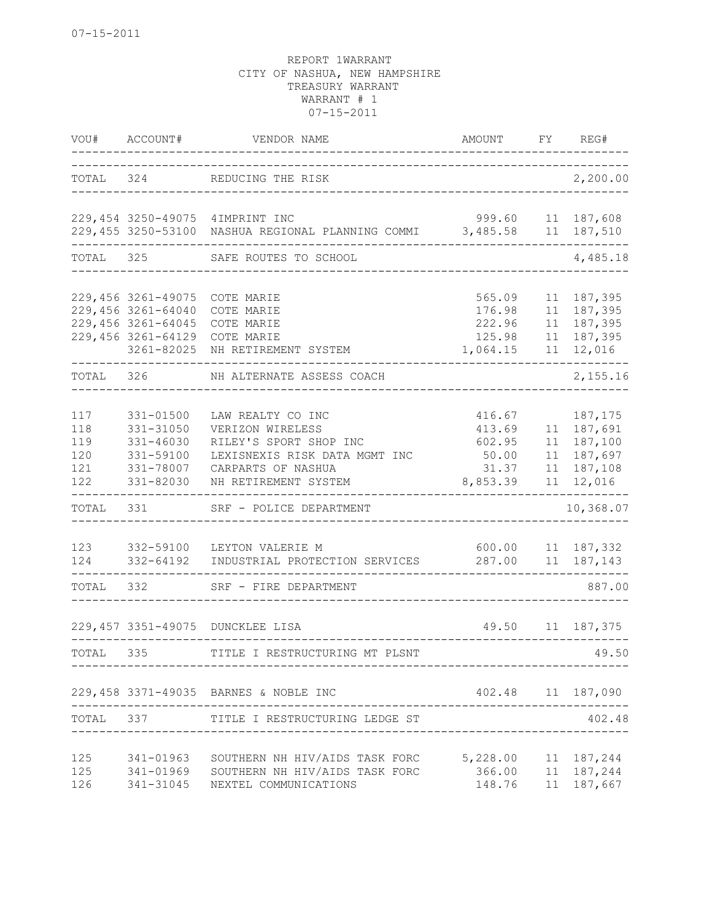| VOU#                                   | ACCOUNT#                                                                                           | VENDOR NAME                                                                                                                                    | AMOUNT                                                   | FY                   | REG#                                                             |
|----------------------------------------|----------------------------------------------------------------------------------------------------|------------------------------------------------------------------------------------------------------------------------------------------------|----------------------------------------------------------|----------------------|------------------------------------------------------------------|
| TOTAL 324                              |                                                                                                    | REDUCING THE RISK                                                                                                                              |                                                          |                      | 2,200.00                                                         |
|                                        |                                                                                                    | 229,454 3250-49075 4IMPRINT INC<br>229,455 3250-53100 NASHUA REGIONAL PLANNING COMMI                                                           | 999.60<br>3,485.58                                       |                      | 11 187,608<br>11 187,510                                         |
| TOTAL                                  | 325                                                                                                | SAFE ROUTES TO SCHOOL                                                                                                                          |                                                          |                      | 4,485.18                                                         |
|                                        | 229,456 3261-49075<br>229,456 3261-64040<br>229,456 3261-64045<br>229,456 3261-64129<br>3261-82025 | COTE MARIE<br>COTE MARIE<br>COTE MARIE<br>COTE MARIE<br>NH RETIREMENT SYSTEM                                                                   | 565.09<br>176.98<br>222.96<br>125.98<br>1,064.15         | 11<br>11<br>11       | 11 187,395<br>11 187,395<br>187,395<br>187,395<br>12,016         |
| TOTAL 326                              |                                                                                                    | NH ALTERNATE ASSESS COACH                                                                                                                      |                                                          |                      | 2,155.16                                                         |
| 117<br>118<br>119<br>120<br>121<br>122 | $331 - 01500$<br>331-31050<br>331-46030<br>331-59100<br>331-78007<br>331-82030                     | LAW REALTY CO INC<br>VERIZON WIRELESS<br>RILEY'S SPORT SHOP INC<br>LEXISNEXIS RISK DATA MGMT INC<br>CARPARTS OF NASHUA<br>NH RETIREMENT SYSTEM | 416.67<br>413.69<br>602.95<br>50.00<br>31.37<br>8,853.39 | 11<br>11<br>11<br>11 | 187,175<br>11 187,691<br>187,100<br>187,697<br>187,108<br>12,016 |
| TOTAL                                  | 331                                                                                                | SRF - POLICE DEPARTMENT                                                                                                                        |                                                          |                      | 10,368.07                                                        |
| 123<br>124<br>TOTAL                    | 332-59100<br>332-64192<br>332                                                                      | LEYTON VALERIE M<br>INDUSTRIAL PROTECTION SERVICES<br>SRF - FIRE DEPARTMENT                                                                    | 600.00                                                   |                      | 11 187,332<br>287.00 11 187,143<br>887.00                        |
|                                        |                                                                                                    | 229,457 3351-49075 DUNCKLEE LISA                                                                                                               |                                                          |                      | 49.50 11 187,375                                                 |
| TOTAL                                  | 335                                                                                                | I RESTRUCTURING MT PLSNT                                                                                                                       |                                                          |                      | 49.50                                                            |
|                                        |                                                                                                    | 229,458 3371-49035 BARNES & NOBLE INC                                                                                                          | 402.48 11 187,090                                        |                      |                                                                  |
| TOTAL                                  |                                                                                                    | 337 TITLE I RESTRUCTURING LEDGE ST                                                                                                             |                                                          |                      | 402.48                                                           |
| 125<br>125<br>126                      |                                                                                                    | 341-01963 SOUTHERN NH HIV/AIDS TASK FORC<br>341-01969 SOUTHERN NH HIV/AIDS TASK FORC<br>341-31045 NEXTEL COMMUNICATIONS                        | 5, 228.00 11 187, 244<br>366.00 11 187, 244<br>148.76    |                      | 11 187,667                                                       |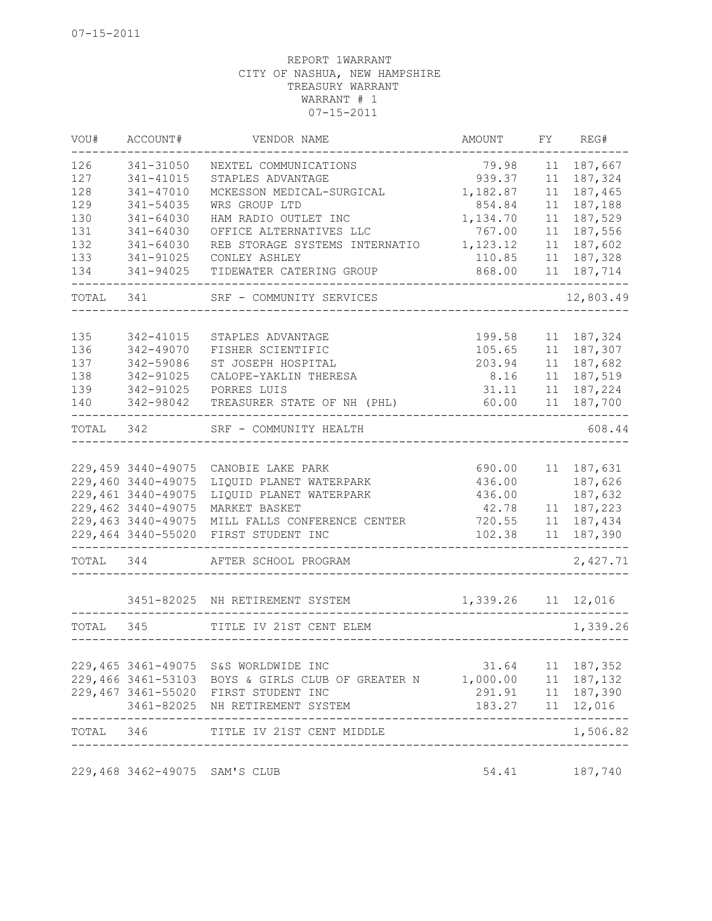| VOU#  | ACCOUNT#                      | VENDOR NAME                                                           | AMOUNT                        | FΥ | REG#                      |
|-------|-------------------------------|-----------------------------------------------------------------------|-------------------------------|----|---------------------------|
| 126   | 341-31050                     | NEXTEL COMMUNICATIONS                                                 | 79.98                         | 11 | 187,667                   |
| 127   | 341-41015                     | STAPLES ADVANTAGE                                                     | 939.37                        | 11 | 187,324                   |
| 128   | 341-47010                     | MCKESSON MEDICAL-SURGICAL                                             | 1,182.87                      | 11 | 187,465                   |
| 129   | 341-54035                     | WRS GROUP LTD                                                         | 854.84                        | 11 | 187,188                   |
| 130   | 341-64030                     | HAM RADIO OUTLET INC                                                  | 1,134.70                      | 11 | 187,529                   |
| 131   | 341-64030                     | OFFICE ALTERNATIVES LLC                                               | 767.00                        | 11 | 187,556                   |
| 132   | 341-64030                     | REB STORAGE SYSTEMS INTERNATIO                                        | 1,123.12                      | 11 | 187,602                   |
| 133   | 341-91025                     | CONLEY ASHLEY                                                         | 110.85                        | 11 | 187,328                   |
| 134   | 341-94025                     | TIDEWATER CATERING GROUP                                              | 868.00                        | 11 | 187,714                   |
| TOTAL | 341                           | SRF - COMMUNITY SERVICES                                              |                               |    | 12,803.49                 |
| 135   | 342-41015                     | STAPLES ADVANTAGE                                                     | 199.58                        | 11 | 187,324                   |
| 136   | 342-49070                     | FISHER SCIENTIFIC                                                     | 105.65                        | 11 | 187,307                   |
| 137   | 342-59086                     | ST JOSEPH HOSPITAL                                                    | 203.94                        | 11 | 187,682                   |
|       |                               |                                                                       |                               |    |                           |
| 138   | 342-91025                     | CALOPE-YAKLIN THERESA                                                 | 8.16                          | 11 | 187,519                   |
| 139   | 342-91025                     | PORRES LUIS                                                           | 31.11                         | 11 | 187,224                   |
| 140   | 342-98042                     | TREASURER STATE OF NH (PHL)                                           | 60.00                         | 11 | 187,700                   |
| TOTAL | 342                           | SRF - COMMUNITY HEALTH                                                |                               |    | 608.44                    |
|       |                               |                                                                       |                               |    |                           |
|       | 229,459 3440-49075            | CANOBIE LAKE PARK                                                     | 690.00                        | 11 | 187,631                   |
|       | 229,460 3440-49075            | LIQUID PLANET WATERPARK                                               | 436.00                        |    | 187,626                   |
|       | 229,461 3440-49075            | LIQUID PLANET WATERPARK                                               | 436.00                        |    | 187,632                   |
|       | 229,462 3440-49075            | MARKET BASKET                                                         | 42.78                         | 11 | 187,223                   |
|       | 229,463 3440-49075            | MILL FALLS CONFERENCE CENTER                                          | 720.55                        | 11 | 187,434                   |
|       | 229,464 3440-55020            | FIRST STUDENT INC                                                     | 102.38                        | 11 | 187,390                   |
| TOTAL | 344                           | AFTER SCHOOL PROGRAM                                                  |                               |    | 2,427.71                  |
|       |                               | 3451-82025 NH RETIREMENT SYSTEM                                       | 1,339.26 11 12,016            |    |                           |
| TOTAL | 345                           | TITLE IV 21ST CENT ELEM                                               |                               |    | 1,339.26                  |
|       |                               |                                                                       |                               |    |                           |
|       |                               | 229,465 3461-49075 S&S WORLDWIDE INC                                  |                               |    | 31.64 11 187,352          |
|       |                               | 229,466 3461-53103 BOYS & GIRLS CLUB OF GREATER N 1,000.00 11 187,132 |                               |    |                           |
|       |                               | 229,467 3461-55020 FIRST STUDENT INC                                  |                               |    | 291.91 11 187,390         |
|       | ---------                     | 3461-82025 NH RETIREMENT SYSTEM                                       | 183.27 11 12,016              |    | . _ _ _ _ _ _ _ _ _ _ _ _ |
|       |                               | TOTAL 346 TITLE IV 21ST CENT MIDDLE                                   | ----------------------------- |    | 1,506.82                  |
|       | 229,468 3462-49075 SAM'S CLUB |                                                                       |                               |    | 54.41 187,740             |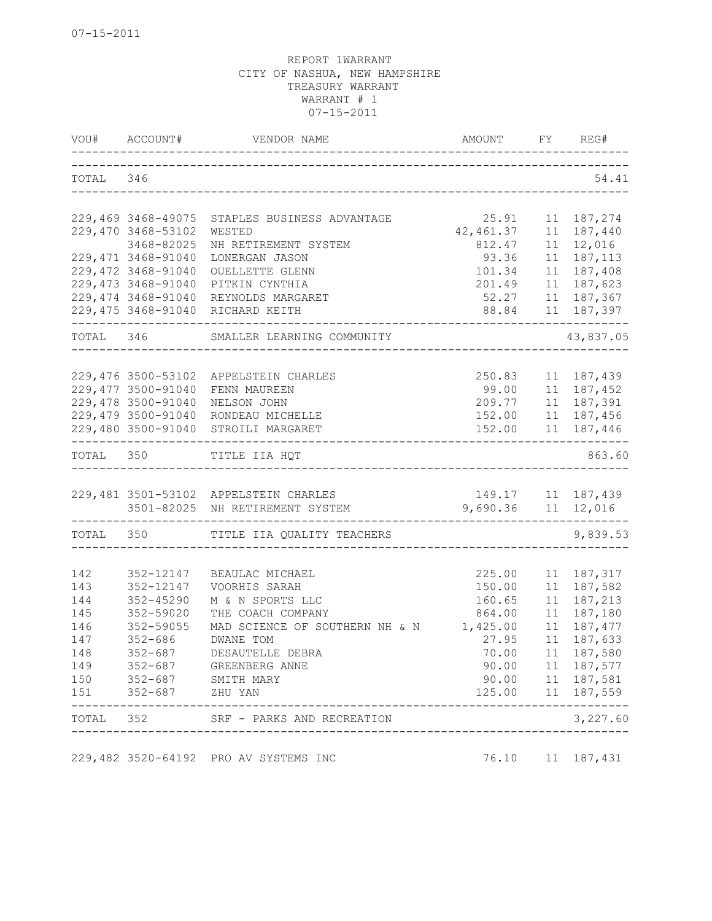|            |                                          | VOU# ACCOUNT# VENDOR NAME                     | AMOUNT FY REG#              |          |                          |
|------------|------------------------------------------|-----------------------------------------------|-----------------------------|----------|--------------------------|
| TOTAL 346  |                                          | _____________________________________         |                             |          | 54.41                    |
|            | 229,469 3468-49075                       | STAPLES BUSINESS ADVANTAGE                    | 25.91                       |          | 11 187,274               |
|            | 229,470 3468-53102                       | WESTED                                        | 42,461.37                   |          | 11 187,440               |
|            | 3468-82025                               | NH RETIREMENT SYSTEM                          | 812.47                      |          | 11 12,016                |
|            | 229, 471 3468-91040                      | LONERGAN JASON                                | 93.36                       | 11       | 187,113                  |
|            | 229,472 3468-91040                       | OUELLETTE GLENN                               | 101.34                      |          | 11 187,408               |
|            | 229,473 3468-91040                       | PITKIN CYNTHIA                                | 201.49<br>52.27             |          | 11 187,623               |
|            | 229,474 3468-91040                       | REYNOLDS MARGARET                             |                             |          | 11 187,367               |
|            |                                          | 229,475 3468-91040 RICHARD KEITH<br>--------- | 88.84<br>__________________ |          | 11 187,397               |
|            |                                          | TOTAL 346 SMALLER LEARNING COMMUNITY          |                             |          | 43,837.05                |
|            |                                          |                                               |                             |          |                          |
|            | 229,476 3500-53102                       | APPELSTEIN CHARLES                            | 250.83                      |          | 11 187,439               |
|            | 229,477 3500-91040                       | FENN MAUREEN                                  | 99.00                       |          | 11 187,452               |
|            | 229,478 3500-91040<br>229,479 3500-91040 | NELSON JOHN<br>RONDEAU MICHELLE               |                             |          | 11 187,391<br>11 187,456 |
|            |                                          | 229,480 3500-91040 STROILI MARGARET           | 209.77<br>152.00<br>152.00  |          | 11 187,446               |
|            |                                          | TOTAL 350 TITLE IIA HQT                       |                             |          | 863.60                   |
|            |                                          | 229,481 3501-53102 APPELSTEIN CHARLES         |                             |          | 149.17   11   187,439    |
|            |                                          | 3501-82025 NH RETIREMENT SYSTEM               | 9,690.36 11 12,016          |          |                          |
| TOTAL 350  |                                          | TITLE IIA QUALITY TEACHERS                    |                             |          | 9,839.53                 |
|            |                                          |                                               |                             |          |                          |
| 142        | 352-12147                                | BEAULAC MICHAEL                               | 225.00                      |          | 11 187, 317              |
| 143        | 352-12147                                | VOORHIS SARAH                                 | 150.00                      |          | 11 187,582               |
| 144<br>145 | $352 - 45290$<br>352-59020               | M & N SPORTS LLC<br>THE COACH COMPANY         | 160.65<br>864.00            | 11<br>11 | 187,213<br>187,180       |
| 146        | 352-59055                                | MAD SCIENCE OF SOUTHERN NH & N                | 1,425.00                    |          | 11 187, 477              |
| 147        | $352 - 686$                              | <b>DWANE TOM</b>                              | 27.95                       | 11       | 187,633                  |
| 148        | $352 - 687$                              | DESAUTELLE DEBRA                              | 70.00                       |          | 11 187,580               |
| 149        | 352-687                                  | GREENBERG ANNE                                | 90.00                       |          | 11 187,577               |
| 150        |                                          | 352-687 SMITH MARY                            | 90.00                       |          | 11 187,581               |
| 151        | $352 - 687$                              | ZHU YAN                                       | 125.00                      |          | 11 187,559               |
| TOTAL      | 352                                      | SRF - PARKS AND RECREATION                    |                             |          | 3,227.60                 |
|            |                                          | 229,482 3520-64192 PRO AV SYSTEMS INC         | 76.10                       |          | 11 187,431               |
|            |                                          |                                               |                             |          |                          |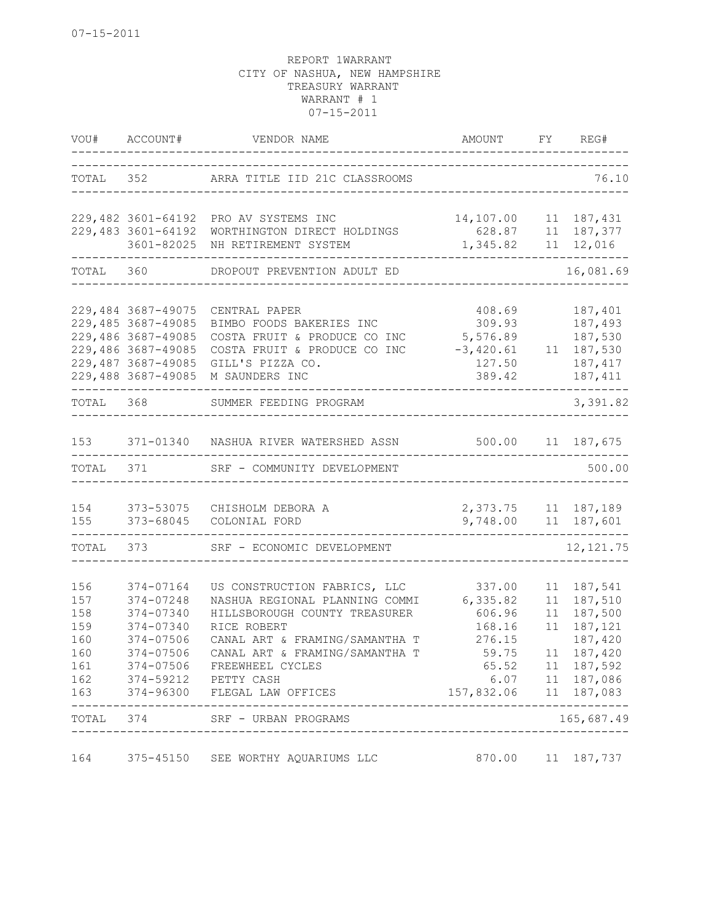|                                                                      | VOU# ACCOUNT#                                                                                                                    | VENDOR NAME                                                                                                                                                                                                                                                                            | AMOUNT FY REG#<br>______________________                                                 |                      |                                                                                                                           |
|----------------------------------------------------------------------|----------------------------------------------------------------------------------------------------------------------------------|----------------------------------------------------------------------------------------------------------------------------------------------------------------------------------------------------------------------------------------------------------------------------------------|------------------------------------------------------------------------------------------|----------------------|---------------------------------------------------------------------------------------------------------------------------|
|                                                                      |                                                                                                                                  | TOTAL 352 ARRA TITLE IID 21C CLASSROOMS                                                                                                                                                                                                                                                |                                                                                          |                      | 76.10                                                                                                                     |
|                                                                      | 229,482 3601-64192<br>229,483 3601-64192                                                                                         | PRO AV SYSTEMS INC<br>WORTHINGTON DIRECT HOLDINGS                                                                                                                                                                                                                                      | 14,107.00<br>628.87                                                                      |                      | 11 187,431<br>11 187, 377                                                                                                 |
|                                                                      | 3601-82025                                                                                                                       | NH RETIREMENT SYSTEM                                                                                                                                                                                                                                                                   | 1,345.82                                                                                 |                      | 11 12,016                                                                                                                 |
| TOTAL                                                                | 360                                                                                                                              | DROPOUT PREVENTION ADULT ED                                                                                                                                                                                                                                                            |                                                                                          |                      | 16,081.69                                                                                                                 |
|                                                                      | 229,484 3687-49075<br>229,485 3687-49085<br>229,486 3687-49085<br>229,486 3687-49085<br>229,487 3687-49085<br>229,488 3687-49085 | CENTRAL PAPER<br>BIMBO FOODS BAKERIES INC<br>COSTA FRUIT & PRODUCE CO INC<br>COSTA FRUIT & PRODUCE CO INC<br>GILL'S PIZZA CO.<br>M SAUNDERS INC                                                                                                                                        | 408.69<br>309.93<br>5,576.89<br>$-3,420.61$<br>127.50<br>389.42                          | 11                   | 187,401<br>187,493<br>187,530<br>187,530<br>187, 417<br>187, 411                                                          |
| TOTAL                                                                | 368                                                                                                                              | SUMMER FEEDING PROGRAM                                                                                                                                                                                                                                                                 |                                                                                          |                      | 3,391.82                                                                                                                  |
| 153                                                                  |                                                                                                                                  | 371-01340 NASHUA RIVER WATERSHED ASSN                                                                                                                                                                                                                                                  | 500.00                                                                                   |                      | 11 187,675                                                                                                                |
| TOTAL                                                                | 371                                                                                                                              | SRF - COMMUNITY DEVELOPMENT                                                                                                                                                                                                                                                            |                                                                                          |                      | 500.00                                                                                                                    |
| 154<br>155                                                           | 373-68045                                                                                                                        | 373-53075 CHISHOLM DEBORA A<br>COLONIAL FORD                                                                                                                                                                                                                                           | 2,373.75 11 187,189<br>9,748.00 11 187,601                                               |                      |                                                                                                                           |
| TOTAL                                                                | 373                                                                                                                              | SRF - ECONOMIC DEVELOPMENT                                                                                                                                                                                                                                                             |                                                                                          |                      | 12, 121.75                                                                                                                |
| 156<br>157<br>158<br>159<br>160<br>160<br>161<br>162<br>163<br>TOTAL | 374-07164<br>374-07248<br>374-07340<br>374-07340<br>374-07506<br>374-07506<br>374-07506<br>374                                   | US CONSTRUCTION FABRICS, LLC<br>NASHUA REGIONAL PLANNING COMMI<br>HILLSBOROUGH COUNTY TREASURER<br>RICE ROBERT<br>CANAL ART & FRAMING/SAMANTHA T<br>CANAL ART & FRAMING/SAMANTHA T<br>FREEWHEEL CYCLES<br>374-59212 PETTY CASH<br>374-96300 FLEGAL LAW OFFICES<br>SRF - URBAN PROGRAMS | 337.00<br>6,335.82<br>606.96<br>168.16<br>276.15<br>59.75<br>65.52<br>6.07<br>157,832.06 | 11<br>11<br>11<br>11 | 187,541<br>187,510<br>187,500<br>187,121<br>187,420<br>11 187,420<br>11 187,592<br>11 187,086<br>11 187,083<br>165,687.49 |
|                                                                      |                                                                                                                                  |                                                                                                                                                                                                                                                                                        |                                                                                          |                      |                                                                                                                           |
| 164                                                                  | 375-45150                                                                                                                        | SEE WORTHY AQUARIUMS LLC                                                                                                                                                                                                                                                               | 870.00                                                                                   | 11                   | 187,737                                                                                                                   |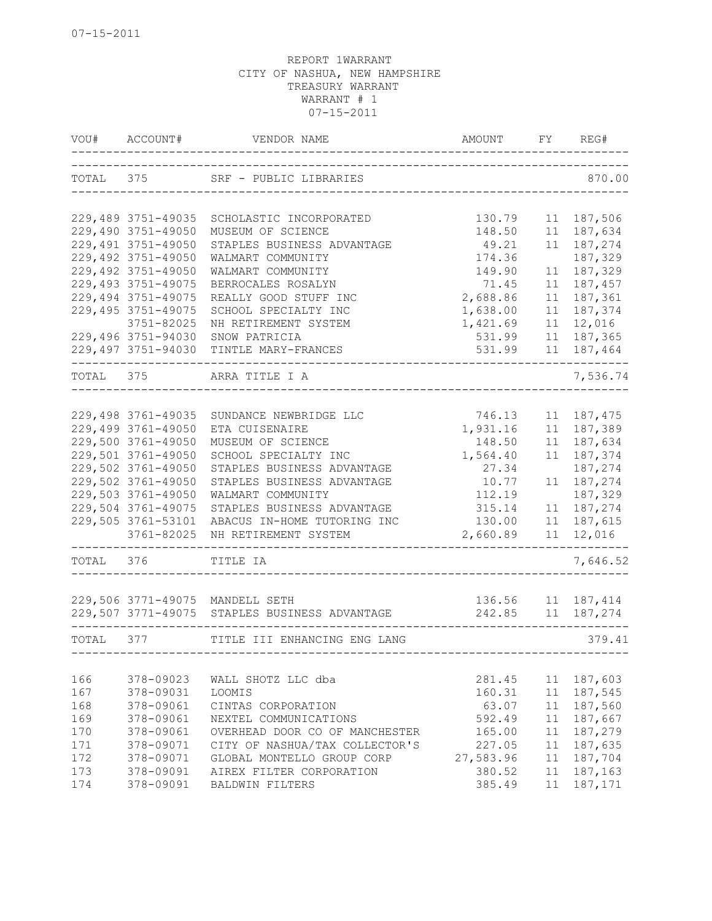| VOU#      | ACCOUNT#                 | VENDOR NAME                                   | AMOUNT    | FY | REG#        |
|-----------|--------------------------|-----------------------------------------------|-----------|----|-------------|
|           |                          | TOTAL 375 SRF - PUBLIC LIBRARIES              |           |    | 870.00      |
|           | 229,489 3751-49035       | SCHOLASTIC INCORPORATED                       | 130.79    | 11 | 187,506     |
|           | 229,490 3751-49050       | MUSEUM OF SCIENCE                             | 148.50    | 11 | 187,634     |
|           | 229,491 3751-49050       | STAPLES BUSINESS ADVANTAGE                    | 49.21     | 11 | 187,274     |
|           | 229,492 3751-49050       | WALMART COMMUNITY                             | 174.36    |    | 187,329     |
|           | 229,492 3751-49050       | WALMART COMMUNITY                             | 149.90    | 11 | 187,329     |
|           | 229,493 3751-49075       | BERROCALES ROSALYN                            | 71.45     | 11 | 187,457     |
|           | 229,494 3751-49075       | REALLY GOOD STUFF INC                         | 2,688.86  | 11 | 187,361     |
|           | 229,495 3751-49075       | SCHOOL SPECIALTY INC                          | 1,638.00  | 11 | 187,374     |
|           | 3751-82025               | NH RETIREMENT SYSTEM                          | 1,421.69  | 11 | 12,016      |
|           | 229,496 3751-94030       | SNOW PATRICIA                                 | 531.99    | 11 | 187,365     |
|           | 229,497 3751-94030       | TINTLE MARY-FRANCES                           | 531.99    | 11 | 187,464     |
| TOTAL 375 |                          | ARRA TITLE I A                                |           |    | 7,536.74    |
|           |                          |                                               |           |    |             |
|           | 229,498 3761-49035       | SUNDANCE NEWBRIDGE LLC                        | 746.13    | 11 | 187,475     |
|           | 229,499 3761-49050       | ETA CUISENAIRE                                | 1,931.16  | 11 | 187,389     |
|           | 229,500 3761-49050       | MUSEUM OF SCIENCE                             | 148.50    | 11 | 187,634     |
|           | 229,501 3761-49050       | SCHOOL SPECIALTY INC                          | 1,564.40  | 11 | 187,374     |
|           | 229,502 3761-49050       | STAPLES BUSINESS ADVANTAGE                    | 27.34     |    | 187,274     |
|           | 229,502 3761-49050       | STAPLES BUSINESS ADVANTAGE                    | 10.77     | 11 | 187,274     |
|           | 229,503 3761-49050       | WALMART COMMUNITY                             | 112.19    |    | 187,329     |
|           | 229,504 3761-49075       | STAPLES BUSINESS ADVANTAGE                    | 315.14    | 11 | 187,274     |
|           | 229,505 3761-53101       | ABACUS IN-HOME TUTORING INC                   | 130.00    | 11 | 187,615     |
|           | 3761-82025               | NH RETIREMENT SYSTEM                          | 2,660.89  | 11 | 12,016      |
| TOTAL 376 |                          | TITLE IA                                      |           |    | 7,646.52    |
|           |                          |                                               |           |    |             |
|           |                          | 229,506 3771-49075 MANDELL SETH               | 136.56    |    | 11 187, 414 |
|           |                          | 229,507 3771-49075 STAPLES BUSINESS ADVANTAGE | 242.85    | 11 | 187,274     |
| TOTAL     | 377<br>. _ _ _ _ _ _ _ _ | TITLE III ENHANCING ENG LANG                  |           |    | 379.41      |
|           |                          |                                               |           |    |             |
| 166       | 378-09023                | WALL SHOTZ LLC dba                            | 281.45    | 11 | 187,603     |
| 167       | 378-09031                | LOOMIS                                        | 160.31    | 11 | 187,545     |
| 168       | 378-09061                | CINTAS CORPORATION                            | 63.07     | 11 | 187,560     |
| 169       | 378-09061                | NEXTEL COMMUNICATIONS                         | 592.49    | 11 | 187,667     |
| 170       | 378-09061                | OVERHEAD DOOR CO OF MANCHESTER                | 165.00    | 11 | 187,279     |
| 171       | 378-09071                | CITY OF NASHUA/TAX COLLECTOR'S                | 227.05    | 11 | 187,635     |
| 172       | 378-09071                | GLOBAL MONTELLO GROUP CORP                    | 27,583.96 | 11 | 187,704     |
| 173       | 378-09091                | AIREX FILTER CORPORATION                      | 380.52    | 11 | 187,163     |
| 174       | 378-09091                | BALDWIN FILTERS                               | 385.49    | 11 | 187,171     |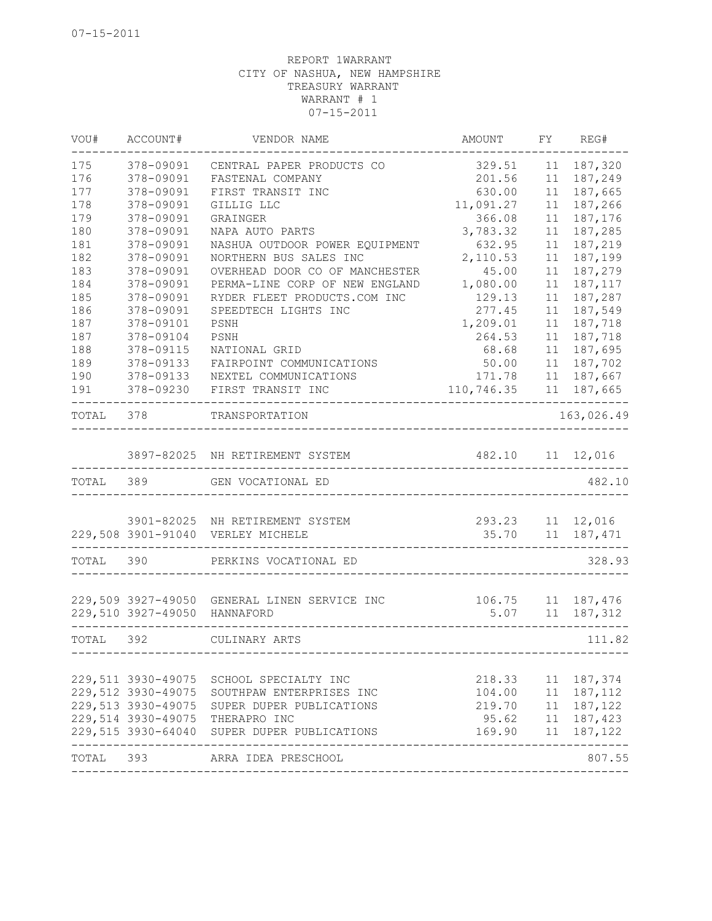| VOU#      | ACCOUNT#                     | VENDOR NAME                                  | AMOUNT             | FY | REG#                |
|-----------|------------------------------|----------------------------------------------|--------------------|----|---------------------|
| 175       | 378-09091                    | CENTRAL PAPER PRODUCTS CO                    | 329.51             | 11 | 187,320             |
| 176       | 378-09091                    | FASTENAL COMPANY                             | 201.56             | 11 | 187,249             |
| 177       | 378-09091                    | FIRST TRANSIT INC                            | 630.00             | 11 | 187,665             |
| 178       | 378-09091                    | GILLIG LLC                                   | 11,091.27          | 11 | 187,266             |
| 179       | 378-09091                    | GRAINGER                                     | 366.08             | 11 | 187,176             |
| 180       | 378-09091                    | NAPA AUTO PARTS                              | 3,783.32           | 11 | 187,285             |
| 181       | 378-09091                    | NASHUA OUTDOOR POWER EQUIPMENT               | 632.95             | 11 | 187,219             |
| 182       | 378-09091                    | NORTHERN BUS SALES INC                       | 2,110.53           | 11 | 187,199             |
| 183       | 378-09091                    | OVERHEAD DOOR CO OF MANCHESTER               | 45.00              | 11 | 187,279             |
| 184       | 378-09091                    | PERMA-LINE CORP OF NEW ENGLAND               | 1,080.00           | 11 | 187,117             |
| 185       | 378-09091                    | RYDER FLEET PRODUCTS.COM INC                 | 129.13             | 11 | 187,287             |
| 186       | 378-09091                    | SPEEDTECH LIGHTS INC                         | 277.45             | 11 | 187,549             |
| 187       | 378-09101                    | PSNH                                         | 1,209.01           | 11 | 187,718             |
| 187       | 378-09104                    | PSNH                                         | 264.53             | 11 | 187,718             |
| 188       | 378-09115                    | NATIONAL GRID                                | 68.68              | 11 | 187,695             |
| 189       | 378-09133                    | FAIRPOINT COMMUNICATIONS                     | 50.00              | 11 | 187,702             |
| 190       | 378-09133                    | NEXTEL COMMUNICATIONS                        | 171.78             | 11 | 187,667             |
| 191       | 378-09230                    | FIRST TRANSIT INC                            | 110,746.35         |    | 11 187,665          |
| TOTAL     | 378                          | TRANSPORTATION                               |                    |    | 163,026.49          |
|           |                              |                                              |                    |    |                     |
|           |                              | 3897-82025 NH RETIREMENT SYSTEM              | 482.10             |    | 11 12,016           |
| TOTAL     | 389                          | GEN VOCATIONAL ED                            |                    |    | 482.10              |
|           |                              |                                              |                    |    |                     |
|           |                              |                                              |                    |    |                     |
|           |                              | 3901-82025 NH RETIREMENT SYSTEM              | 293.23 11 12,016   |    |                     |
|           |                              | 229,508 3901-91040 VERLEY MICHELE            | __________________ |    | 35.70 11 187,471    |
| TOTAL 390 |                              | PERKINS VOCATIONAL ED                        |                    |    | 328.93              |
|           |                              |                                              |                    |    |                     |
|           |                              | 229,509 3927-49050 GENERAL LINEN SERVICE INC |                    |    | $106.75$ 11 187,476 |
|           | 229,510 3927-49050 HANNAFORD |                                              | 5.07               | 11 | 187,312             |
| TOTAL 392 |                              | CULINARY ARTS                                |                    |    | 111.82              |
|           |                              |                                              |                    |    |                     |
|           |                              | 229,511 3930-49075 SCHOOL SPECIALTY INC      |                    |    | 218.33 11 187,374   |
|           | 229,512 3930-49075           | SOUTHPAW ENTERPRISES INC                     |                    |    | 104.00 11 187,112   |
|           | 229,513 3930-49075           | SUPER DUPER PUBLICATIONS                     |                    |    | 219.70 11 187,122   |
|           |                              | 229,514 3930-49075 THERAPRO INC              |                    |    | 95.62 11 187,423    |
|           | 229,515 3930-64040           | SUPER DUPER PUBLICATIONS                     |                    |    | 169.90 11 187,122   |
| TOTAL 393 |                              | ARRA IDEA PRESCHOOL                          |                    |    | 807.55              |
|           |                              |                                              |                    |    |                     |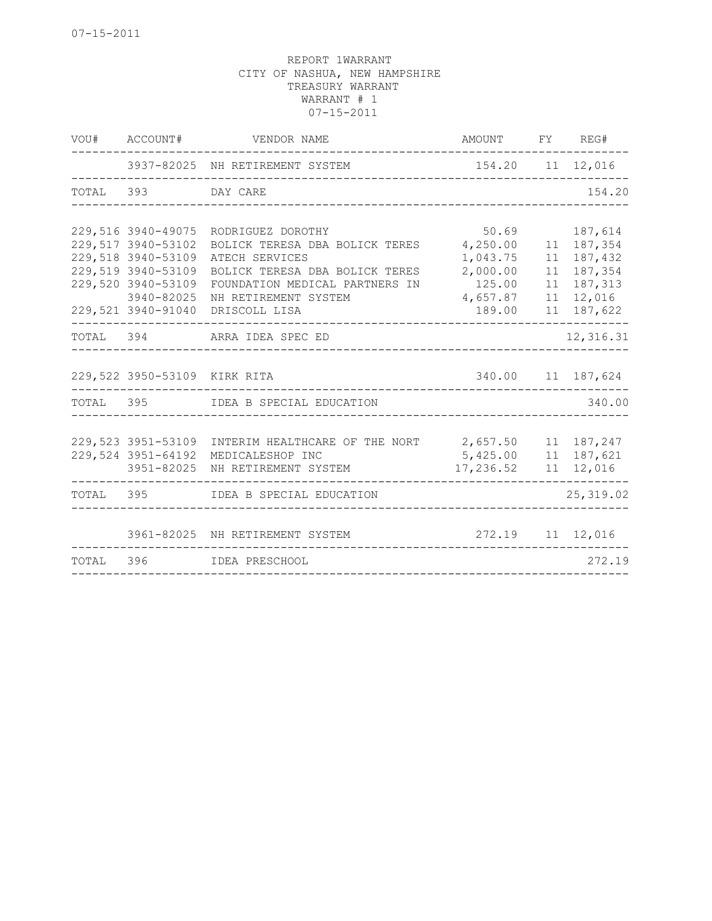|       | VOU# ACCOUNT#                | VENDOR NAME                                        | AMOUNT FY REG#          |    |                   |
|-------|------------------------------|----------------------------------------------------|-------------------------|----|-------------------|
|       |                              | 3937-82025 NH RETIREMENT SYSTEM                    | 154.20 11 12,016        |    |                   |
|       | TOTAL 393 DAY CARE           |                                                    |                         |    | 154.20            |
|       |                              |                                                    |                         |    |                   |
|       | 229,516 3940-49075           | RODRIGUEZ DOROTHY                                  | 50.69                   |    | 187,614           |
|       | 229,517 3940-53102           | BOLICK TERESA DBA BOLICK TERES                     | 4,250.00                |    | 11 187,354        |
|       | 229,518 3940-53109           | ATECH SERVICES                                     | 1,043.75                | 11 | 187,432           |
|       | 229,519 3940-53109           | BOLICK TERESA DBA BOLICK TERES                     | 2,000.00                | 11 | 187,354           |
|       | 229,520 3940-53109           | FOUNDATION MEDICAL PARTNERS IN                     | 125.00                  |    | 11 187, 313       |
|       | 3940-82025                   | NH RETIREMENT SYSTEM                               | 4,657.87                |    | 11 12,016         |
|       | 229,521 3940-91040           | DRISCOLL LISA                                      | 189.00                  | 11 | 187,622           |
|       |                              | TOTAL 394 ARRA IDEA SPEC ED                        |                         |    | 12,316.31         |
|       |                              |                                                    |                         |    |                   |
|       | 229,522 3950-53109 KIRK RITA |                                                    |                         |    | 340.00 11 187,624 |
|       |                              | TOTAL 395 IDEA B SPECIAL EDUCATION                 |                         |    | 340.00            |
|       |                              |                                                    |                         |    |                   |
|       | 229,523 3951-53109           | INTERIM HEALTHCARE OF THE NORT 2,657.50 11 187,247 |                         |    |                   |
|       | 229,524 3951-64192           | MEDICALESHOP INC                                   | 5,425.00 11 187,621     |    |                   |
|       | 3951-82025                   | NH RETIREMENT SYSTEM                               | 17,236.52   11   12,016 |    |                   |
|       |                              | TOTAL 395 IDEA B SPECIAL EDUCATION                 |                         |    | 25, 319.02        |
|       |                              |                                                    |                         |    |                   |
|       |                              | 3961-82025 NH RETIREMENT SYSTEM                    | 272.19 11 12,016        |    |                   |
| TOTAL |                              |                                                    |                         |    | 272.19            |
|       |                              |                                                    |                         |    |                   |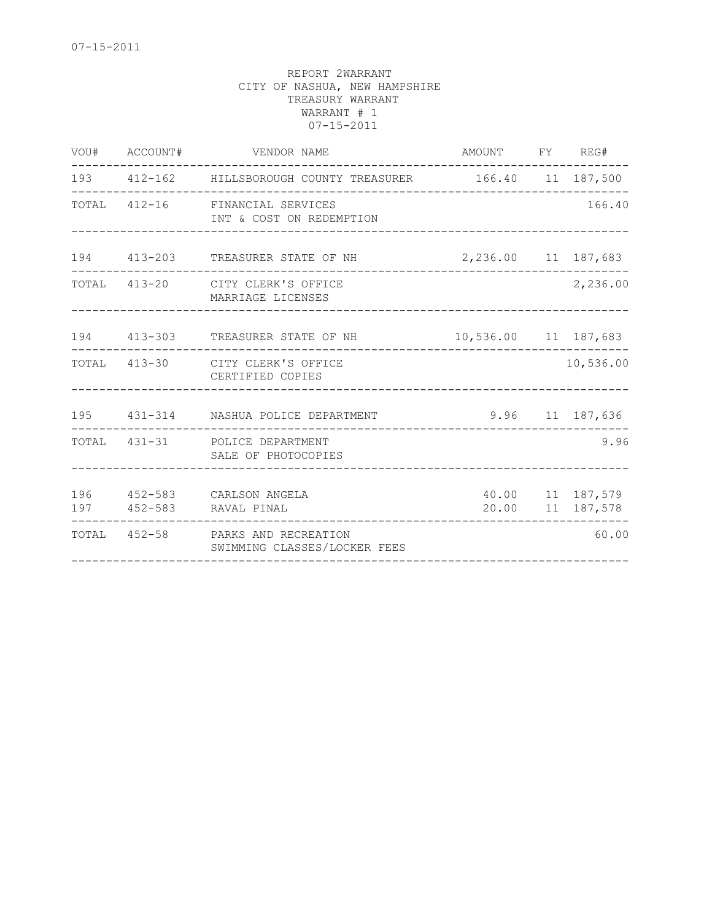| VOU# ACCOUNT# | VENDOR NAME                                                           | AMOUNT FY REG#                 |                                      |
|---------------|-----------------------------------------------------------------------|--------------------------------|--------------------------------------|
|               | 193   412-162   HILLSBOROUGH COUNTY TREASURER   166.40   11   187,500 | ------------------------------ |                                      |
|               | TOTAL 412-16 FINANCIAL SERVICES<br>INT & COST ON REDEMPTION           |                                | 166.40                               |
|               | 194 413-203 TREASURER STATE OF NH                                     | 2,236.00 11 187,683            |                                      |
|               | TOTAL 413-20 CITY CLERK'S OFFICE<br>MARRIAGE LICENSES                 |                                | 2,236.00                             |
|               | 194 413-303 TREASURER STATE OF NH                                     | 10,536.00 11 187,683           |                                      |
|               | TOTAL 413-30 CITY CLERK'S OFFICE<br>CERTIFIED COPIES                  | ____________________           | 10,536.00                            |
|               | 195 431-314 NASHUA POLICE DEPARTMENT                                  |                                | 9.96 11 187,636                      |
|               | TOTAL 431-31 POLICE DEPARTMENT<br>SALE OF PHOTOCOPIES                 |                                | 9.96                                 |
|               | 196  452-583  CARLSON ANGELA<br>197 452-583 RAVAL PINAL               |                                | 40.00 11 187,579<br>20.00 11 187,578 |
|               | TOTAL 452-58 PARKS AND RECREATION<br>SWIMMING CLASSES/LOCKER FEES     |                                | 60.00                                |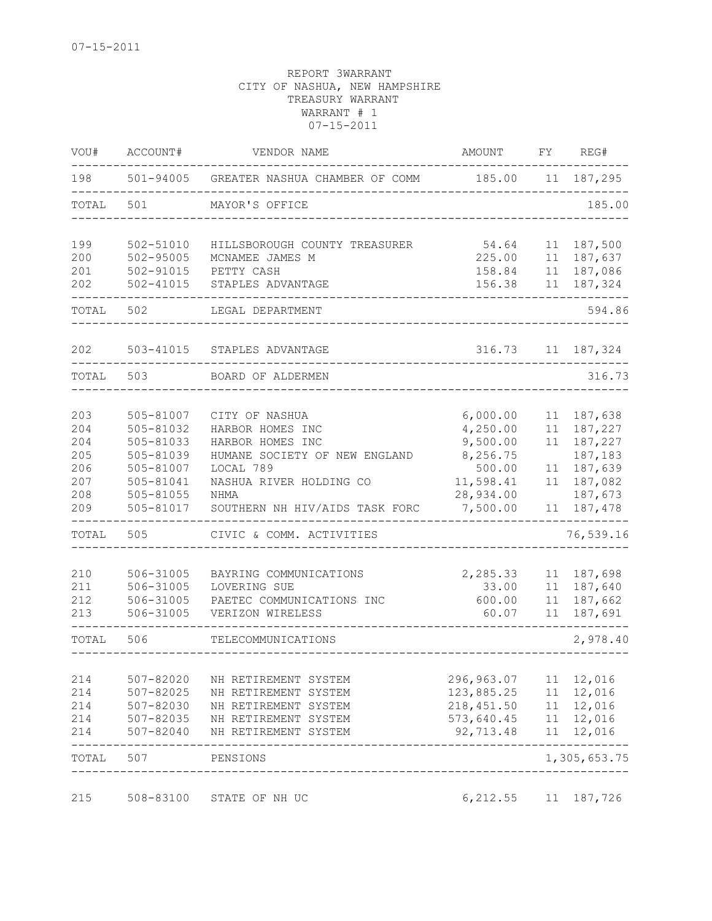| VOU#       | ACCOUNT#                   | VENDOR NAME                                  | AMOUNT                | FΥ       | REG#                    |
|------------|----------------------------|----------------------------------------------|-----------------------|----------|-------------------------|
| 198        |                            | 501-94005 GREATER NASHUA CHAMBER OF COMM     | 185.00                |          | 11 187,295              |
| TOTAL      | 501                        | MAYOR'S OFFICE                               |                       |          | 185.00                  |
| 199        | $502 - 51010$              | HILLSBOROUGH COUNTY TREASURER                | 54.64                 | 11       | 187,500                 |
| 200        | $502 - 95005$              | MCNAMEE JAMES M                              | 225.00                | 11       | 187,637                 |
| 201<br>202 | 502-91015<br>$502 - 41015$ | PETTY CASH<br>STAPLES ADVANTAGE              | 158.84<br>156.38      | 11<br>11 | 187,086<br>187,324      |
| TOTAL      | 502                        | LEGAL DEPARTMENT                             |                       |          | 594.86                  |
| 202        | 503-41015                  | STAPLES ADVANTAGE                            | 316.73                | 11       | 187,324                 |
| TOTAL      | 503                        | BOARD OF ALDERMEN                            |                       |          | 316.73                  |
|            |                            |                                              |                       |          |                         |
| 203        | 505-81007                  | CITY OF NASHUA                               | 6,000.00              | 11       | 187,638                 |
| 204        | 505-81032                  | HARBOR HOMES INC                             | 4,250.00              | 11       | 187,227                 |
| 204        | 505-81033                  | HARBOR HOMES INC                             | 9,500.00              | 11       | 187,227                 |
| 205        | 505-81039                  | HUMANE SOCIETY OF NEW ENGLAND                | 8,256.75              |          | 187,183                 |
| 206        | 505-81007                  | LOCAL 789                                    | 500.00                | 11       | 187,639                 |
| 207        | 505-81041                  | NASHUA RIVER HOLDING CO                      | 11,598.41             | 11       | 187,082                 |
| 208<br>209 | 505-81055<br>505-81017     | NHMA<br>SOUTHERN NH HIV/AIDS TASK FORC       | 28,934.00<br>7,500.00 | 11       | 187,673<br>187,478      |
| TOTAL      | 505                        | CIVIC & COMM. ACTIVITIES                     |                       |          | 76,539.16               |
|            |                            |                                              |                       |          |                         |
| 210        | 506-31005                  | BAYRING COMMUNICATIONS                       | 2,285.33              | 11       | 187,698                 |
| 211        | 506-31005                  | LOVERING SUE                                 | 33.00                 | 11       | 187,640                 |
| 212        | 506-31005                  | PAETEC COMMUNICATIONS INC                    | 600.00                | 11       | 187,662                 |
| 213        | 506-31005                  | VERIZON WIRELESS                             | 60.07                 | 11       | 187,691                 |
| TOTAL      | 506                        | TELECOMMUNICATIONS                           |                       |          | 2,978.40                |
| 214        |                            |                                              | 296,963.07            | 11       | 12,016                  |
| 214        | 507-82020<br>507-82025     | NH RETIREMENT SYSTEM<br>NH RETIREMENT SYSTEM | 123,885.25            | 11       | 12,016                  |
| 214        | 507-82030                  | NH RETIREMENT SYSTEM                         | 218, 451.50           | 11       | 12,016                  |
| 214        | 507-82035                  | NH RETIREMENT SYSTEM                         | 573,640.45            | 11       | 12,016                  |
| 214        | 507-82040                  | NH RETIREMENT SYSTEM                         | 92,713.48             | 11       | 12,016                  |
| TOTAL      | 507                        | PENSIONS<br>_________________________        |                       |          | -------<br>1,305,653.75 |
| 215        | 508-83100                  | STATE OF NH UC                               | 6, 212.55             | 11       | 187,726                 |
|            |                            |                                              |                       |          |                         |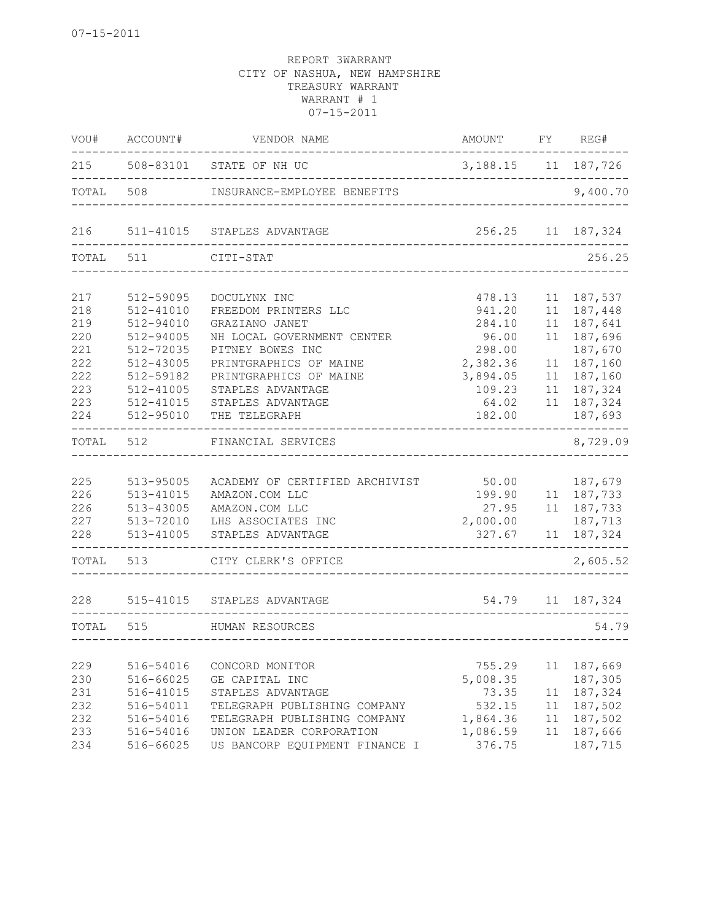| VOU#  | ACCOUNT#  | VENDOR NAME                    | AMOUNT                 | FY | REG#             |
|-------|-----------|--------------------------------|------------------------|----|------------------|
| 215   |           | 508-83101 STATE OF NH UC       | 3, 188. 15 11 187, 726 |    |                  |
| TOTAL | 508       | INSURANCE-EMPLOYEE BENEFITS    |                        |    | 9,400.70         |
| 216   |           | 511-41015 STAPLES ADVANTAGE    | 256.25                 |    | 11 187,324       |
| TOTAL | 511       | CITI-STAT                      |                        |    | 256.25           |
| 217   | 512-59095 | DOCULYNX INC                   | 478.13                 | 11 | 187,537          |
| 218   | 512-41010 | FREEDOM PRINTERS LLC           | 941.20                 | 11 | 187,448          |
| 219   | 512-94010 | GRAZIANO JANET                 | 284.10                 | 11 | 187,641          |
| 220   | 512-94005 | NH LOCAL GOVERNMENT CENTER     | 96.00                  | 11 | 187,696          |
| 221   | 512-72035 | PITNEY BOWES INC               | 298.00                 |    | 187,670          |
| 222   | 512-43005 | PRINTGRAPHICS OF MAINE         | 2,382.36               | 11 | 187,160          |
| 222   | 512-59182 | PRINTGRAPHICS OF MAINE         | 3,894.05               | 11 | 187,160          |
| 223   | 512-41005 | STAPLES ADVANTAGE              | 109.23                 | 11 | 187,324          |
| 223   | 512-41015 | STAPLES ADVANTAGE              | 64.02                  |    | 11 187,324       |
| 224   | 512-95010 | THE TELEGRAPH                  | 182.00                 |    | 187,693          |
| TOTAL | 512       | FINANCIAL SERVICES             |                        |    | 8,729.09         |
|       |           |                                |                        |    |                  |
| 225   | 513-95005 | ACADEMY OF CERTIFIED ARCHIVIST | 50.00                  |    | 187,679          |
| 226   | 513-41015 | AMAZON.COM LLC                 | 199.90                 |    | 11 187,733       |
| 226   | 513-43005 | AMAZON.COM LLC                 | 27.95                  |    | 11 187,733       |
| 227   | 513-72010 | LHS ASSOCIATES INC             | 2,000.00               |    | 187,713          |
| 228   | 513-41005 | STAPLES ADVANTAGE              | 327.67                 | 11 | 187,324          |
| TOTAL | 513       | CITY CLERK'S OFFICE            |                        |    | 2,605.52         |
| 228   | 515-41015 | STAPLES ADVANTAGE              |                        |    | 54.79 11 187,324 |
|       |           |                                |                        |    |                  |
| TOTAL | 515       | HUMAN RESOURCES                |                        |    | 54.79            |
| 229   | 516-54016 | CONCORD MONITOR                | 755.29                 | 11 | 187,669          |
| 230   | 516-66025 | GE CAPITAL INC                 | 5,008.35               |    | 187,305          |
| 231   | 516-41015 | STAPLES ADVANTAGE              | 73.35                  | 11 | 187,324          |
| 232   | 516-54011 | TELEGRAPH PUBLISHING COMPANY   | 532.15                 | 11 | 187,502          |
| 232   | 516-54016 | TELEGRAPH PUBLISHING COMPANY   | 1,864.36               | 11 | 187,502          |
| 233   | 516-54016 | UNION LEADER CORPORATION       | 1,086.59               | 11 | 187,666          |
| 234   | 516-66025 | US BANCORP EQUIPMENT FINANCE I | 376.75                 |    | 187,715          |
|       |           |                                |                        |    |                  |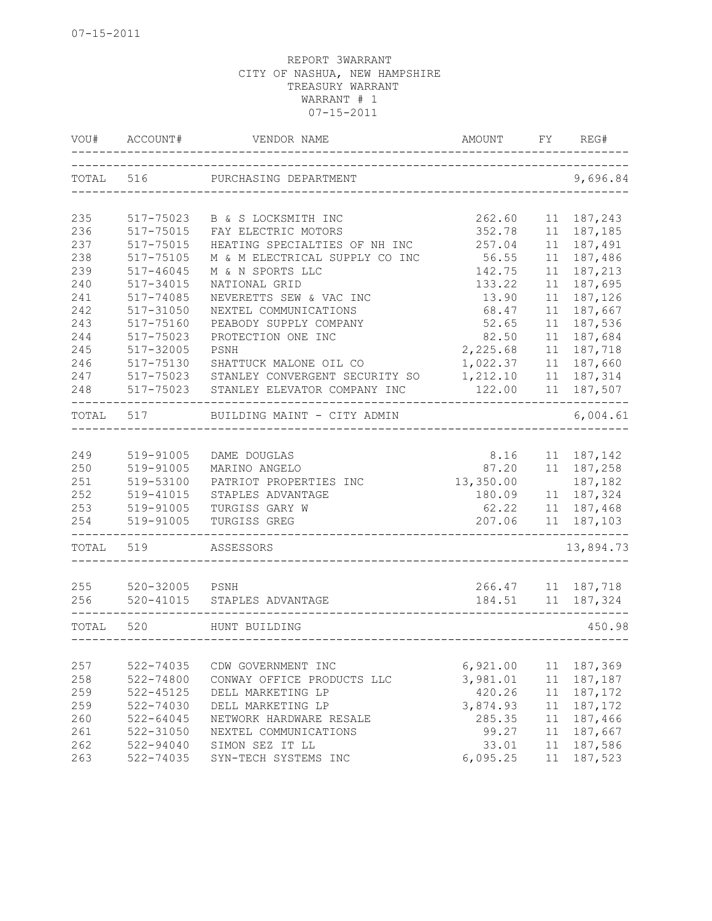| VOU#  | ACCOUNT#  | VENDOR NAME                    | AMOUNT    | FY | REG#       |
|-------|-----------|--------------------------------|-----------|----|------------|
| TOTAL | 516       | PURCHASING DEPARTMENT          |           |    | 9,696.84   |
| 235   | 517-75023 | B & S LOCKSMITH INC            | 262.60    | 11 | 187,243    |
| 236   | 517-75015 | FAY ELECTRIC MOTORS            | 352.78    | 11 | 187,185    |
| 237   | 517-75015 | HEATING SPECIALTIES OF NH INC  | 257.04    | 11 | 187,491    |
| 238   | 517-75105 | M & M ELECTRICAL SUPPLY CO INC | 56.55     | 11 | 187,486    |
| 239   | 517-46045 | M & N SPORTS LLC               | 142.75    | 11 | 187,213    |
| 240   | 517-34015 | NATIONAL GRID                  | 133.22    | 11 | 187,695    |
| 241   | 517-74085 | NEVERETTS SEW & VAC INC        | 13.90     | 11 | 187,126    |
| 242   | 517-31050 | NEXTEL COMMUNICATIONS          | 68.47     | 11 | 187,667    |
| 243   | 517-75160 | PEABODY SUPPLY COMPANY         | 52.65     | 11 | 187,536    |
| 244   | 517-75023 | PROTECTION ONE INC             | 82.50     | 11 | 187,684    |
| 245   | 517-32005 | PSNH                           | 2,225.68  | 11 | 187,718    |
| 246   | 517-75130 | SHATTUCK MALONE OIL CO         | 1,022.37  | 11 | 187,660    |
| 247   | 517-75023 | STANLEY CONVERGENT SECURITY SO | 1,212.10  | 11 | 187,314    |
| 248   | 517-75023 | STANLEY ELEVATOR COMPANY INC   | 122.00    | 11 | 187,507    |
| TOTAL | 517       | BUILDING MAINT - CITY ADMIN    |           |    | 6,004.61   |
|       |           |                                |           |    |            |
| 249   | 519-91005 | DAME DOUGLAS                   | 8.16      | 11 | 187,142    |
| 250   | 519-91005 | MARINO ANGELO                  | 87.20     |    | 11 187,258 |
| 251   | 519-53100 | PATRIOT PROPERTIES INC         | 13,350.00 |    | 187,182    |
| 252   | 519-41015 | STAPLES ADVANTAGE              | 180.09    |    | 11 187,324 |
| 253   | 519-91005 | TURGISS GARY W                 | 62.22     |    | 11 187,468 |
| 254   | 519-91005 | TURGISS GREG                   | 207.06    | 11 | 187,103    |
| TOTAL | 519       | ASSESSORS                      |           |    | 13,894.73  |
|       |           |                                |           |    |            |
| 255   | 520-32005 | PSNH                           | 266.47    | 11 | 187,718    |
| 256   | 520-41015 | STAPLES ADVANTAGE              | 184.51    |    | 11 187,324 |
| TOTAL | 520       | HUNT BUILDING                  |           |    | 450.98     |
|       |           |                                |           |    |            |
| 257   | 522-74035 | CDW GOVERNMENT INC             | 6,921.00  | 11 | 187,369    |
| 258   | 522-74800 | CONWAY OFFICE PRODUCTS LLC     | 3,981.01  | 11 | 187,187    |
| 259   | 522-45125 | DELL MARKETING LP              | 420.26    | 11 | 187,172    |
| 259   | 522-74030 | DELL MARKETING LP              | 3,874.93  | 11 | 187,172    |
| 260   | 522-64045 | NETWORK HARDWARE RESALE        | 285.35    | 11 | 187,466    |
| 261   | 522-31050 | NEXTEL COMMUNICATIONS          | 99.27     | 11 | 187,667    |
| 262   | 522-94040 | SIMON SEZ IT LL                | 33.01     | 11 | 187,586    |
| 263   | 522-74035 | SYN-TECH SYSTEMS INC           | 6,095.25  | 11 | 187,523    |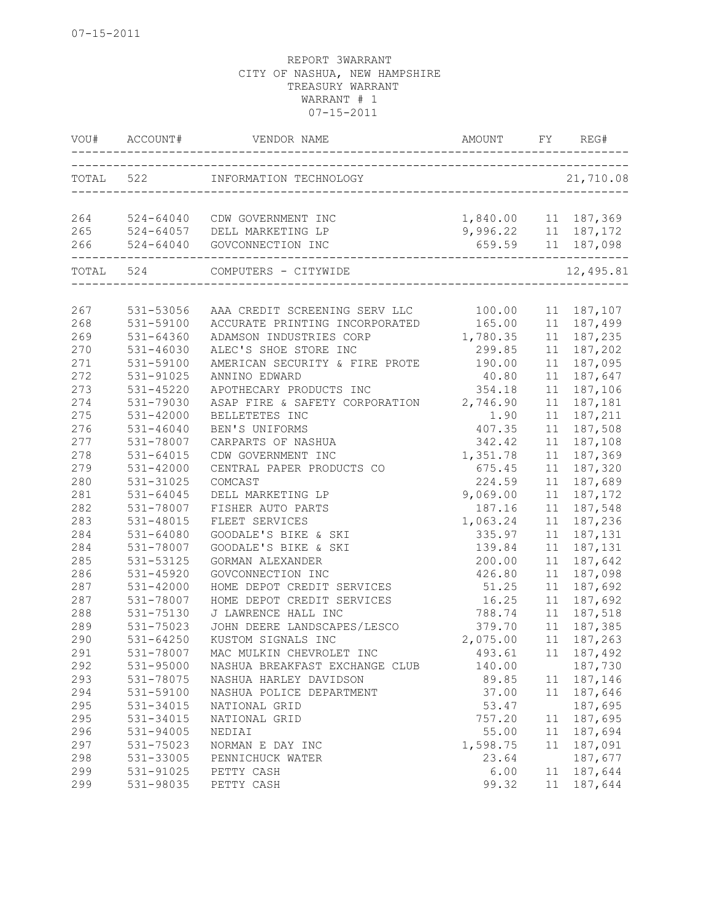|           | VOU# ACCOUNT# |                                                          |                       |    | FY REG#     |
|-----------|---------------|----------------------------------------------------------|-----------------------|----|-------------|
| TOTAL 522 |               | INFORMATION TECHNOLOGY<br>------------------------------ |                       |    | 21,710.08   |
|           |               |                                                          |                       |    |             |
|           | 264 524-64040 | CDW GOVERNMENT INC                                       | 1,840.00  11  187,369 |    |             |
| 265       |               | 524-64057 DELL MARKETING LP                              | 9,996.22 11 187,172   |    |             |
| 266       |               | 524-64040 GOVCONNECTION INC                              | 659.59 11 187,098     |    |             |
|           | TOTAL 524     | COMPUTERS - CITYWIDE                                     |                       |    | 12,495.81   |
|           |               |                                                          |                       |    |             |
| 267       | 531-53056     | AAA CREDIT SCREENING SERV LLC 100.00                     |                       |    | 11 187,107  |
| 268       | 531-59100     | ACCURATE PRINTING INCORPORATED 165.00                    |                       |    | 11 187,499  |
| 269       | 531-64360     | ADAMSON INDUSTRIES CORP                                  | 1,780.35              |    | 11 187,235  |
| 270       | 531-46030     | ALEC'S SHOE STORE INC                                    | 299.85                |    | 11 187,202  |
| 271       | 531-59100     | AMERICAN SECURITY & FIRE PROTE                           | 190.00                |    | 11 187,095  |
| 272       | 531-91025     | ANNINO EDWARD                                            | 40.80                 |    | 11 187,647  |
| 273       | $531 - 45220$ | APOTHECARY PRODUCTS INC                                  | 354.18                | 11 | 187,106     |
| 274       | 531-79030     | ASAP FIRE & SAFETY CORPORATION 2,746.90                  |                       | 11 | 187,181     |
| 275       | 531-42000     | BELLETETES INC                                           | 1.90                  | 11 | 187,211     |
| 276       | 531-46040     | BEN'S UNIFORMS                                           | 407.35                | 11 | 187,508     |
| 277       | 531-78007     | CARPARTS OF NASHUA                                       | 342.42                | 11 | 187,108     |
| 278       | 531-64015     | CDW GOVERNMENT INC                                       | 1,351.78              | 11 | 187,369     |
| 279       | 531-42000     | CENTRAL PAPER PRODUCTS CO                                | 675.45                | 11 | 187,320     |
| 280       | 531-31025     | COMCAST                                                  | 224.59                |    | 11 187,689  |
| 281       | 531-64045     | DELL MARKETING LP                                        | 9,069.00              | 11 | 187,172     |
| 282       | 531-78007     | FISHER AUTO PARTS                                        | 187.16                | 11 | 187,548     |
| 283       | 531-48015     | FLEET SERVICES                                           | 1,063.24              | 11 | 187,236     |
| 284       | 531-64080     | GOODALE'S BIKE & SKI                                     | 335.97                | 11 | 187,131     |
| 284       | 531-78007     | GOODALE'S BIKE & SKI                                     | 139.84                |    | 11 187, 131 |
| 285       | 531-53125     | GORMAN ALEXANDER                                         | 200.00                | 11 | 187,642     |
| 286       | 531-45920     | GOVCONNECTION INC                                        | 426.80                | 11 | 187,098     |
| 287       | 531-42000     | HOME DEPOT CREDIT SERVICES                               | 51.25                 | 11 | 187,692     |
| 287       | 531-78007     | HOME DEPOT CREDIT SERVICES                               | 16.25                 | 11 | 187,692     |
| 288       | 531-75130     | J LAWRENCE HALL INC                                      | 788.74                |    | 11 187,518  |
| 289       | 531-75023     | JOHN DEERE LANDSCAPES/LESCO                              | 379.70                |    | 11 187,385  |
| 290       | 531-64250     | KUSTOM SIGNALS INC                                       | 2,075.00              |    | 11 187,263  |
| 291       | 531-78007     | MAC MULKIN CHEVROLET INC                                 | 493.61 11 187,492     |    |             |
| 292       | 531-95000     | NASHUA BREAKFAST EXCHANGE CLUB                           | 140.00                |    | 187,730     |
| 293       | 531-78075     | NASHUA HARLEY DAVIDSON                                   | 89.85                 |    | 11 187,146  |
| 294       | 531-59100     | NASHUA POLICE DEPARTMENT                                 | 37.00                 |    | 11 187,646  |
| 295       | 531-34015     | NATIONAL GRID                                            | 53.47                 |    | 187,695     |
| 295       | 531-34015     | NATIONAL GRID                                            | 757.20                | 11 | 187,695     |
| 296       | 531-94005     | NEDIAI                                                   | 55.00                 | 11 | 187,694     |
| 297       | 531-75023     | NORMAN E DAY INC                                         | 1,598.75              | 11 | 187,091     |
| 298       | 531-33005     | PENNICHUCK WATER                                         | 23.64                 |    | 187,677     |
| 299       | 531-91025     | PETTY CASH                                               | 6.00                  | 11 | 187,644     |
| 299       | 531-98035     | PETTY CASH                                               | 99.32                 | 11 | 187,644     |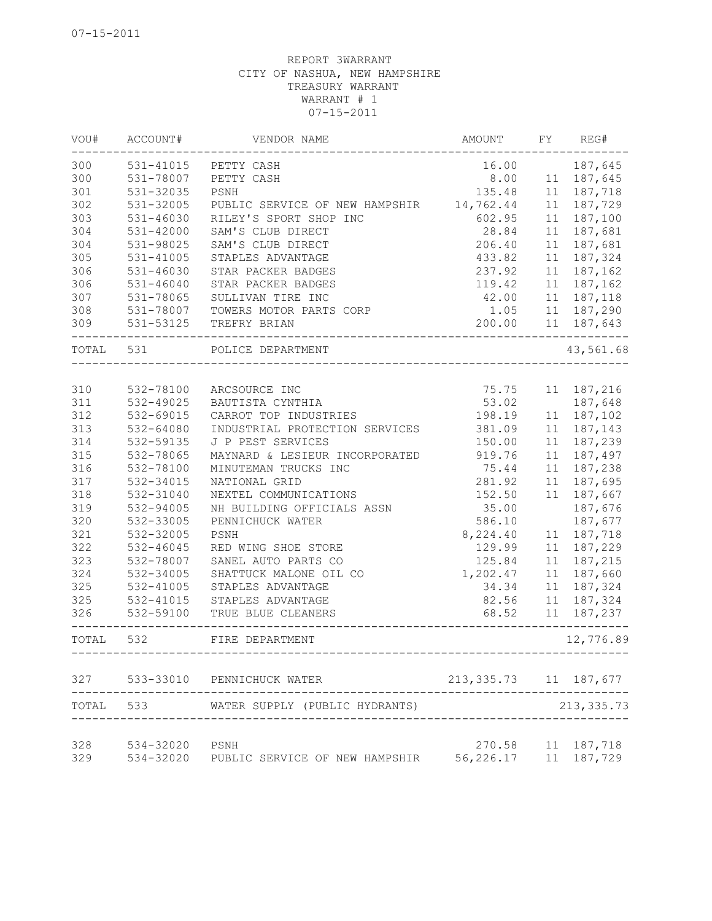| VOU#      | ACCOUNT#      | VENDOR NAME                              | <b>AMOUNT</b>           | FY | REG#        |
|-----------|---------------|------------------------------------------|-------------------------|----|-------------|
| 300       | 531-41015     | PETTY CASH                               | 16.00                   |    | 187,645     |
| 300       | 531-78007     | PETTY CASH                               | 8.00                    |    | 11 187,645  |
| 301       | 531-32035     | PSNH                                     | 135.48                  |    | 11 187,718  |
| 302       | 531-32005     | PUBLIC SERVICE OF NEW HAMPSHIR 14,762.44 |                         | 11 | 187,729     |
| 303       | $531 - 46030$ | RILEY'S SPORT SHOP INC                   | 602.95                  | 11 | 187,100     |
| 304       | 531-42000     | SAM'S CLUB DIRECT                        | 28.84                   | 11 | 187,681     |
| 304       | 531-98025     | SAM'S CLUB DIRECT                        | 206.40                  | 11 | 187,681     |
| 305       | 531-41005     | STAPLES ADVANTAGE                        | 433.82                  | 11 | 187,324     |
| 306       | $531 - 46030$ | STAR PACKER BADGES                       | 237.92                  | 11 | 187,162     |
| 306       | $531 - 46040$ | STAR PACKER BADGES                       | 119.42                  | 11 | 187,162     |
| 307       | 531-78065     | SULLIVAN TIRE INC                        | 42.00                   | 11 | 187,118     |
| 308       | 531-78007     | TOWERS MOTOR PARTS CORP                  | 1.05                    |    | 11 187,290  |
| 309       | 531-53125     | TREFRY BRIAN                             | 200.00                  |    | 11 187,643  |
| TOTAL 531 |               | POLICE DEPARTMENT                        |                         |    | 43,561.68   |
|           |               |                                          |                         |    |             |
| 310       | 532-78100     | ARCSOURCE INC                            | 75.75                   |    | 11 187,216  |
| 311       | 532-49025     | BAUTISTA CYNTHIA                         | 53.02                   |    | 187,648     |
| 312       | 532-69015     | CARROT TOP INDUSTRIES                    | 198.19                  | 11 | 187,102     |
| 313       | 532-64080     | INDUSTRIAL PROTECTION SERVICES           | 381.09                  | 11 | 187,143     |
| 314       | 532-59135     | J P PEST SERVICES                        | 150.00                  | 11 | 187,239     |
| 315       | 532-78065     | MAYNARD & LESIEUR INCORPORATED           | 919.76                  | 11 | 187,497     |
| 316       | 532-78100     | MINUTEMAN TRUCKS INC                     | 75.44                   | 11 | 187,238     |
| 317       | 532-34015     | NATIONAL GRID                            | 281.92                  | 11 | 187,695     |
| 318       | 532-31040     | NEXTEL COMMUNICATIONS                    | 152.50                  | 11 | 187,667     |
| 319       | 532-94005     | NH BUILDING OFFICIALS ASSN               | 35.00                   |    | 187,676     |
| 320       | 532-33005     | PENNICHUCK WATER                         | 586.10                  |    | 187,677     |
| 321       | 532-32005     | PSNH                                     | 8,224.40                | 11 | 187,718     |
| 322       | 532-46045     | RED WING SHOE STORE                      | 129.99                  | 11 | 187,229     |
| 323       | 532-78007     | SANEL AUTO PARTS CO                      | 125.84                  | 11 | 187,215     |
| 324       | 532-34005     | SHATTUCK MALONE OIL CO                   | 1,202.47                | 11 | 187,660     |
| 325       | 532-41005     | STAPLES ADVANTAGE                        | 34.34                   | 11 | 187,324     |
| 325       | 532-41015     | STAPLES ADVANTAGE                        | 82.56                   | 11 | 187,324     |
| 326       | 532-59100     | TRUE BLUE CLEANERS<br>-----------        | 68.52                   | 11 | 187,237     |
| TOTAL     | 532           | FIRE DEPARTMENT                          |                         |    | 12,776.89   |
| 327       |               | 533-33010 PENNICHUCK WATER               | 213, 335.73 11 187, 677 |    |             |
| TOTAL     | 533           | WATER SUPPLY (PUBLIC HYDRANTS)           |                         |    | 213, 335.73 |
| 328       | 534-32020     | PSNH                                     | 270.58                  |    | 11 187,718  |
| 329       | 534-32020     | PUBLIC SERVICE OF NEW HAMPSHIR           | 56,226.17               |    | 11 187,729  |
|           |               |                                          |                         |    |             |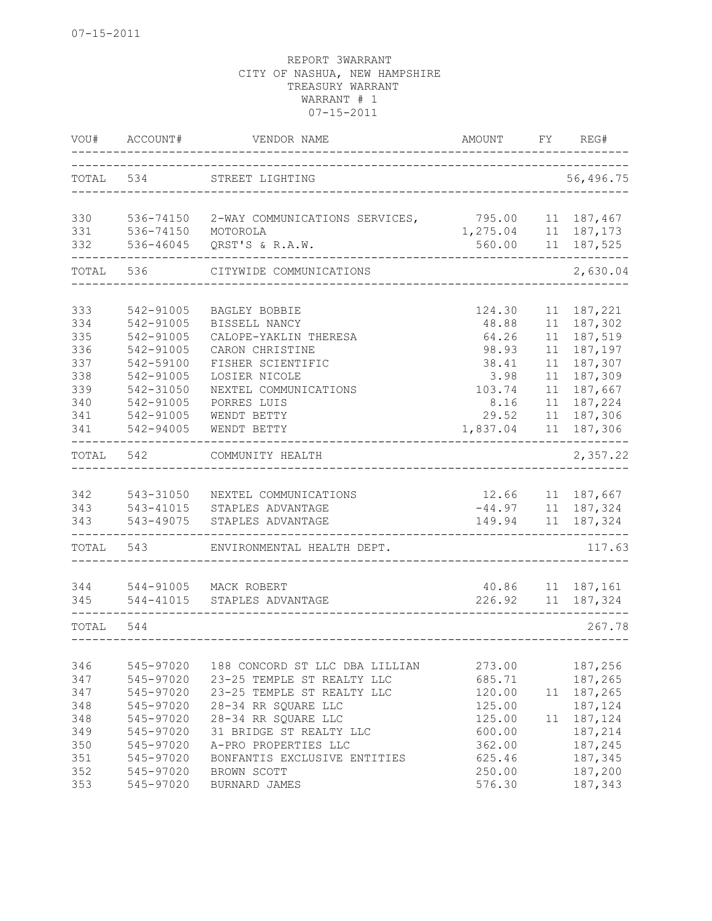| VOU#       | ACCOUNT#               | VENDOR NAME                                | AMOUNT   | FY | REG#                                                  |
|------------|------------------------|--------------------------------------------|----------|----|-------------------------------------------------------|
| TOTAL 534  |                        | STREET LIGHTING                            |          |    | 56,496.75                                             |
|            |                        |                                            |          |    |                                                       |
| 330        | 536-74150              | 2-WAY COMMUNICATIONS SERVICES, 795.00      |          |    | 11 187,467                                            |
| 331        | 536-74150              | MOTOROLA                                   | 1,275.04 |    | 11 187, 173                                           |
| 332        | 536-46045              | QRST'S & R.A.W.                            | 560.00   | 11 | 187,525                                               |
| TOTAL      | 536                    | CITYWIDE COMMUNICATIONS                    |          |    | 2,630.04                                              |
| 333        | 542-91005              | BAGLEY BOBBIE                              | 124.30   | 11 | 187,221                                               |
| 334        | 542-91005              | BISSELL NANCY                              | 48.88    | 11 | 187,302                                               |
| 335        | 542-91005              | CALOPE-YAKLIN THERESA                      | 64.26    | 11 | 187,519                                               |
| 336        | 542-91005              | CARON CHRISTINE                            | 98.93    | 11 | 187,197                                               |
| 337        | 542-59100              | FISHER SCIENTIFIC                          | 38.41    | 11 | 187,307                                               |
| 338        | 542-91005              | LOSIER NICOLE                              | 3.98     | 11 | 187,309                                               |
| 339        | 542-31050              | NEXTEL COMMUNICATIONS                      | 103.74   | 11 | 187,667                                               |
| 340        | 542-91005              | PORRES LUIS                                | 8.16     | 11 | 187,224                                               |
| 341        | 542-91005              | WENDT BETTY                                | 29.52    | 11 | 187,306                                               |
| 341        | 542-94005              | WENDT BETTY                                | 1,837.04 | 11 | 187,306                                               |
| TOTAL      | 542                    | COMMUNITY HEALTH                           |          |    | 2,357.22                                              |
|            |                        |                                            |          |    |                                                       |
| 342<br>343 | 543-31050<br>543-41015 | NEXTEL COMMUNICATIONS<br>STAPLES ADVANTAGE | 12.66    |    | 11 187,667                                            |
| 343        | 543-49075              | STAPLES ADVANTAGE                          |          |    | $-44.97$ 11 187, 324<br>149.94 11 187, 324<br>187,324 |
| TOTAL      | 543                    | ENVIRONMENTAL HEALTH DEPT.                 |          |    | 117.63                                                |
|            |                        |                                            |          |    |                                                       |
| 344        | 544-91005              | MACK ROBERT                                | 40.86    |    | 11 187,161                                            |
| 345        | 544-41015              | STAPLES ADVANTAGE                          |          |    | 226.92 11 187,324                                     |
| TOTAL      | 544                    |                                            |          |    | 267.78                                                |
|            |                        |                                            |          |    |                                                       |
| 346        | 545-97020              | 188 CONCORD ST LLC DBA LILLIAN             | 273.00   |    | 187,256                                               |
| 347        | 545-97020              | 23-25 TEMPLE ST REALTY LLC                 | 685.71   |    | 187,265                                               |
| 347        | 545-97020              | 23-25 TEMPLE ST REALTY LLC                 | 120.00   | 11 | 187,265                                               |
| 348        | 545-97020              | 28-34 RR SQUARE LLC                        | 125.00   |    | 187,124                                               |
| 348        | 545-97020              | 28-34 RR SQUARE LLC                        | 125.00   | 11 | 187,124                                               |
| 349        | 545-97020              | 31 BRIDGE ST REALTY LLC                    | 600.00   |    | 187,214                                               |
| 350        | 545-97020              | A-PRO PROPERTIES LLC                       | 362.00   |    | 187,245                                               |
| 351        | 545-97020              | BONFANTIS EXCLUSIVE ENTITIES               | 625.46   |    | 187,345                                               |
| 352        | 545-97020              | BROWN SCOTT                                | 250.00   |    | 187,200                                               |
| 353        | 545-97020              | BURNARD JAMES                              | 576.30   |    | 187,343                                               |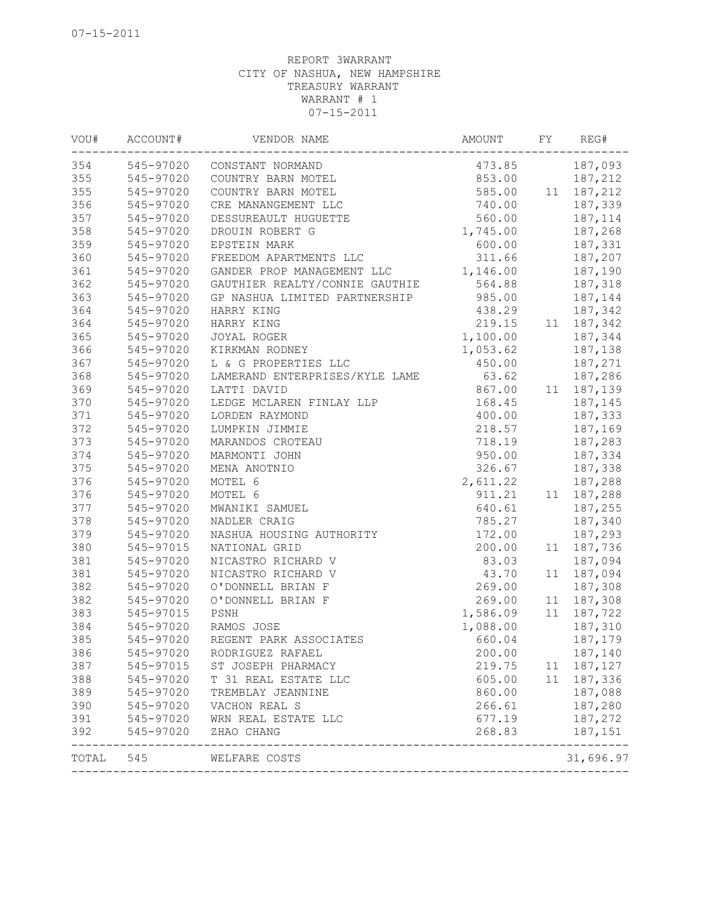| VOU#  | ACCOUNT#  | VENDOR NAME                    | AMOUNT   | FY | REG#                 |
|-------|-----------|--------------------------------|----------|----|----------------------|
| 354   | 545-97020 | CONSTANT NORMAND               | 473.85   |    | 187,093              |
| 355   | 545-97020 | COUNTRY BARN MOTEL             | 853.00   |    | 187,212              |
| 355   | 545-97020 | COUNTRY BARN MOTEL             | 585.00   |    | 11 187, 212          |
| 356   | 545-97020 | CRE MANANGEMENT LLC            | 740.00   |    | 187,339              |
| 357   | 545-97020 | DESSUREAULT HUGUETTE           | 560.00   |    | 187,114              |
| 358   | 545-97020 | DROUIN ROBERT G                | 1,745.00 |    | 187,268              |
| 359   | 545-97020 | EPSTEIN MARK                   | 600.00   |    | 187,331              |
| 360   | 545-97020 | FREEDOM APARTMENTS LLC         | 311.66   |    | 187,207              |
| 361   | 545-97020 | GANDER PROP MANAGEMENT LLC     | 1,146.00 |    | 187,190              |
| 362   | 545-97020 | GAUTHIER REALTY/CONNIE GAUTHIE | 564.88   |    | 187,318              |
| 363   | 545-97020 | GP NASHUA LIMITED PARTNERSHIP  | 985.00   |    | 187,144              |
| 364   | 545-97020 | HARRY KING                     | 438.29   |    | 187,342              |
| 364   | 545-97020 | HARRY KING                     | 219.15   |    | 11 187,342           |
| 365   | 545-97020 | JOYAL ROGER                    | 1,100.00 |    | 187,344              |
| 366   | 545-97020 | KIRKMAN RODNEY                 | 1,053.62 |    | 187,138              |
| 367   | 545-97020 | L & G PROPERTIES LLC           | 450.00   |    | 187,271              |
| 368   | 545-97020 | LAMERAND ENTERPRISES/KYLE LAME | 63.62    |    | 187,286              |
| 369   | 545-97020 | LATTI DAVID                    | 867.00   |    | 11 187,139           |
| 370   | 545-97020 | LEDGE MCLAREN FINLAY LLP       | 168.45   |    | 187,145              |
| 371   | 545-97020 | LORDEN RAYMOND                 | 400.00   |    | 187,333              |
| 372   | 545-97020 | LUMPKIN JIMMIE                 | 218.57   |    | 187,169              |
| 373   | 545-97020 | MARANDOS CROTEAU               | 718.19   |    | 187,283              |
| 374   | 545-97020 | MARMONTI JOHN                  | 950.00   |    | 187,334              |
| 375   | 545-97020 | MENA ANOTNIO                   | 326.67   |    | 187,338              |
| 376   | 545-97020 | MOTEL 6                        | 2,611.22 |    | 187,288              |
| 376   | 545-97020 | MOTEL 6                        | 911.21   |    | 11 187,288           |
| 377   | 545-97020 | MWANIKI SAMUEL                 | 640.61   |    | 187,255              |
| 378   | 545-97020 | NADLER CRAIG                   | 785.27   |    | 187,340              |
| 379   | 545-97020 | NASHUA HOUSING AUTHORITY       | 172.00   |    | 187,293              |
| 380   | 545-97015 | NATIONAL GRID                  | 200.00   |    | 11 187,736           |
| 381   | 545-97020 | NICASTRO RICHARD V             | 83.03    |    | 187,094              |
| 381   | 545-97020 | NICASTRO RICHARD V             | 43.70    |    | 11 187,094           |
| 382   | 545-97020 | O'DONNELL BRIAN F              | 269.00   |    | 187,308              |
| 382   | 545-97020 | O'DONNELL BRIAN F              | 269.00   |    | 11 187,308           |
| 383   | 545-97015 | PSNH                           | 1,586.09 |    | 11 187,722           |
| 384   | 545-97020 | RAMOS JOSE                     | 1,088.00 |    | 187,310              |
| 385   | 545-97020 | REGENT PARK ASSOCIATES         | 660.04   |    | 187,179              |
| 386   | 545-97020 | RODRIGUEZ RAFAEL               | 200.00   |    | 187,140              |
| 387   | 545-97015 | ST JOSEPH PHARMACY             | 219.75   |    | 11 187, 127          |
| 388   | 545-97020 | T 31 REAL ESTATE LLC           | 605.00   |    | 11 187,336           |
| 389   | 545-97020 | TREMBLAY JEANNINE              | 860.00   |    | 187,088              |
| 390   | 545-97020 | VACHON REAL S                  | 266.61   |    | 187,280              |
| 391   | 545-97020 | WRN REAL ESTATE LLC            | 677.19   |    | 187,272              |
| 392   | 545-97020 | ZHAO CHANG                     | 268.83   |    | 187,151<br>--------- |
| TOTAL | 545       | WELFARE COSTS                  |          |    | 31,696.97            |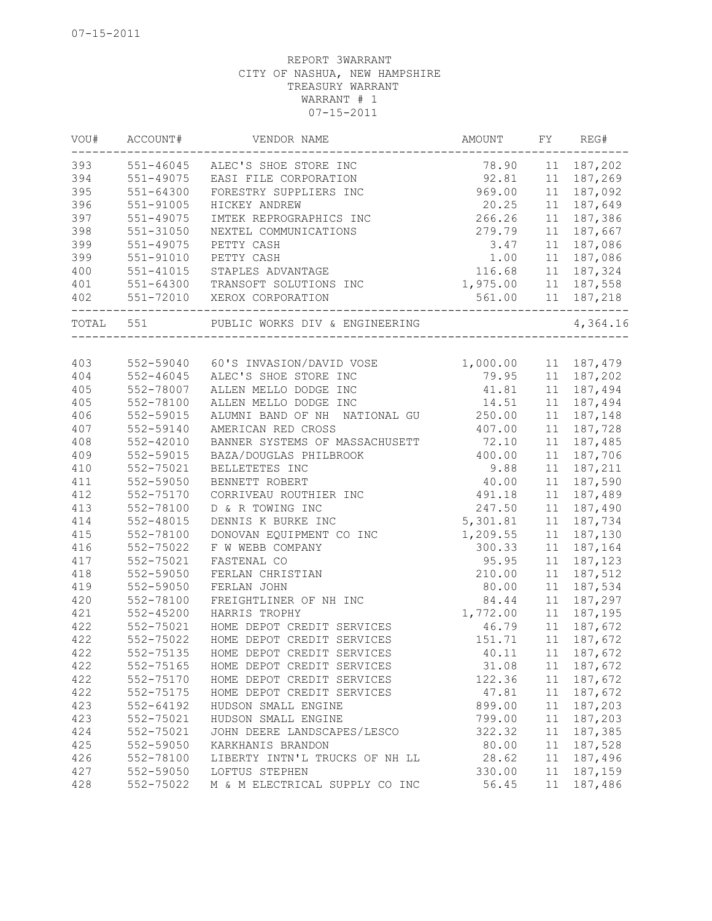| VOU#      | ACCOUNT#      | VENDOR NAME                        | AMOUNT   | FY | REG#       |
|-----------|---------------|------------------------------------|----------|----|------------|
| 393       |               | 551-46045 ALEC'S SHOE STORE INC    | 78.90    |    | 11 187,202 |
| 394       | 551-49075     | EASI FILE CORPORATION              | 92.81    |    | 11 187,269 |
| 395       | 551-64300     | FORESTRY SUPPLIERS INC             | 969.00   | 11 | 187,092    |
| 396       | 551-91005     | HICKEY ANDREW                      | 20.25    | 11 | 187,649    |
| 397       | 551-49075     | IMTEK REPROGRAPHICS INC            | 266.26   | 11 | 187,386    |
| 398       | 551-31050     | NEXTEL COMMUNICATIONS              | 279.79   | 11 | 187,667    |
| 399       | 551-49075     | PETTY CASH                         | 3.47     | 11 | 187,086    |
| 399       | 551-91010     | PETTY CASH                         | 1.00     | 11 | 187,086    |
| 400       | $551 - 41015$ | STAPLES ADVANTAGE                  | 116.68   |    | 11 187,324 |
| 401       | 551-64300     | TRANSOFT SOLUTIONS INC             | 1,975.00 |    | 11 187,558 |
| 402       |               | 551-72010 XEROX CORPORATION        | 561.00   | 11 | 187,218    |
| TOTAL 551 |               | PUBLIC WORKS DIV & ENGINEERING     |          |    | 4,364.16   |
|           |               |                                    |          |    |            |
| 403       |               | 552-59040 60'S INVASION/DAVID VOSE | 1,000.00 |    | 11 187,479 |
| 404       | $552 - 46045$ | ALEC'S SHOE STORE INC              | 79.95    | 11 | 187,202    |
| 405       | 552-78007     | ALLEN MELLO DODGE INC              | 41.81    |    | 11 187,494 |
| 405       | 552-78100     | ALLEN MELLO DODGE INC              | 14.51    |    | 11 187,494 |
| 406       | 552-59015     | ALUMNI BAND OF NH NATIONAL GU      | 250.00   | 11 | 187,148    |
| 407       | 552-59140     | AMERICAN RED CROSS                 | 407.00   | 11 | 187,728    |
| 408       | $552 - 42010$ | BANNER SYSTEMS OF MASSACHUSETT     | 72.10    | 11 | 187,485    |
| 409       | 552-59015     | BAZA/DOUGLAS PHILBROOK             | 400.00   | 11 | 187,706    |
| 410       | 552-75021     | BELLETETES INC                     | 9.88     | 11 | 187,211    |
| 411       | 552-59050     | BENNETT ROBERT                     | 40.00    | 11 | 187,590    |
| 412       | 552-75170     | CORRIVEAU ROUTHIER INC             | 491.18   | 11 | 187,489    |
| 413       | 552-78100     | D & R TOWING INC                   | 247.50   | 11 | 187,490    |
| 414       | 552-48015     | DENNIS K BURKE INC                 | 5,301.81 | 11 | 187,734    |
| 415       | 552-78100     | DONOVAN EQUIPMENT CO INC           | 1,209.55 | 11 | 187,130    |
| 416       | 552-75022     | F W WEBB COMPANY                   | 300.33   | 11 | 187,164    |
| 417       | 552-75021     | FASTENAL CO                        | 95.95    | 11 | 187,123    |
| 418       | 552-59050     | FERLAN CHRISTIAN                   | 210.00   | 11 | 187,512    |
| 419       | 552-59050     | FERLAN JOHN                        | 80.00    | 11 | 187,534    |
| 420       | 552-78100     | FREIGHTLINER OF NH INC             | 84.44    | 11 | 187,297    |
| 421       | $552 - 45200$ | HARRIS TROPHY                      | 1,772.00 | 11 | 187,195    |
| 422       | 552-75021     | HOME DEPOT CREDIT SERVICES         | 46.79    | 11 | 187,672    |
| 422       | 552-75022     | HOME DEPOT CREDIT SERVICES         | 151.71   | 11 | 187,672    |
| 422       | 552-75135     | HOME DEPOT CREDIT SERVICES         | 40.11    |    | 11 187,672 |
| 422       | 552-75165     | HOME DEPOT CREDIT SERVICES         | 31.08    |    | 11 187,672 |
| 422       | 552-75170     | HOME DEPOT CREDIT SERVICES         | 122.36   |    | 11 187,672 |
| 422       | 552-75175     | HOME DEPOT CREDIT SERVICES         | 47.81    |    | 11 187,672 |
| 423       | 552-64192     | HUDSON SMALL ENGINE                | 899.00   | 11 | 187,203    |
| 423       | 552-75021     | HUDSON SMALL ENGINE                | 799.00   | 11 | 187,203    |
| 424       | 552-75021     | JOHN DEERE LANDSCAPES/LESCO        | 322.32   | 11 | 187,385    |
| 425       | 552-59050     | KARKHANIS BRANDON                  | 80.00    | 11 | 187,528    |
| 426       | 552-78100     | LIBERTY INTN'L TRUCKS OF NH LL     | 28.62    |    | 11 187,496 |
|           |               |                                    |          |    |            |
| 427       | 552-59050     | LOFTUS STEPHEN                     | 330.00   |    | 11 187,159 |
| 428       | 552-75022     | M & M ELECTRICAL SUPPLY CO INC     | 56.45    |    | 11 187,486 |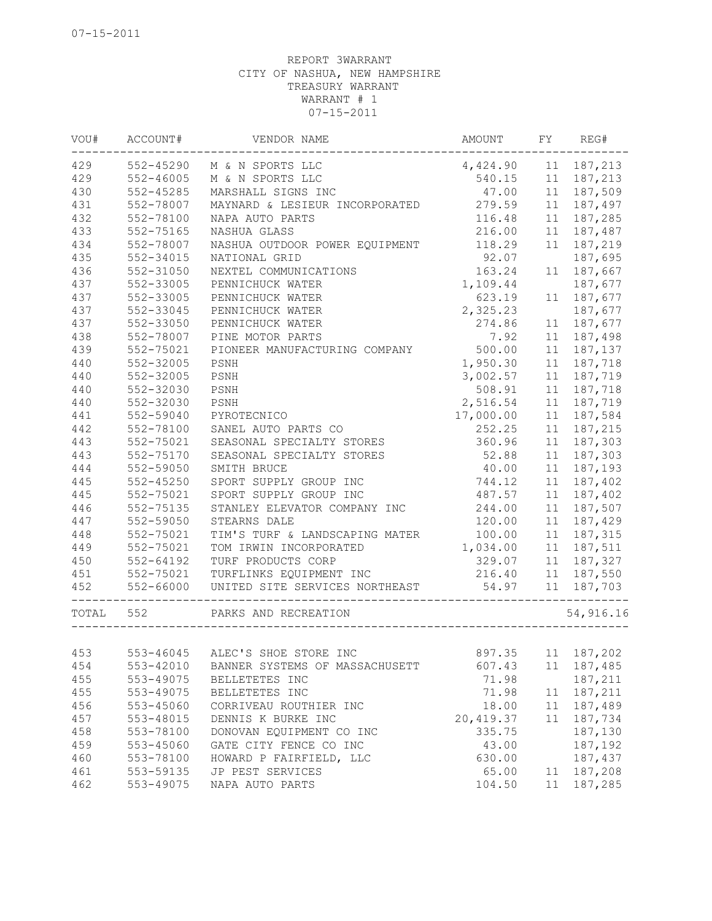| VOU#      | ACCOUNT#      | VENDOR NAME                                 | AMOUNT          | FY | REG#              |
|-----------|---------------|---------------------------------------------|-----------------|----|-------------------|
| 429       | 552-45290     | M & N SPORTS LLC                            | 4,424.90        | 11 | 187,213           |
| 429       | 552-46005     | M & N SPORTS LLC                            | 540.15          | 11 | 187,213           |
| 430       | 552-45285     | MARSHALL SIGNS INC                          | 47.00           | 11 | 187,509           |
| 431       | 552-78007     | MAYNARD & LESIEUR INCORPORATED              | 279.59          | 11 | 187,497           |
| 432       | 552-78100     | NAPA AUTO PARTS                             | 116.48          | 11 | 187,285           |
| 433       | 552-75165     | NASHUA GLASS                                | 216.00          | 11 | 187,487           |
| 434       | 552-78007     | NASHUA OUTDOOR POWER EQUIPMENT              | 118.29          | 11 | 187,219           |
| 435       | 552-34015     | NATIONAL GRID                               | 92.07           |    | 187,695           |
| 436       | 552-31050     | NEXTEL COMMUNICATIONS                       | 163.24          | 11 | 187,667           |
| 437       | 552-33005     | PENNICHUCK WATER                            | 1,109.44        |    | 187,677           |
| 437       | 552-33005     | PENNICHUCK WATER                            | 623.19          | 11 | 187,677           |
| 437       | 552-33045     | PENNICHUCK WATER                            | 2,325.23        |    | 187,677           |
| 437       | 552-33050     | PENNICHUCK WATER                            | 274.86          | 11 | 187,677           |
| 438       | 552-78007     | PINE MOTOR PARTS                            | 7.92            | 11 | 187,498           |
| 439       | 552-75021     | PIONEER MANUFACTURING COMPANY               | 500.00          | 11 | 187,137           |
| 440       | 552-32005     | PSNH                                        | 1,950.30        | 11 | 187,718           |
| 440       | 552-32005     | PSNH                                        | 3,002.57        | 11 | 187,719           |
| 440       | 552-32030     | PSNH                                        | 508.91          | 11 | 187,718           |
| 440       | 552-32030     | PSNH                                        | 2,516.54        | 11 | 187,719           |
| 441       | 552-59040     | PYROTECNICO                                 | 17,000.00       | 11 | 187,584           |
| 442       | 552-78100     | SANEL AUTO PARTS CO                         | 252.25          | 11 | 187,215           |
| 443       | 552-75021     | SEASONAL SPECIALTY STORES                   | 360.96          | 11 | 187,303           |
| 443       | 552-75170     | SEASONAL SPECIALTY STORES                   | 52.88           | 11 | 187,303           |
| 444       | 552-59050     | SMITH BRUCE                                 | 40.00           | 11 | 187,193           |
| 445       | $552 - 45250$ | SPORT SUPPLY GROUP INC                      | 744.12          | 11 | 187,402           |
| 445       | 552-75021     | SPORT SUPPLY GROUP INC                      | 487.57          | 11 | 187,402           |
| 446       | 552-75135     | STANLEY ELEVATOR COMPANY INC                | 244.00          | 11 | 187,507           |
| 447       | 552-59050     | STEARNS DALE                                | 120.00          | 11 | 187,429           |
| 448       | 552-75021     | TIM'S TURF & LANDSCAPING MATER              | 100.00          | 11 | 187,315           |
| 449       | 552-75021     | TOM IRWIN INCORPORATED                      | 1,034.00        | 11 | 187,511           |
| 450       | $552 - 64192$ | TURF PRODUCTS CORP                          | 329.07          | 11 | 187,327           |
| 451       | 552-75021     | TURFLINKS EQUIPMENT INC                     |                 |    | 11 187,550        |
| 452       | 552-66000     | UNITED SITE SERVICES NORTHEAST              | 216.40<br>54.97 | 11 | 187,703           |
| TOTAL 552 |               | PARKS AND RECREATION<br>___________________ |                 |    | 54,916.16         |
|           |               |                                             |                 |    |                   |
| 453       |               | 553-46045 ALEC'S SHOE STORE INC             |                 |    | 897.35 11 187,202 |
| 454       | 553-42010     | BANNER SYSTEMS OF MASSACHUSETT              | 607.43          | 11 | 187,485           |
| 455       | 553-49075     | BELLETETES INC                              | 71.98           |    | 187,211           |
| 455       | 553-49075     | BELLETETES INC                              | 71.98           | 11 | 187,211           |
| 456       | 553-45060     | CORRIVEAU ROUTHIER INC                      | 18.00           | 11 | 187,489           |
| 457       | 553-48015     | DENNIS K BURKE INC                          | 20, 419.37      | 11 | 187,734           |
| 458       | 553-78100     | DONOVAN EQUIPMENT CO INC                    | 335.75          |    | 187,130           |
| 459       | 553-45060     | GATE CITY FENCE CO INC                      | 43.00           |    | 187,192           |
| 460       | 553-78100     | HOWARD P FAIRFIELD, LLC                     | 630.00          |    | 187,437           |
| 461       | 553-59135     | JP PEST SERVICES                            | 65.00           | 11 | 187,208           |
| 462       | 553-49075     | NAPA AUTO PARTS                             | 104.50          | 11 | 187,285           |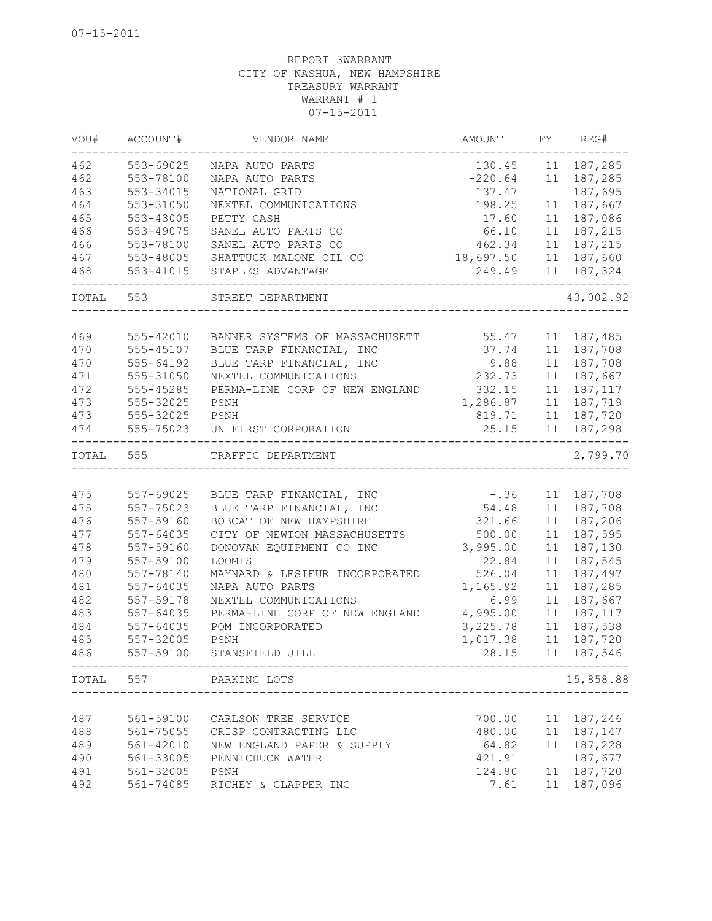| VOU#      | ACCOUNT#  | VENDOR NAME                                          | AMOUNT    | FY | REG#       |
|-----------|-----------|------------------------------------------------------|-----------|----|------------|
| 462       | 553-69025 | NAPA AUTO PARTS                                      | 130.45    | 11 | 187,285    |
| 462       | 553-78100 | NAPA AUTO PARTS                                      | $-220.64$ |    | 11 187,285 |
| 463       | 553-34015 | NATIONAL GRID                                        | 137.47    |    | 187,695    |
| 464       | 553-31050 | NEXTEL COMMUNICATIONS                                | 198.25    | 11 | 187,667    |
| 465       | 553-43005 | PETTY CASH                                           | 17.60     | 11 | 187,086    |
| 466       | 553-49075 | SANEL AUTO PARTS CO                                  | 66.10     | 11 | 187,215    |
| 466       | 553-78100 | SANEL AUTO PARTS CO                                  | 462.34    | 11 | 187,215    |
| 467       | 553-48005 | SHATTUCK MALONE OIL CO                               | 18,697.50 | 11 | 187,660    |
| 468       | 553-41015 | STAPLES ADVANTAGE                                    | 249.49    | 11 | 187,324    |
| TOTAL 553 |           | STREET DEPARTMENT                                    |           |    | 43,002.92  |
|           |           |                                                      |           |    |            |
| 469       | 555-42010 | BANNER SYSTEMS OF MASSACHUSETT                       | 55.47     |    | 11 187,485 |
| 470       | 555-45107 | BLUE TARP FINANCIAL, INC                             | 37.74     | 11 | 187,708    |
| 470       | 555-64192 | BLUE TARP FINANCIAL, INC                             | 9.88      | 11 | 187,708    |
| 471       | 555-31050 | NEXTEL COMMUNICATIONS                                | 232.73    | 11 | 187,667    |
| 472       | 555-45285 | PERMA-LINE CORP OF NEW ENGLAND                       | 332.15    | 11 | 187, 117   |
| 473       | 555-32025 | PSNH                                                 | 1,286.87  | 11 | 187,719    |
| 473       | 555-32025 | PSNH                                                 | 819.71    | 11 | 187,720    |
| 474       | 555-75023 | UNIFIRST CORPORATION                                 | 25.15     | 11 | 187,298    |
| TOTAL     | 555       | TRAFFIC DEPARTMENT                                   |           |    | 2,799.70   |
|           |           |                                                      |           |    |            |
| 475       | 557-69025 | BLUE TARP FINANCIAL, INC                             | $-.36$    |    | 11 187,708 |
| 475       | 557-75023 | BLUE TARP FINANCIAL, INC                             | 54.48     |    | 11 187,708 |
| 476       | 557-59160 | BOBCAT OF NEW HAMPSHIRE                              | 321.66    | 11 | 187,206    |
| 477       | 557-64035 | CITY OF NEWTON MASSACHUSETTS                         | 500.00    | 11 | 187,595    |
| 478       | 557-59160 | DONOVAN EQUIPMENT CO INC                             | 3,995.00  | 11 | 187,130    |
| 479       | 557-59100 | LOOMIS                                               | 22.84     | 11 | 187,545    |
| 480       | 557-78140 | MAYNARD & LESIEUR INCORPORATED                       | 526.04    | 11 | 187,497    |
| 481       | 557-64035 | NAPA AUTO PARTS                                      | 1,165.92  | 11 | 187,285    |
| 482       | 557-59178 | NEXTEL COMMUNICATIONS                                | 6.99      | 11 | 187,667    |
| 483       | 557-64035 | PERMA-LINE CORP OF NEW ENGLAND                       | 4,995.00  | 11 | 187, 117   |
| 484       | 557-64035 | POM INCORPORATED                                     | 3,225.78  | 11 | 187,538    |
| 485       | 557-32005 | PSNH                                                 | 1,017.38  | 11 | 187,720    |
| 486       | 557-59100 | STANSFIELD JILL                                      | 28.15     |    | 11 187,546 |
|           |           | TOTAL 557 PARKING LOTS<br>__________________________ |           |    | 15,858.88  |
|           |           |                                                      |           |    |            |
| 487       | 561-59100 | CARLSON TREE SERVICE                                 | 700.00    | 11 | 187,246    |
| 488       | 561-75055 | CRISP CONTRACTING LLC                                | 480.00    | 11 | 187,147    |
| 489       | 561-42010 | NEW ENGLAND PAPER & SUPPLY                           | 64.82     | 11 | 187,228    |
| 490       | 561-33005 | PENNICHUCK WATER                                     | 421.91    |    | 187,677    |
| 491       | 561-32005 | PSNH                                                 | 124.80    | 11 | 187,720    |
| 492       | 561-74085 | RICHEY & CLAPPER INC                                 | 7.61      | 11 | 187,096    |
|           |           |                                                      |           |    |            |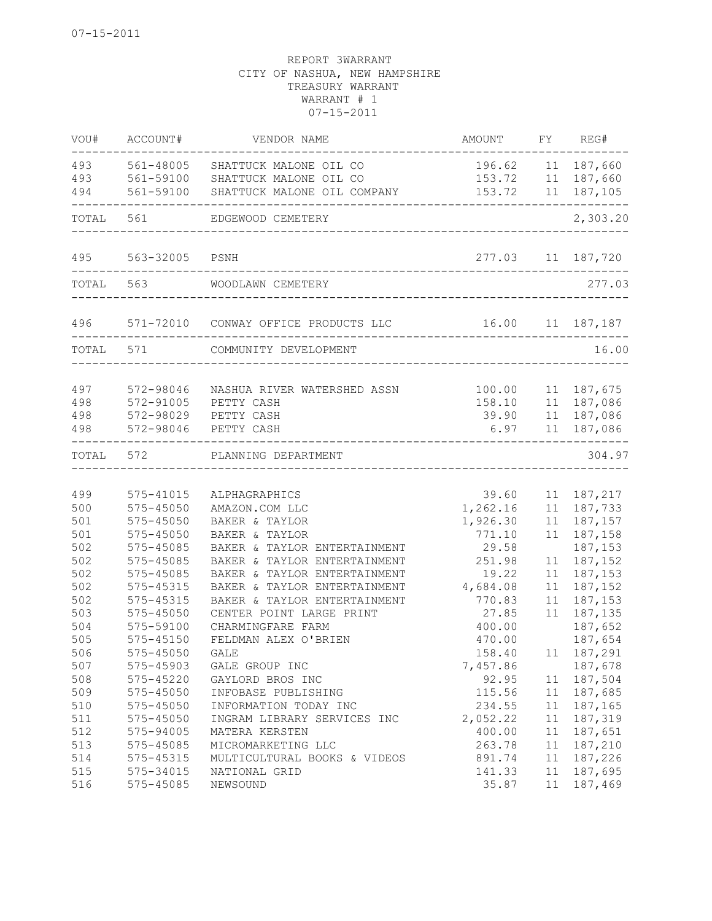| VOU#       | ACCOUNT#               | VENDOR NAME                          | AMOUNT           | FY.      | REG#               |
|------------|------------------------|--------------------------------------|------------------|----------|--------------------|
| 493        | 561-48005              | SHATTUCK MALONE OIL CO               | 196.62           |          | 11 187,660         |
| 493        | 561-59100              | SHATTUCK MALONE OIL CO               | 153.72           |          | 11 187,660         |
| 494        | 561-59100              | SHATTUCK MALONE OIL COMPANY          | 153.72           | 11       | 187,105            |
| TOTAL      | 561                    | EDGEWOOD CEMETERY                    |                  |          | 2,303.20           |
| 495        | 563-32005              | PSNH                                 | 277.03           |          | 11 187,720         |
| TOTAL      | 563                    | WOODLAWN CEMETERY                    |                  |          | 277.03             |
| 496 7      |                        | 571-72010 CONWAY OFFICE PRODUCTS LLC | 16.00 11 187,187 |          |                    |
| TOTAL      | 571                    | COMMUNITY DEVELOPMENT                |                  |          | 16.00              |
|            |                        |                                      |                  |          |                    |
| 497        | 572-98046              | NASHUA RIVER WATERSHED ASSN          | 100.00           | 11       | 187,675            |
| 498        | 572-91005              | PETTY CASH                           | 158.10           |          | 11 187,086         |
| 498<br>498 | 572-98029<br>572-98046 | PETTY CASH<br>PETTY CASH             | 39.90<br>6.97    | 11<br>11 | 187,086<br>187,086 |
| TOTAL      | 572                    | PLANNING DEPARTMENT                  |                  |          | 304.97             |
|            |                        |                                      |                  |          |                    |
| 499        | 575-41015              | ALPHAGRAPHICS                        | 39.60            | 11       | 187,217            |
| 500        | 575-45050              | AMAZON.COM LLC                       | 1,262.16         | 11       | 187,733            |
| 501        | 575-45050              | BAKER & TAYLOR                       | 1,926.30         | 11       | 187,157            |
| 501        | 575-45050              | BAKER & TAYLOR                       | 771.10           | 11       | 187,158            |
| 502        | 575-45085              | BAKER & TAYLOR ENTERTAINMENT         | 29.58            |          | 187,153            |
| 502        | 575-45085              | BAKER & TAYLOR ENTERTAINMENT         | 251.98           | 11       | 187,152            |
| 502        | 575-45085              | BAKER & TAYLOR ENTERTAINMENT         | 19.22            | 11       | 187,153            |
| 502        | 575-45315              | BAKER & TAYLOR ENTERTAINMENT         | 4,684.08         | 11       | 187,152            |
| 502        | 575-45315              | BAKER & TAYLOR ENTERTAINMENT         | 770.83           | 11       | 187,153            |
| 503        | 575-45050              | CENTER POINT LARGE PRINT             | 27.85            | 11       | 187,135            |
| 504        | 575-59100              | CHARMINGFARE FARM                    | 400.00           |          | 187,652            |
| 505        | 575-45150              | FELDMAN ALEX O'BRIEN                 | 470.00           |          | 187,654            |
| 506        | 575-45050              | GALE                                 | 158.40           |          | 11 187,291         |
| 507        | 575-45903              | GALE GROUP INC                       | 7,457.86         |          | 187,678            |
| 508        | 575-45220              | GAYLORD BROS INC                     | 92.95            |          | 11 187,504         |
| 509        | 575-45050              | INFOBASE PUBLISHING                  | 115.56           |          | 11 187,685         |
| 510        | 575-45050              | INFORMATION TODAY INC                | 234.55           | 11       | 187,165            |
| 511        | 575-45050              | INGRAM LIBRARY SERVICES INC          | 2,052.22         | 11       | 187,319            |
| 512        | 575-94005              | MATERA KERSTEN                       | 400.00           | 11       | 187,651            |
| 513        | 575-45085              | MICROMARKETING LLC                   | 263.78           | 11       | 187,210            |
| 514        | 575-45315              | MULTICULTURAL BOOKS & VIDEOS         | 891.74           |          | 11 187,226         |
| 515        | 575-34015<br>575-45085 | NATIONAL GRID                        | 141.33<br>35.87  |          | 11 187,695         |
| 516        |                        | NEWSOUND                             |                  |          | 11 187,469         |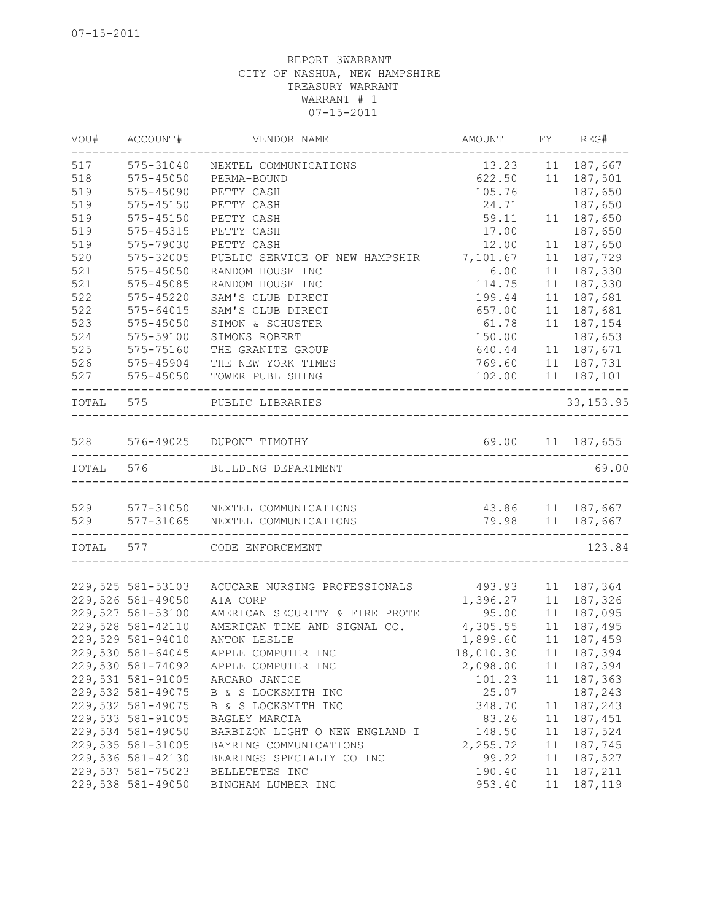| VOU#      | ACCOUNT#                           | VENDOR NAME                             | AMOUNT                            | FY FY | REG#             |
|-----------|------------------------------------|-----------------------------------------|-----------------------------------|-------|------------------|
| 517       | 575-31040                          | NEXTEL COMMUNICATIONS                   | 13.23                             |       | 11 187,667       |
| 518       | $575 - 45050$                      | PERMA-BOUND                             | 622.50                            |       | 11 187,501       |
| 519       | 575-45090                          | PETTY CASH                              | 105.76                            |       | 187,650          |
| 519       | 575-45150                          | PETTY CASH                              | 24.71                             |       | 187,650          |
| 519       | 575-45150                          | PETTY CASH                              | 59.11                             | 11    | 187,650          |
| 519       | 575-45315                          | PETTY CASH                              | 17.00                             |       | 187,650          |
| 519       | 575-79030                          | PETTY CASH                              | 12.00                             | 11    | 187,650          |
| 520       | 575-32005                          | PUBLIC SERVICE OF NEW HAMPSHIR 7,101.67 |                                   | 11    | 187,729          |
| 521       | 575-45050                          | RANDOM HOUSE INC                        | 6.00                              | 11    | 187,330          |
| 521       | 575-45085                          | RANDOM HOUSE INC                        | 114.75                            | 11    | 187,330          |
| 522       | $575 - 45220$                      | SAM'S CLUB DIRECT                       | 199.44                            | 11    | 187,681          |
| 522       | 575-64015                          | SAM'S CLUB DIRECT                       | 657.00                            | 11    | 187,681          |
| 523       | 575-45050                          | SIMON & SCHUSTER                        | 61.78                             | 11    | 187,154          |
| 524       | 575-59100                          | SIMONS ROBERT                           | 150.00                            |       | 187,653          |
| 525       | 575-75160                          | THE GRANITE GROUP                       | 640.44<br>769.60                  |       | 11 187,671       |
| 526       | 575-45904                          | THE NEW YORK TIMES                      |                                   |       | 11 187,731       |
| 527       | 575-45050<br>--------------------- | TOWER PUBLISHING                        | 102.00<br>----------------------- |       | 11 187,101       |
| TOTAL 575 |                                    | PUBLIC LIBRARIES                        |                                   |       | 33, 153.95       |
| 528       |                                    | 576-49025 DUPONT TIMOTHY                | 69.00                             |       | 11 187,655       |
| TOTAL 576 |                                    | BUILDING DEPARTMENT                     |                                   |       | 69.00            |
|           |                                    |                                         |                                   |       |                  |
|           |                                    | 529 577-31050 NEXTEL COMMUNICATIONS     | 43.86 11 187,667                  |       |                  |
|           |                                    | 529 577-31065 NEXTEL COMMUNICATIONS     |                                   |       | 79.98 11 187,667 |
|           |                                    | TOTAL 577 CODE ENFORCEMENT              |                                   |       | 123.84           |
|           |                                    |                                         |                                   |       |                  |
|           | 229,525 581-53103                  | ACUCARE NURSING PROFESSIONALS           | 493.93                            |       | 11 187,364       |
|           | 229,526 581-49050                  | AIA CORP                                | 1,396.27                          | 11    | 187,326          |
|           | 229,527 581-53100                  | AMERICAN SECURITY & FIRE PROTE          | 95.00                             | 11    | 187,095          |
|           | 229,528 581-42110                  | AMERICAN TIME AND SIGNAL CO.            | 4,305.55                          | 11    | 187,495          |
|           | 229,529 581-94010                  | ANTON LESLIE                            | 1,899.60                          | 11    | 187,459          |
|           | 229,530 581-64045                  | APPLE COMPUTER INC                      | 18,010.30                         |       | 11 187,394       |
|           | 229,530 581-74092                  | APPLE COMPUTER INC                      | 2,098.00                          | 11    | 187,394          |
|           | 229,531 581-91005                  | ARCARO JANICE                           | 101.23                            | 11    | 187,363          |
|           | 229,532 581-49075                  | B & S LOCKSMITH INC                     | 25.07                             |       | 187,243          |
|           | 229,532 581-49075                  | B & S LOCKSMITH INC                     | 348.70                            | 11    | 187,243          |
|           | 229,533 581-91005                  | BAGLEY MARCIA                           | 83.26                             | 11    | 187,451          |
|           | 229,534 581-49050                  | BARBIZON LIGHT O NEW ENGLAND I          | 148.50                            | 11    | 187,524          |
|           | 229,535 581-31005                  | BAYRING COMMUNICATIONS                  | 2,255.72                          | 11    | 187,745          |
|           | 229,536 581-42130                  | BEARINGS SPECIALTY CO INC               | 99.22                             | 11    | 187,527          |
|           | 229,537 581-75023                  | BELLETETES INC                          | 190.40                            | 11    | 187,211          |
|           | 229,538 581-49050                  | BINGHAM LUMBER INC                      | 953.40                            | 11    | 187,119          |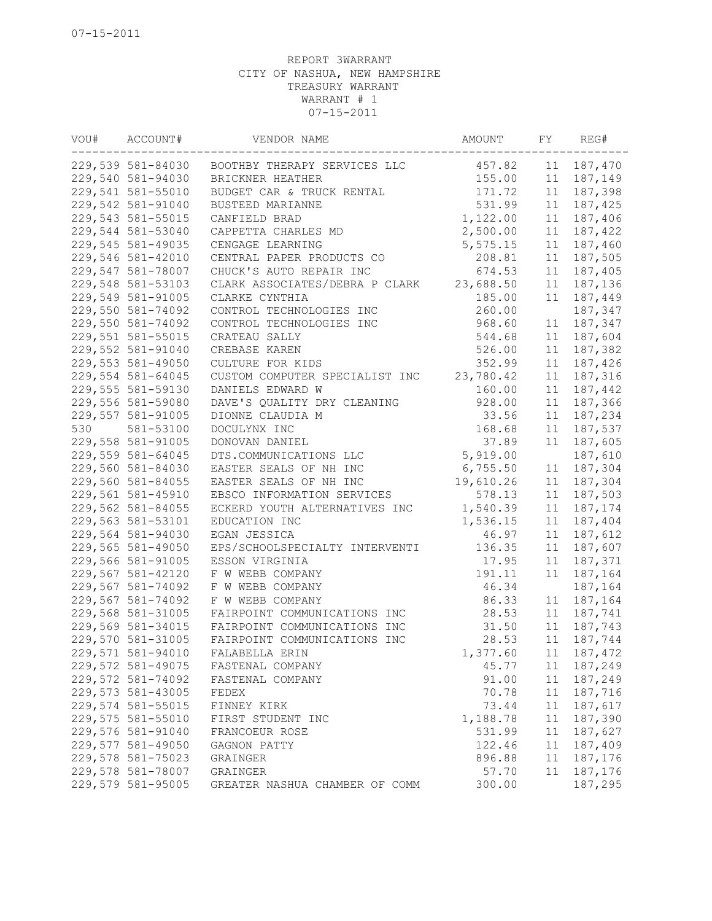| VOU# | ACCOUNT#          | VENDOR NAME                    | AMOUNT    | FY | REG#       |
|------|-------------------|--------------------------------|-----------|----|------------|
|      | 229,539 581-84030 | BOOTHBY THERAPY SERVICES LLC   | 457.82    | 11 | 187,470    |
|      | 229,540 581-94030 | BRICKNER HEATHER               | 155.00    | 11 | 187,149    |
|      | 229,541 581-55010 | BUDGET CAR & TRUCK RENTAL      | 171.72    | 11 | 187,398    |
|      | 229,542 581-91040 | BUSTEED MARIANNE               | 531.99    | 11 | 187,425    |
|      | 229,543 581-55015 | CANFIELD BRAD                  | 1,122.00  | 11 | 187,406    |
|      | 229,544 581-53040 | CAPPETTA CHARLES MD            | 2,500.00  | 11 | 187,422    |
|      | 229,545 581-49035 | CENGAGE LEARNING               | 5,575.15  | 11 | 187,460    |
|      | 229,546 581-42010 | CENTRAL PAPER PRODUCTS CO      | 208.81    | 11 | 187,505    |
|      | 229,547 581-78007 | CHUCK'S AUTO REPAIR INC        | 674.53    | 11 | 187,405    |
|      | 229,548 581-53103 | CLARK ASSOCIATES/DEBRA P CLARK | 23,688.50 | 11 | 187,136    |
|      | 229,549 581-91005 | CLARKE CYNTHIA                 | 185.00    | 11 | 187,449    |
|      | 229,550 581-74092 | CONTROL TECHNOLOGIES INC       | 260.00    |    | 187,347    |
|      | 229,550 581-74092 | CONTROL TECHNOLOGIES INC       | 968.60    | 11 | 187,347    |
|      | 229,551 581-55015 | CRATEAU SALLY                  | 544.68    |    | 11 187,604 |
|      | 229,552 581-91040 | CREBASE KAREN                  | 526.00    | 11 | 187,382    |
|      | 229,553 581-49050 | CULTURE FOR KIDS               | 352.99    | 11 | 187,426    |
|      | 229,554 581-64045 | CUSTOM COMPUTER SPECIALIST INC | 23,780.42 | 11 | 187,316    |
|      | 229,555 581-59130 | DANIELS EDWARD W               | 160.00    | 11 | 187,442    |
|      | 229,556 581-59080 | DAVE'S QUALITY DRY CLEANING    | 928.00    | 11 | 187,366    |
|      | 229,557 581-91005 | DIONNE CLAUDIA M               | 33.56     | 11 | 187,234    |
| 530  | 581-53100         | DOCULYNX INC                   | 168.68    | 11 | 187,537    |
|      | 229,558 581-91005 | DONOVAN DANIEL                 | 37.89     | 11 | 187,605    |
|      | 229,559 581-64045 | DTS.COMMUNICATIONS LLC         | 5,919.00  |    | 187,610    |
|      | 229,560 581-84030 | EASTER SEALS OF NH INC         | 6,755.50  | 11 | 187,304    |
|      | 229,560 581-84055 | EASTER SEALS OF NH INC         | 19,610.26 | 11 | 187,304    |
|      | 229,561 581-45910 | EBSCO INFORMATION SERVICES     | 578.13    | 11 | 187,503    |
|      | 229,562 581-84055 | ECKERD YOUTH ALTERNATIVES INC  | 1,540.39  | 11 | 187,174    |
|      | 229,563 581-53101 | EDUCATION INC                  | 1,536.15  | 11 | 187,404    |
|      | 229,564 581-94030 | EGAN JESSICA                   | 46.97     | 11 | 187,612    |
|      | 229,565 581-49050 | EPS/SCHOOLSPECIALTY INTERVENTI | 136.35    | 11 | 187,607    |
|      | 229,566 581-91005 | ESSON VIRGINIA                 | 17.95     | 11 | 187,371    |
|      | 229,567 581-42120 | F W WEBB COMPANY               | 191.11    | 11 | 187,164    |
|      | 229,567 581-74092 | F W WEBB COMPANY               | 46.34     |    | 187,164    |
|      | 229,567 581-74092 | F W WEBB COMPANY               | 86.33     | 11 | 187,164    |
|      | 229,568 581-31005 | FAIRPOINT COMMUNICATIONS INC   | 28.53     | 11 | 187,741    |
|      | 229,569 581-34015 | FAIRPOINT COMMUNICATIONS INC   | 31.50     | 11 | 187,743    |
|      | 229,570 581-31005 | FAIRPOINT COMMUNICATIONS INC   | 28.53     | 11 | 187,744    |
|      | 229,571 581-94010 | FALABELLA ERIN                 | 1,377.60  |    | 11 187,472 |
|      | 229,572 581-49075 | FASTENAL COMPANY               | 45.77     | 11 | 187,249    |
|      | 229,572 581-74092 | FASTENAL COMPANY               | 91.00     | 11 | 187,249    |
|      | 229,573 581-43005 | FEDEX                          | 70.78     | 11 | 187,716    |
|      | 229,574 581-55015 | FINNEY KIRK                    | 73.44     | 11 | 187,617    |
|      | 229,575 581-55010 | FIRST STUDENT INC              | 1,188.78  | 11 | 187,390    |
|      | 229,576 581-91040 | FRANCOEUR ROSE                 | 531.99    | 11 | 187,627    |
|      | 229,577 581-49050 | GAGNON PATTY                   | 122.46    | 11 | 187,409    |
|      | 229,578 581-75023 | GRAINGER                       | 896.88    | 11 | 187,176    |
|      | 229,578 581-78007 | GRAINGER                       | 57.70     | 11 | 187,176    |
|      | 229,579 581-95005 | GREATER NASHUA CHAMBER OF COMM | 300.00    |    | 187,295    |
|      |                   |                                |           |    |            |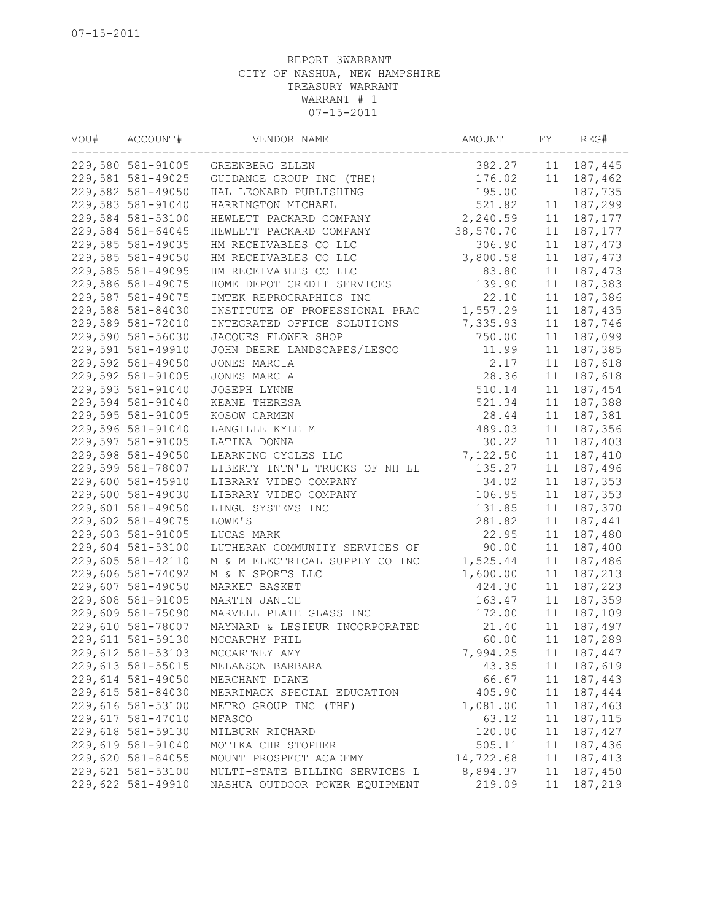| VOU# | ACCOUNT#          | VENDOR NAME                    | AMOUNT    | FY | REG#        |
|------|-------------------|--------------------------------|-----------|----|-------------|
|      | 229,580 581-91005 | GREENBERG ELLEN                | 382.27    | 11 | 187,445     |
|      | 229,581 581-49025 | GUIDANCE GROUP INC (THE)       | 176.02    | 11 | 187,462     |
|      | 229,582 581-49050 | HAL LEONARD PUBLISHING         | 195.00    |    | 187,735     |
|      | 229,583 581-91040 | HARRINGTON MICHAEL             | 521.82    | 11 | 187,299     |
|      | 229,584 581-53100 | HEWLETT PACKARD COMPANY        | 2,240.59  | 11 | 187,177     |
|      | 229,584 581-64045 | HEWLETT PACKARD COMPANY        | 38,570.70 | 11 | 187,177     |
|      | 229,585 581-49035 | HM RECEIVABLES CO LLC          | 306.90    | 11 | 187,473     |
|      | 229,585 581-49050 | HM RECEIVABLES CO LLC          | 3,800.58  | 11 | 187,473     |
|      | 229,585 581-49095 | HM RECEIVABLES CO LLC          | 83.80     | 11 | 187,473     |
|      | 229,586 581-49075 | HOME DEPOT CREDIT SERVICES     | 139.90    | 11 | 187,383     |
|      | 229,587 581-49075 | IMTEK REPROGRAPHICS INC        | 22.10     | 11 | 187,386     |
|      | 229,588 581-84030 | INSTITUTE OF PROFESSIONAL PRAC | 1,557.29  | 11 | 187,435     |
|      | 229,589 581-72010 | INTEGRATED OFFICE SOLUTIONS    | 7,335.93  | 11 | 187,746     |
|      | 229,590 581-56030 | JACQUES FLOWER SHOP            | 750.00    | 11 | 187,099     |
|      | 229,591 581-49910 | JOHN DEERE LANDSCAPES/LESCO    | 11.99     | 11 | 187,385     |
|      | 229,592 581-49050 | JONES MARCIA                   | 2.17      | 11 | 187,618     |
|      | 229,592 581-91005 | JONES MARCIA                   | 28.36     | 11 | 187,618     |
|      | 229,593 581-91040 | JOSEPH LYNNE                   | 510.14    | 11 | 187,454     |
|      | 229,594 581-91040 | KEANE THERESA                  | 521.34    | 11 | 187,388     |
|      | 229,595 581-91005 | KOSOW CARMEN                   | 28.44     | 11 | 187,381     |
|      | 229,596 581-91040 | LANGILLE KYLE M                | 489.03    | 11 | 187,356     |
|      | 229,597 581-91005 | LATINA DONNA                   | 30.22     | 11 | 187,403     |
|      | 229,598 581-49050 | LEARNING CYCLES LLC            | 7,122.50  | 11 | 187,410     |
|      | 229,599 581-78007 | LIBERTY INTN'L TRUCKS OF NH LL | 135.27    | 11 | 187,496     |
|      | 229,600 581-45910 | LIBRARY VIDEO COMPANY          | 34.02     | 11 | 187,353     |
|      | 229,600 581-49030 | LIBRARY VIDEO COMPANY          | 106.95    | 11 | 187,353     |
|      | 229,601 581-49050 | LINGUISYSTEMS INC              | 131.85    | 11 | 187,370     |
|      | 229,602 581-49075 | LOWE'S                         | 281.82    | 11 | 187,441     |
|      | 229,603 581-91005 | LUCAS MARK                     | 22.95     | 11 | 187,480     |
|      | 229,604 581-53100 | LUTHERAN COMMUNITY SERVICES OF | 90.00     | 11 | 187,400     |
|      | 229,605 581-42110 | M & M ELECTRICAL SUPPLY CO INC | 1,525.44  | 11 | 187,486     |
|      | 229,606 581-74092 | M & N SPORTS LLC               | 1,600.00  | 11 | 187,213     |
|      | 229,607 581-49050 | MARKET BASKET                  | 424.30    | 11 | 187,223     |
|      | 229,608 581-91005 | MARTIN JANICE                  | 163.47    | 11 | 187,359     |
|      | 229,609 581-75090 | MARVELL PLATE GLASS INC        | 172.00    | 11 | 187,109     |
|      | 229,610 581-78007 | MAYNARD & LESIEUR INCORPORATED | 21.40     | 11 | 187,497     |
|      | 229,611 581-59130 | MCCARTHY PHIL                  | 60.00     | 11 | 187,289     |
|      | 229,612 581-53103 | MCCARTNEY AMY                  | 7,994.25  |    | 11 187,447  |
|      | 229,613 581-55015 | MELANSON BARBARA               | 43.35     | 11 | 187,619     |
|      | 229,614 581-49050 | MERCHANT DIANE                 | 66.67     | 11 | 187,443     |
|      | 229,615 581-84030 | MERRIMACK SPECIAL EDUCATION    | 405.90    |    | 11 187,444  |
|      | 229,616 581-53100 | METRO GROUP INC (THE)          | 1,081.00  | 11 | 187,463     |
|      | 229,617 581-47010 | MFASCO                         | 63.12     | 11 | 187,115     |
|      | 229,618 581-59130 | MILBURN RICHARD                | 120.00    | 11 | 187,427     |
|      | 229,619 581-91040 | MOTIKA CHRISTOPHER             | 505.11    |    | 11 187,436  |
|      | 229,620 581-84055 | MOUNT PROSPECT ACADEMY         | 14,722.68 |    | 11 187, 413 |
|      | 229,621 581-53100 | MULTI-STATE BILLING SERVICES L | 8,894.37  | 11 | 187,450     |
|      | 229,622 581-49910 | NASHUA OUTDOOR POWER EQUIPMENT | 219.09    | 11 | 187,219     |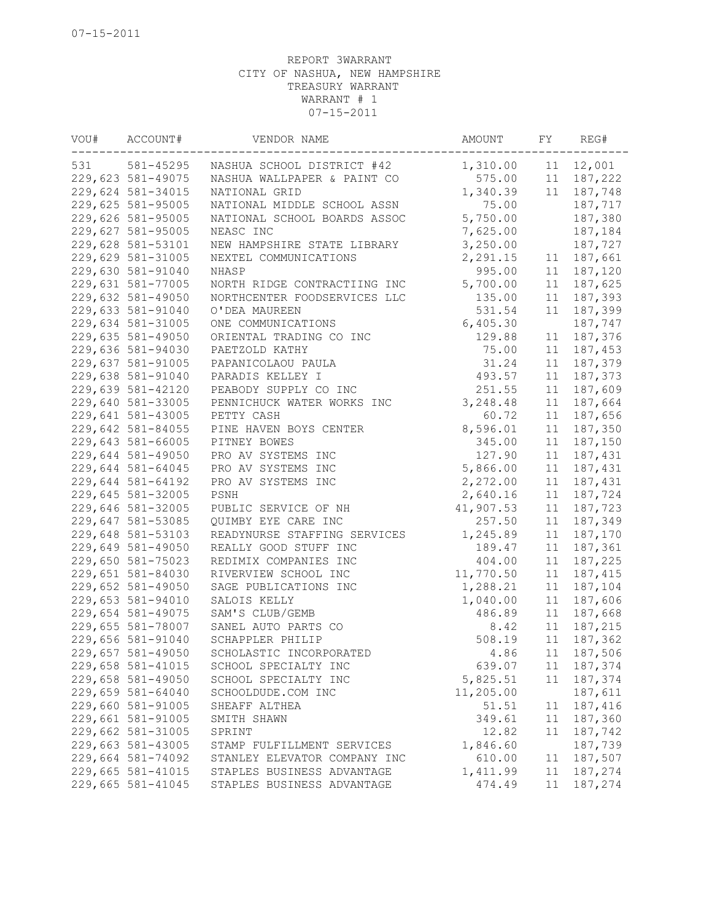| VOU# | ACCOUNT#          | VENDOR NAME                  | AMOUNT    | FY | REG#       |
|------|-------------------|------------------------------|-----------|----|------------|
| 531  | 581-45295         | NASHUA SCHOOL DISTRICT #42   | 1,310.00  |    | 11 12,001  |
|      | 229,623 581-49075 | NASHUA WALLPAPER & PAINT CO  | 575.00    |    | 11 187,222 |
|      | 229,624 581-34015 | NATIONAL GRID                | 1,340.39  | 11 | 187,748    |
|      | 229,625 581-95005 | NATIONAL MIDDLE SCHOOL ASSN  | 75.00     |    | 187,717    |
|      | 229,626 581-95005 | NATIONAL SCHOOL BOARDS ASSOC | 5,750.00  |    | 187,380    |
|      | 229,627 581-95005 | NEASC INC                    | 7,625.00  |    | 187,184    |
|      | 229,628 581-53101 | NEW HAMPSHIRE STATE LIBRARY  | 3,250.00  |    | 187,727    |
|      | 229,629 581-31005 | NEXTEL COMMUNICATIONS        | 2,291.15  | 11 | 187,661    |
|      | 229,630 581-91040 | NHASP                        | 995.00    | 11 | 187,120    |
|      | 229,631 581-77005 | NORTH RIDGE CONTRACTIING INC | 5,700.00  | 11 | 187,625    |
|      | 229,632 581-49050 | NORTHCENTER FOODSERVICES LLC | 135.00    | 11 | 187,393    |
|      | 229,633 581-91040 | O'DEA MAUREEN                | 531.54    | 11 | 187,399    |
|      | 229,634 581-31005 | ONE COMMUNICATIONS           | 6,405.30  |    | 187,747    |
|      | 229,635 581-49050 | ORIENTAL TRADING CO INC      | 129.88    | 11 | 187,376    |
|      | 229,636 581-94030 | PAETZOLD KATHY               | 75.00     | 11 | 187,453    |
|      | 229,637 581-91005 | PAPANICOLAOU PAULA           | 31.24     | 11 | 187,379    |
|      | 229,638 581-91040 | PARADIS KELLEY I             | 493.57    | 11 | 187,373    |
|      | 229,639 581-42120 | PEABODY SUPPLY CO INC        | 251.55    | 11 | 187,609    |
|      | 229,640 581-33005 | PENNICHUCK WATER WORKS INC   | 3,248.48  | 11 | 187,664    |
|      | 229,641 581-43005 | PETTY CASH                   | 60.72     | 11 | 187,656    |
|      | 229,642 581-84055 | PINE HAVEN BOYS CENTER       | 8,596.01  | 11 | 187,350    |
|      | 229,643 581-66005 | PITNEY BOWES                 | 345.00    | 11 | 187,150    |
|      | 229,644 581-49050 | PRO AV SYSTEMS INC           | 127.90    | 11 | 187,431    |
|      | 229,644 581-64045 | PRO AV SYSTEMS INC           | 5,866.00  | 11 |            |
|      | 229,644 581-64192 | PRO AV SYSTEMS INC           |           |    | 187,431    |
|      |                   |                              | 2,272.00  | 11 | 187,431    |
|      | 229,645 581-32005 | PSNH                         | 2,640.16  | 11 | 187,724    |
|      | 229,646 581-32005 | PUBLIC SERVICE OF NH         | 41,907.53 | 11 | 187,723    |
|      | 229,647 581-53085 | QUIMBY EYE CARE INC          | 257.50    | 11 | 187,349    |
|      | 229,648 581-53103 | READYNURSE STAFFING SERVICES | 1,245.89  | 11 | 187,170    |
|      | 229,649 581-49050 | REALLY GOOD STUFF INC        | 189.47    | 11 | 187,361    |
|      | 229,650 581-75023 | REDIMIX COMPANIES INC        | 404.00    | 11 | 187,225    |
|      | 229,651 581-84030 | RIVERVIEW SCHOOL INC         | 11,770.50 | 11 | 187,415    |
|      | 229,652 581-49050 | SAGE PUBLICATIONS INC        | 1,288.21  | 11 | 187,104    |
|      | 229,653 581-94010 | SALOIS KELLY                 | 1,040.00  | 11 | 187,606    |
|      | 229,654 581-49075 | SAM'S CLUB/GEMB              | 486.89    | 11 | 187,668    |
|      | 229,655 581-78007 | SANEL AUTO PARTS CO          | 8.42      | 11 | 187,215    |
|      | 229,656 581-91040 | SCHAPPLER PHILIP             | 508.19    | 11 | 187,362    |
|      | 229,657 581-49050 | SCHOLASTIC INCORPORATED      | 4.86      |    | 11 187,506 |
|      | 229,658 581-41015 | SCHOOL SPECIALTY INC         | 639.07    | 11 | 187,374    |
|      | 229,658 581-49050 | SCHOOL SPECIALTY INC         | 5,825.51  | 11 | 187,374    |
|      | 229,659 581-64040 | SCHOOLDUDE.COM INC           | 11,205.00 |    | 187,611    |
|      | 229,660 581-91005 | SHEAFF ALTHEA                | 51.51     | 11 | 187,416    |
|      | 229,661 581-91005 | SMITH SHAWN                  | 349.61    | 11 | 187,360    |
|      | 229,662 581-31005 | SPRINT                       | 12.82     | 11 | 187,742    |
|      | 229,663 581-43005 | STAMP FULFILLMENT SERVICES   | 1,846.60  |    | 187,739    |
|      | 229,664 581-74092 | STANLEY ELEVATOR COMPANY INC | 610.00    | 11 | 187,507    |
|      | 229,665 581-41015 | STAPLES BUSINESS ADVANTAGE   | 1,411.99  | 11 | 187,274    |
|      | 229,665 581-41045 | STAPLES BUSINESS ADVANTAGE   | 474.49    | 11 | 187,274    |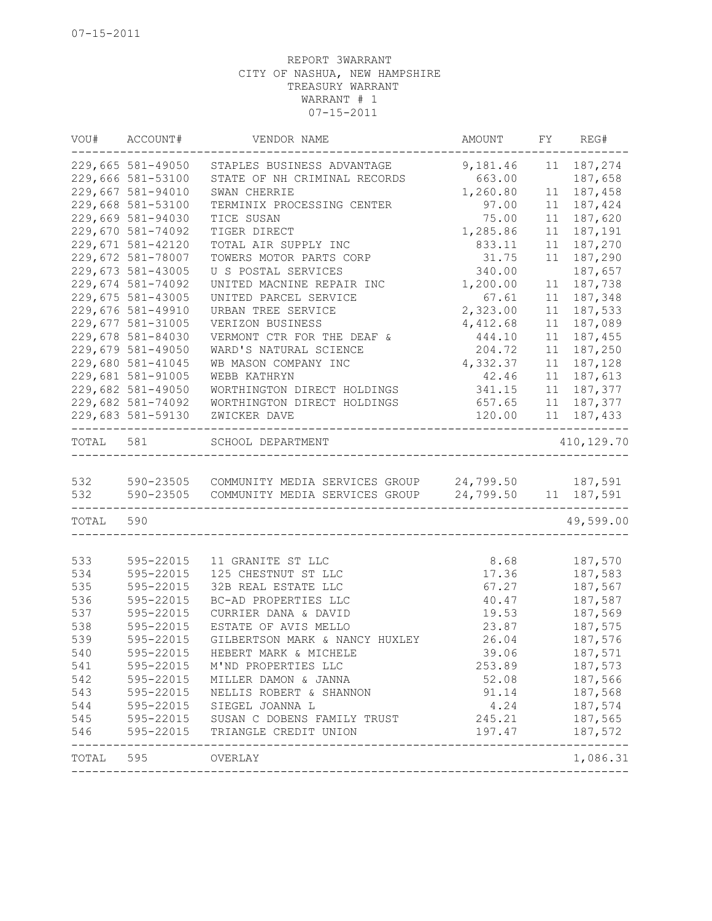|           | VOU# ACCOUNT#     | VENDOR NAME                                                | AMOUNT   | FY | REG#        |
|-----------|-------------------|------------------------------------------------------------|----------|----|-------------|
|           | 229,665 581-49050 | STAPLES BUSINESS ADVANTAGE                                 | 9,181.46 |    | 11 187,274  |
|           | 229,666 581-53100 | STATE OF NH CRIMINAL RECORDS                               | 663.00   |    | 187,658     |
|           | 229,667 581-94010 | SWAN CHERRIE                                               | 1,260.80 | 11 | 187,458     |
|           | 229,668 581-53100 | TERMINIX PROCESSING CENTER                                 | 97.00    | 11 | 187,424     |
|           | 229,669 581-94030 | TICE SUSAN                                                 | 75.00    | 11 | 187,620     |
|           | 229,670 581-74092 | TIGER DIRECT                                               | 1,285.86 | 11 | 187,191     |
|           | 229,671 581-42120 | TOTAL AIR SUPPLY INC                                       | 833.11   | 11 | 187,270     |
|           | 229,672 581-78007 | TOWERS MOTOR PARTS CORP                                    | 31.75    | 11 | 187,290     |
|           | 229,673 581-43005 | U S POSTAL SERVICES                                        | 340.00   |    | 187,657     |
|           | 229,674 581-74092 | UNITED MACNINE REPAIR INC                                  | 1,200.00 | 11 | 187,738     |
|           | 229,675 581-43005 | UNITED PARCEL SERVICE                                      | 67.61    | 11 | 187,348     |
|           | 229,676 581-49910 | URBAN TREE SERVICE                                         | 2,323.00 | 11 | 187,533     |
|           | 229,677 581-31005 | VERIZON BUSINESS                                           | 4,412.68 | 11 | 187,089     |
|           | 229,678 581-84030 | VERMONT CTR FOR THE DEAF &                                 | 444.10   | 11 | 187,455     |
|           | 229,679 581-49050 | WARD'S NATURAL SCIENCE                                     | 204.72   | 11 | 187,250     |
|           | 229,680 581-41045 | WB MASON COMPANY INC                                       | 4,332.37 | 11 | 187,128     |
|           | 229,681 581-91005 | WEBB KATHRYN                                               | 42.46    | 11 | 187,613     |
|           | 229,682 581-49050 | WORTHINGTON DIRECT HOLDINGS                                | 341.15   | 11 | 187,377     |
|           | 229,682 581-74092 | WORTHINGTON DIRECT HOLDINGS                                | 657.65   |    | 11 187, 377 |
|           | 229,683 581-59130 | ZWICKER DAVE                                               | 120.00   |    | 11 187,433  |
| TOTAL 581 |                   | SCHOOL DEPARTMENT                                          |          |    | 410,129.70  |
|           |                   |                                                            |          |    |             |
| 532       |                   | 590-23505 COMMUNITY MEDIA SERVICES GROUP 24,799.50 187,591 |          |    |             |
| 532       |                   | 590-23505 COMMUNITY MEDIA SERVICES GROUP 24,799.50         |          |    | 11 187,591  |
| TOTAL 590 |                   |                                                            |          |    | 49,599.00   |
|           |                   |                                                            |          |    |             |
| 533       | 595-22015         | 11 GRANITE ST LLC                                          | 8.68     |    | 187,570     |
| 534       | 595-22015         | 125 CHESTNUT ST LLC                                        | 17.36    |    | 187,583     |
| 535       | 595-22015         | 32B REAL ESTATE LLC                                        | 67.27    |    | 187,567     |
| 536       | 595-22015         | BC-AD PROPERTIES LLC                                       | 40.47    |    | 187,587     |
| 537       | 595-22015         | CURRIER DANA & DAVID                                       | 19.53    |    | 187,569     |
| 538       | 595-22015         | ESTATE OF AVIS MELLO                                       | 23.87    |    | 187,575     |
| 539       | 595-22015         | GILBERTSON MARK & NANCY HUXLEY                             | 26.04    |    | 187,576     |
| 540       | 595-22015         | HEBERT MARK & MICHELE                                      | 39.06    |    | 187,571     |
| 541       |                   | 595-22015 M'ND PROPERTIES LLC                              | 253.89   |    | 187,573     |
|           |                   | 542 595-22015 MILLER DAMON & JANNA                         | 52.08    |    | 187,566     |
| 543       |                   | 595-22015 NELLIS ROBERT & SHANNON                          | 91.14    |    | 187,568     |
| 544       |                   | 595-22015 SIEGEL JOANNA L                                  | 4.24     |    | 187,574     |
| 545       |                   | 595-22015 SUSAN C DOBENS FAMILY TRUST                      | 245.21   |    | 187,565     |
| 546       |                   | 595-22015 TRIANGLE CREDIT UNION                            | 197.47   |    | 187,572     |
|           | TOTAL 595 OVERLAY |                                                            |          |    | 1,086.31    |
|           |                   |                                                            |          |    |             |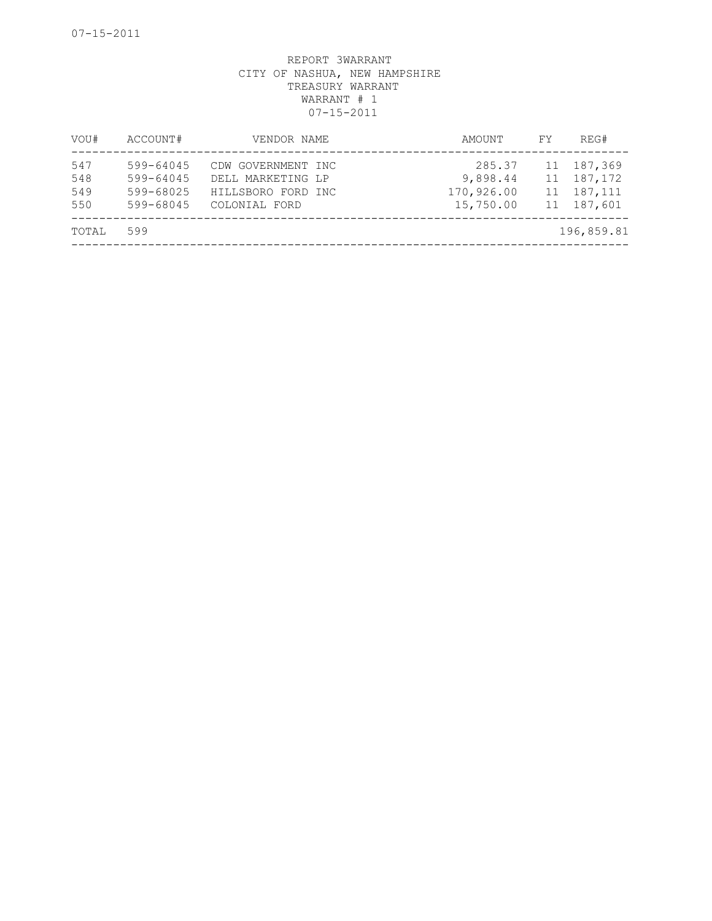| VOU#                     | ACCOUNT#                                         | VENDOR NAME                                                                    | AMOUNT                                        | FY | REG#                                                   |
|--------------------------|--------------------------------------------------|--------------------------------------------------------------------------------|-----------------------------------------------|----|--------------------------------------------------------|
| 547<br>548<br>549<br>550 | 599-64045<br>599-64045<br>599-68025<br>599-68045 | CDW GOVERNMENT INC<br>DELL MARKETING LP<br>HILLSBORO FORD INC<br>COLONIAL FORD | 285.37<br>9,898.44<br>170,926.00<br>15,750.00 |    | 11 187,369<br>11 187, 172<br>11 187, 111<br>11 187,601 |
| TOTAL                    | 599                                              |                                                                                |                                               |    | 196,859.81                                             |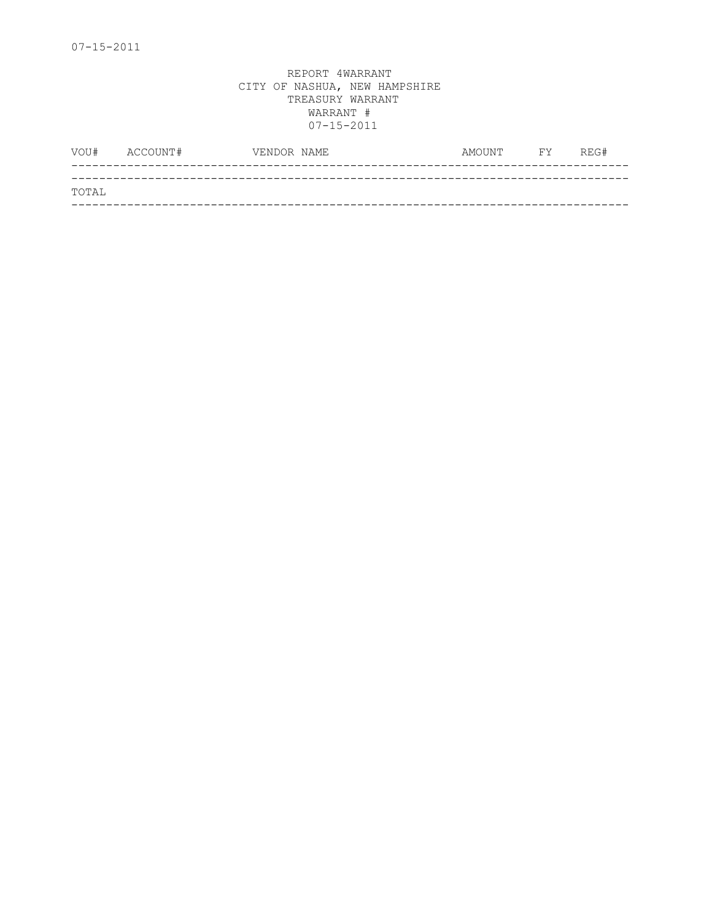|       | VOU# ACCOUNT# | VENDOR NAME | AMOUNT | <b>FY</b> | REG# |
|-------|---------------|-------------|--------|-----------|------|
|       |               |             |        |           |      |
| TOTAL |               |             |        |           |      |
|       |               |             |        |           |      |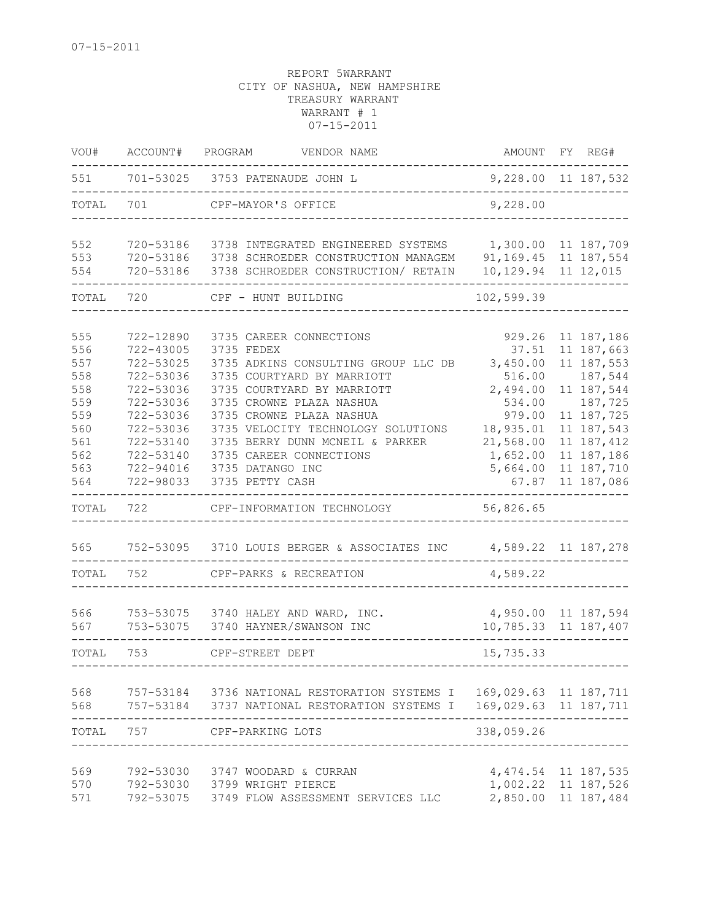| VOU#       | ACCOUNT#               | PROGRAM<br>VENDOR NAME                                                  | AMOUNT                  | FY REG#               |
|------------|------------------------|-------------------------------------------------------------------------|-------------------------|-----------------------|
| 551        |                        | 701-53025 3753 PATENAUDE JOHN L                                         | 9,228.00 11 187,532     |                       |
| TOTAL      | 701                    | CPF-MAYOR'S OFFICE                                                      | 9,228.00                |                       |
| 552        | 720-53186              | 3738 INTEGRATED ENGINEERED SYSTEMS                                      | 1,300.00 11 187,709     |                       |
| 553        | 720-53186<br>720-53186 | 3738 SCHROEDER CONSTRUCTION MANAGEM                                     | 91, 169. 45 11 187, 554 |                       |
| 554        |                        | 3738 SCHROEDER CONSTRUCTION/ RETAIN                                     | 10, 129.94 11 12, 015   |                       |
| TOTAL      | 720                    | CPF - HUNT BUILDING                                                     | 102,599.39              |                       |
|            |                        |                                                                         |                         |                       |
| 555        | 722-12890              | 3735 CAREER CONNECTIONS                                                 | 929.26                  | 11 187,186            |
| 556        | 722-43005              | 3735 FEDEX                                                              | 37.51                   | 11 187,663            |
| 557        | 722-53025              | 3735 ADKINS CONSULTING GROUP LLC DB                                     | 3,450.00                | 11 187,553            |
| 558<br>558 | 722-53036<br>722-53036 | 3735 COURTYARD BY MARRIOTT<br>3735 COURTYARD BY MARRIOTT                | 516.00                  | 187,544<br>11 187,544 |
| 559        |                        |                                                                         | 2,494.00                | 187,725               |
| 559        | 722-53036<br>722-53036 | 3735 CROWNE PLAZA NASHUA<br>3735 CROWNE PLAZA NASHUA                    | 534.00<br>979.00        | 11 187,725            |
| 560        | 722-53036              | 3735 VELOCITY TECHNOLOGY SOLUTIONS                                      | 18,935.01               | 11 187,543            |
| 561        | 722-53140              | 3735 BERRY DUNN MCNEIL & PARKER                                         | 21,568.00               | 11 187, 412           |
| 562        | 722-53140              | 3735 CAREER CONNECTIONS                                                 | 1,652.00                | 11 187,186            |
| 563        | 722-94016              | 3735 DATANGO INC                                                        | 5,664.00                | 11 187,710            |
| 564        | 722-98033              | 3735 PETTY CASH                                                         | 67.87                   | 11 187,086            |
| TOTAL      | 722                    | CPF-INFORMATION TECHNOLOGY                                              | 56,826.65               |                       |
| 565        | 752-53095              | 3710 LOUIS BERGER & ASSOCIATES INC                                      | 4,589.22 11 187,278     |                       |
| TOTAL      | 752                    | CPF-PARKS & RECREATION                                                  | 4,589.22                |                       |
|            |                        |                                                                         |                         |                       |
| 566        | 753-53075              | 3740 HALEY AND WARD, INC.                                               | 4,950.00 11 187,594     |                       |
| 567        | 753-53075              | 3740 HAYNER/SWANSON INC                                                 | 10,785.33 11 187,407    |                       |
| TOTAL      | 753                    | CPF-STREET DEPT                                                         | 15,735.33               |                       |
| 568        |                        | 757-53184  3736 NATIONAL RESTORATION SYSTEMS I  169,029.63  11  187,711 |                         |                       |
|            |                        | 568 757-53184 3737 NATIONAL RESTORATION SYSTEMS I                       | 169,029.63 11 187,711   |                       |
| TOTAL      | 757                    | CPF-PARKING LOTS                                                        | 338,059.26              |                       |
| 569        |                        | 792-53030 3747 WOODARD & CURRAN                                         | 4, 474.54 11 187, 535   |                       |
| 570        |                        | 792-53030 3799 WRIGHT PIERCE                                            | 1,002.22 11 187,526     |                       |
| 571        |                        | 792-53075 3749 FLOW ASSESSMENT SERVICES LLC                             | 2,850.00 11 187,484     |                       |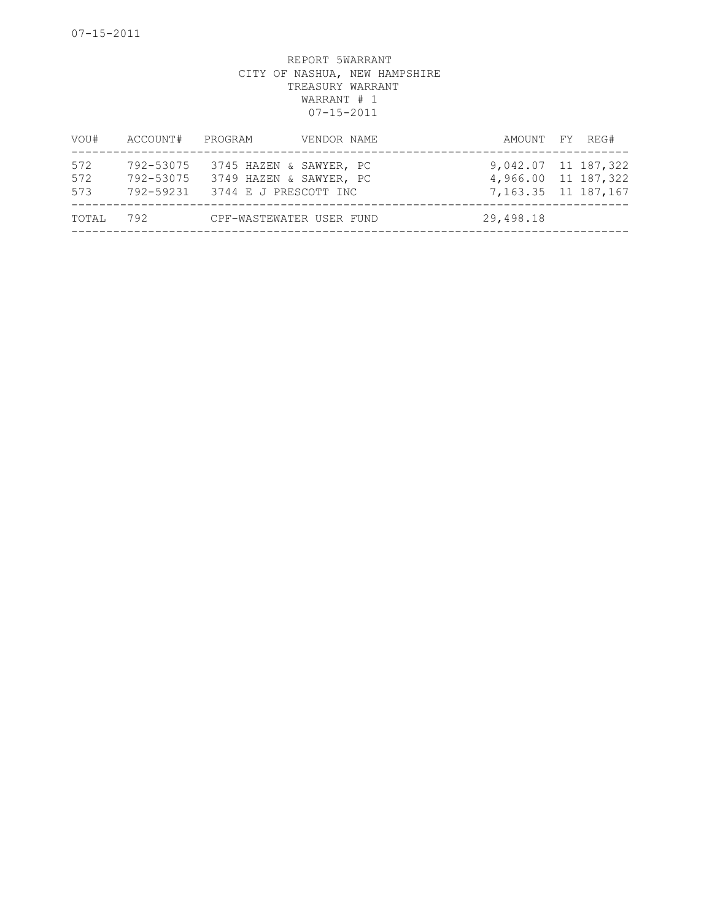| VOU#              | ACCOUNT#               | PROGRAM                                                                               | VENDOR NAME | AMOUNT FY REG#                                                      |  |
|-------------------|------------------------|---------------------------------------------------------------------------------------|-------------|---------------------------------------------------------------------|--|
| 572<br>572<br>573 | 792-53075<br>792-53075 | 3745 HAZEN & SAWYER, PC<br>3749 HAZEN & SAWYER, PC<br>792-59231 3744 E J PRESCOTT INC |             | 9,042.07 11 187,322<br>4,966.00 11 187,322<br>7, 163.35 11 187, 167 |  |
| TOTAL             | 792                    | CPF-WASTEWATER USER FUND                                                              |             | 29,498.18                                                           |  |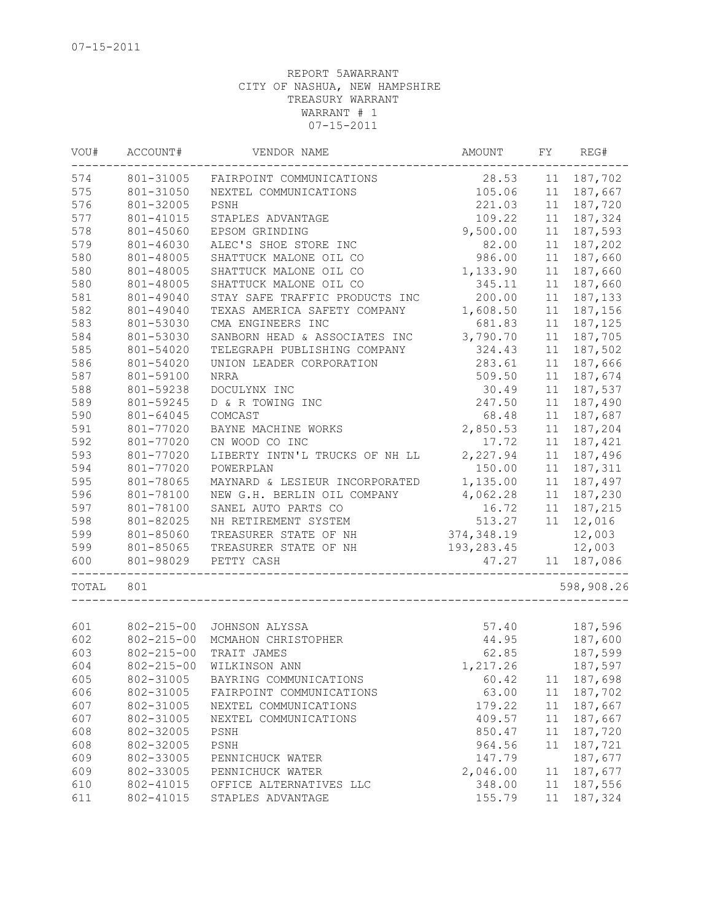| VOU#  | ACCOUNT#<br>VENDOR NAME |                                | AMOUNT      | FY | REG#       |  |
|-------|-------------------------|--------------------------------|-------------|----|------------|--|
| 574   | 801-31005               | FAIRPOINT COMMUNICATIONS       | 28.53       | 11 | 187,702    |  |
| 575   | 801-31050               | NEXTEL COMMUNICATIONS          | 105.06      | 11 | 187,667    |  |
| 576   | 801-32005               | PSNH                           | 221.03      | 11 | 187,720    |  |
| 577   | 801-41015               | STAPLES ADVANTAGE              | 109.22      | 11 | 187,324    |  |
| 578   | 801-45060               | EPSOM GRINDING                 | 9,500.00    | 11 | 187,593    |  |
| 579   | 801-46030               | ALEC'S SHOE STORE INC          | 82.00       | 11 | 187,202    |  |
| 580   | 801-48005               | SHATTUCK MALONE OIL CO         | 986.00      | 11 | 187,660    |  |
| 580   | 801-48005               | SHATTUCK MALONE OIL CO         | 1,133.90    | 11 | 187,660    |  |
| 580   | 801-48005               | SHATTUCK MALONE OIL CO         | 345.11      | 11 | 187,660    |  |
| 581   | 801-49040               | STAY SAFE TRAFFIC PRODUCTS INC | 200.00      | 11 | 187,133    |  |
| 582   | 801-49040               | TEXAS AMERICA SAFETY COMPANY   | 1,608.50    | 11 | 187,156    |  |
| 583   | 801-53030               | CMA ENGINEERS INC              | 681.83      | 11 | 187,125    |  |
| 584   | 801-53030               | SANBORN HEAD & ASSOCIATES INC  | 3,790.70    | 11 | 187,705    |  |
| 585   | 801-54020               | TELEGRAPH PUBLISHING COMPANY   | 324.43      | 11 | 187,502    |  |
| 586   | 801-54020               | UNION LEADER CORPORATION       | 283.61      | 11 | 187,666    |  |
| 587   | 801-59100               | <b>NRRA</b>                    | 509.50      | 11 | 187,674    |  |
| 588   | 801-59238               | DOCULYNX INC                   | 30.49       | 11 | 187,537    |  |
| 589   | 801-59245               | D & R TOWING INC               | 247.50      | 11 | 187,490    |  |
| 590   | 801-64045               | COMCAST                        | 68.48       | 11 | 187,687    |  |
| 591   | 801-77020               | BAYNE MACHINE WORKS            | 2,850.53    | 11 | 187,204    |  |
| 592   | 801-77020               | CN WOOD CO INC                 | 17.72       | 11 | 187,421    |  |
| 593   | 801-77020               | LIBERTY INTN'L TRUCKS OF NH LL | 2,227.94    | 11 | 187,496    |  |
| 594   | 801-77020               | POWERPLAN                      | 150.00      | 11 | 187,311    |  |
| 595   | 801-78065               | MAYNARD & LESIEUR INCORPORATED | 1,135.00    | 11 | 187,497    |  |
| 596   | 801-78100               | NEW G.H. BERLIN OIL COMPANY    | 4,062.28    | 11 | 187,230    |  |
| 597   | 801-78100               | SANEL AUTO PARTS CO            | 16.72       | 11 | 187,215    |  |
| 598   | 801-82025               | NH RETIREMENT SYSTEM           | 513.27      | 11 | 12,016     |  |
| 599   | 801-85060               | TREASURER STATE OF NH          | 374,348.19  |    | 12,003     |  |
| 599   | 801-85065               | TREASURER STATE OF NH          | 193, 283.45 |    | 12,003     |  |
| 600   | 801-98029               | PETTY CASH                     | 47.27       |    | 11 187,086 |  |
| TOTAL | 801                     |                                |             |    | 598,908.26 |  |
|       |                         |                                |             |    |            |  |
| 601   |                         | 802-215-00 JOHNSON ALYSSA      | 57.40       |    | 187,596    |  |
| 602   | $802 - 215 - 00$        | MCMAHON CHRISTOPHER            | 44.95       |    | 187,600    |  |
| 603   | $802 - 215 - 00$        | TRAIT JAMES                    | 62.85       |    | 187,599    |  |
| 604   |                         | 802-215-00 WILKINSON ANN       | 1,217.26    |    | 187,597    |  |
| 605   | 802-31005               | BAYRING COMMUNICATIONS         | 60.42       | 11 | 187,698    |  |
| 606   | 802-31005               | FAIRPOINT COMMUNICATIONS       | 63.00       | 11 | 187,702    |  |
| 607   | 802-31005               | NEXTEL COMMUNICATIONS          | 179.22      | 11 | 187,667    |  |
| 607   | 802-31005               | NEXTEL COMMUNICATIONS          | 409.57      | 11 | 187,667    |  |
| 608   | 802-32005               | PSNH                           | 850.47      | 11 | 187,720    |  |
| 608   | 802-32005               | PSNH                           | 964.56      | 11 | 187,721    |  |
| 609   | 802-33005               | PENNICHUCK WATER               | 147.79      |    | 187,677    |  |
| 609   | 802-33005               | PENNICHUCK WATER               | 2,046.00    | 11 | 187,677    |  |
| 610   | 802-41015               | OFFICE ALTERNATIVES LLC        | 348.00      | 11 | 187,556    |  |
| 611   | 802-41015               | STAPLES ADVANTAGE              | 155.79      | 11 | 187,324    |  |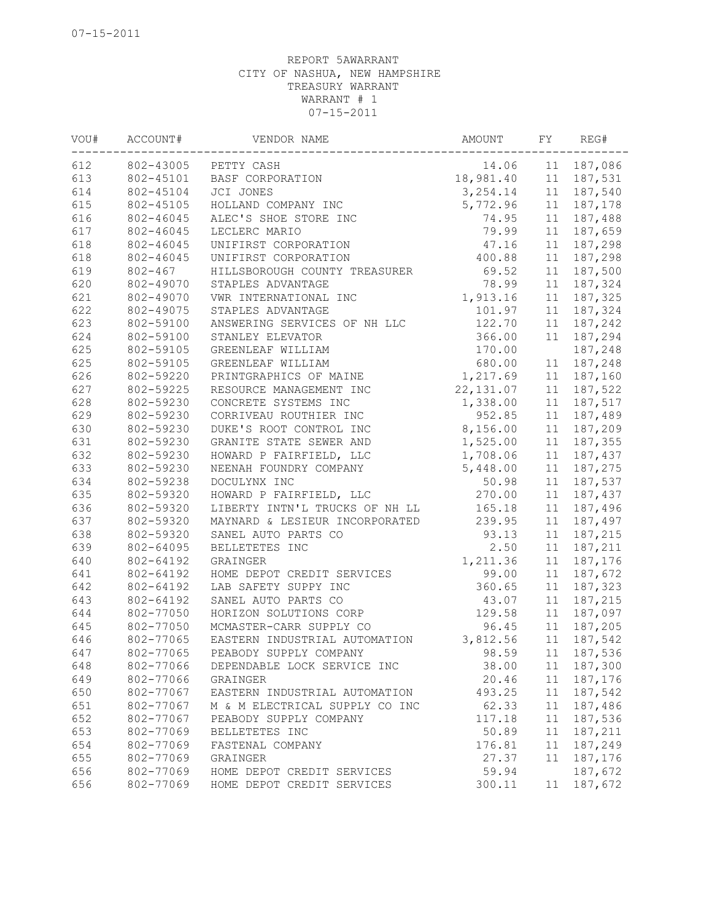| VOU# | ACCOUNT#  | VENDOR NAME                    | AMOUNT     | FY | REG#        |
|------|-----------|--------------------------------|------------|----|-------------|
| 612  | 802-43005 | PETTY CASH                     | 14.06      |    | 11 187,086  |
| 613  | 802-45101 | BASF CORPORATION               | 18,981.40  |    | 11 187,531  |
| 614  | 802-45104 | JCI JONES                      | 3, 254.14  |    | 11 187,540  |
| 615  | 802-45105 | HOLLAND COMPANY INC            | 5,772.96   |    | 11 187,178  |
| 616  | 802-46045 | ALEC'S SHOE STORE INC          | 74.95      |    | 11 187,488  |
| 617  | 802-46045 | LECLERC MARIO                  | 79.99      | 11 | 187,659     |
| 618  | 802-46045 | UNIFIRST CORPORATION           | 47.16      | 11 | 187,298     |
| 618  | 802-46045 | UNIFIRST CORPORATION           | 400.88     | 11 | 187,298     |
| 619  | 802-467   | HILLSBOROUGH COUNTY TREASURER  | 69.52      | 11 | 187,500     |
| 620  | 802-49070 | STAPLES ADVANTAGE              | 78.99      | 11 | 187,324     |
| 621  | 802-49070 | VWR INTERNATIONAL INC          | 1,913.16   |    | 11 187, 325 |
| 622  | 802-49075 | STAPLES ADVANTAGE              | 101.97     |    | 11 187,324  |
| 623  | 802-59100 | ANSWERING SERVICES OF NH LLC   | 122.70     |    | 11 187,242  |
| 624  | 802-59100 | STANLEY ELEVATOR               | 366.00     |    | 11 187,294  |
| 625  | 802-59105 | GREENLEAF WILLIAM              | 170.00     |    | 187,248     |
| 625  | 802-59105 | GREENLEAF WILLIAM              | 680.00     | 11 | 187,248     |
| 626  | 802-59220 | PRINTGRAPHICS OF MAINE         | 1,217.69   |    | 11 187,160  |
| 627  | 802-59225 | RESOURCE MANAGEMENT INC        | 22, 131.07 | 11 | 187,522     |
| 628  | 802-59230 | CONCRETE SYSTEMS INC           | 1,338.00   | 11 | 187,517     |
| 629  | 802-59230 | CORRIVEAU ROUTHIER INC         | 952.85     |    | 11 187,489  |
| 630  | 802-59230 | DUKE'S ROOT CONTROL INC        | 8,156.00   |    | 11 187,209  |
| 631  | 802-59230 | GRANITE STATE SEWER AND        | 1,525.00   | 11 | 187,355     |
| 632  | 802-59230 | HOWARD P FAIRFIELD, LLC        | 1,708.06   |    | 11 187,437  |
| 633  | 802-59230 | NEENAH FOUNDRY COMPANY         | 5,448.00   | 11 | 187,275     |
| 634  | 802-59238 | DOCULYNX INC                   | 50.98      |    | 11 187,537  |
| 635  | 802-59320 | HOWARD P FAIRFIELD, LLC        | 270.00     |    | 11 187,437  |
| 636  | 802-59320 | LIBERTY INTN'L TRUCKS OF NH LL | 165.18     | 11 | 187,496     |
| 637  | 802-59320 | MAYNARD & LESIEUR INCORPORATED | 239.95     | 11 | 187,497     |
| 638  | 802-59320 | SANEL AUTO PARTS CO            | 93.13      | 11 | 187,215     |
| 639  | 802-64095 | BELLETETES INC                 | 2.50       | 11 | 187,211     |
| 640  | 802-64192 | GRAINGER                       | 1,211.36   | 11 | 187,176     |
| 641  | 802-64192 | HOME DEPOT CREDIT SERVICES     | 99.00      | 11 | 187,672     |
| 642  | 802-64192 | LAB SAFETY SUPPY INC           | 360.65     | 11 | 187,323     |
| 643  | 802-64192 | SANEL AUTO PARTS CO            | 43.07      |    | 11 187,215  |
| 644  | 802-77050 | HORIZON SOLUTIONS CORP         | 129.58     | 11 | 187,097     |
| 645  | 802-77050 | MCMASTER-CARR SUPPLY CO        | 96.45      | 11 | 187,205     |
| 646  | 802-77065 | EASTERN INDUSTRIAL AUTOMATION  | 3,812.56   | 11 | 187,542     |
| 647  | 802-77065 | PEABODY SUPPLY COMPANY         | 98.59      |    | 11 187,536  |
| 648  | 802-77066 | DEPENDABLE LOCK SERVICE INC    | 38.00      | 11 | 187,300     |
| 649  | 802-77066 | GRAINGER                       | 20.46      | 11 | 187,176     |
| 650  | 802-77067 | EASTERN INDUSTRIAL AUTOMATION  | 493.25     | 11 | 187,542     |
| 651  | 802-77067 | M & M ELECTRICAL SUPPLY CO INC | 62.33      | 11 | 187,486     |
| 652  | 802-77067 | PEABODY SUPPLY COMPANY         | 117.18     | 11 | 187,536     |
| 653  | 802-77069 | BELLETETES INC                 | 50.89      | 11 | 187,211     |
| 654  | 802-77069 | FASTENAL COMPANY               | 176.81     | 11 | 187,249     |
| 655  | 802-77069 | GRAINGER                       | 27.37      | 11 | 187,176     |
| 656  | 802-77069 | HOME DEPOT CREDIT SERVICES     | 59.94      |    | 187,672     |
| 656  | 802-77069 | HOME DEPOT CREDIT SERVICES     | 300.11     | 11 | 187,672     |
|      |           |                                |            |    |             |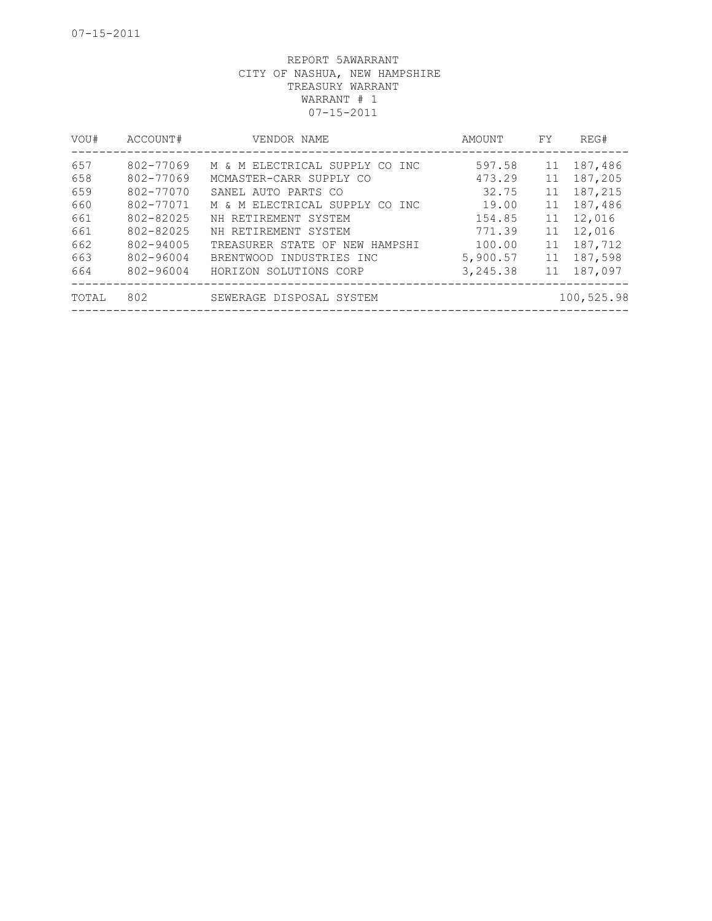| VOU#  | ACCOUNT#  | VENDOR NAME                    | AMOUNT   | FY. | REG#       |
|-------|-----------|--------------------------------|----------|-----|------------|
| 657   | 802-77069 | M & M ELECTRICAL SUPPLY CO INC | 597.58   | 11  | 187,486    |
| 658   | 802-77069 | MCMASTER-CARR SUPPLY CO        | 473.29   | 11  | 187,205    |
| 659   | 802-77070 | SANEL AUTO PARTS CO            | 32.75    | 11  | 187,215    |
| 660   | 802-77071 | M & M ELECTRICAL SUPPLY CO INC | 19.00    | 11  | 187,486    |
| 661   | 802-82025 | NH RETIREMENT SYSTEM           | 154.85   | 11  | 12,016     |
| 661   | 802-82025 | NH RETIREMENT SYSTEM           | 771.39   | 11  | 12,016     |
| 662   | 802-94005 | TREASURER STATE OF NEW HAMPSHI | 100.00   | 11  | 187,712    |
| 663   | 802-96004 | BRENTWOOD INDUSTRIES INC       | 5,900.57 | 11  | 187,598    |
| 664   | 802-96004 | HORIZON SOLUTIONS CORP         | 3,245.38 | 11  | 187,097    |
| TOTAL | 802       | SEWERAGE DISPOSAL SYSTEM       |          |     | 100,525.98 |
|       |           |                                |          |     |            |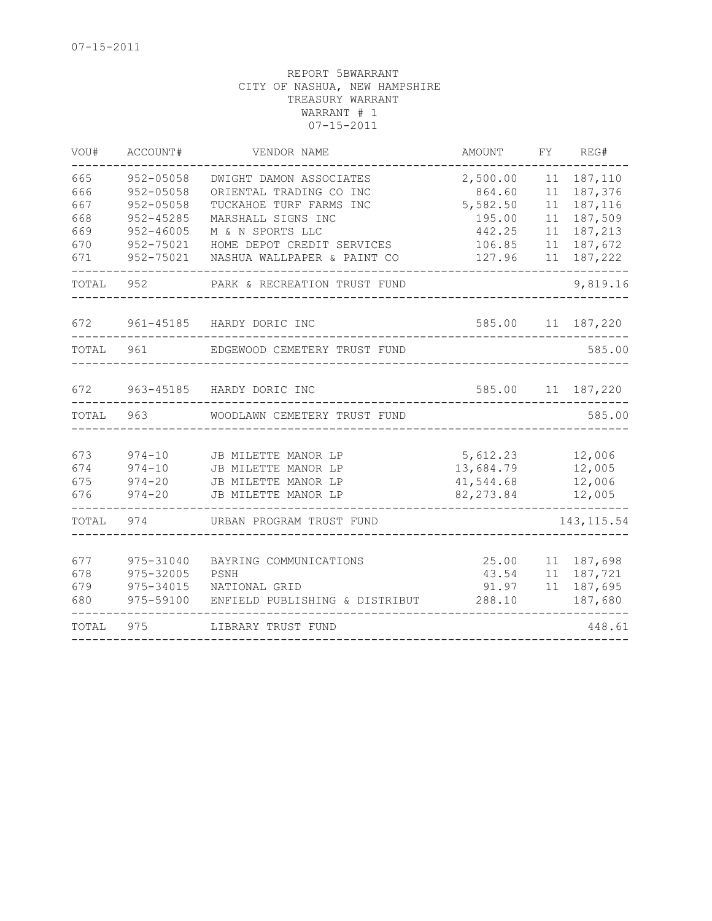| TOTAL                                         | 975                                                                                                 | LIBRARY TRUST FUND                                                                                                                                                                   |                                                                        |                                        | 448.61                                                                    |
|-----------------------------------------------|-----------------------------------------------------------------------------------------------------|--------------------------------------------------------------------------------------------------------------------------------------------------------------------------------------|------------------------------------------------------------------------|----------------------------------------|---------------------------------------------------------------------------|
| 677<br>678<br>679<br>680                      | 975-31040<br>975-32005<br>975-34015<br>975-59100                                                    | BAYRING COMMUNICATIONS<br>PSNH<br>NATIONAL GRID<br>ENFIELD PUBLISHING & DISTRIBUT                                                                                                    | 25.00<br>288.10                                                        |                                        | 11 187,698<br>43.54 11 187,721<br>91.97 11 187,695<br>187,680             |
| TOTAL                                         | 974                                                                                                 | URBAN PROGRAM TRUST FUND                                                                                                                                                             |                                                                        |                                        | 143, 115.54                                                               |
| 673<br>674<br>675<br>676                      | $974 - 10$<br>$974 - 10$<br>$974 - 20$<br>$974 - 20$                                                | JB MILETTE MANOR LP<br>JB MILETTE MANOR LP<br>JB MILETTE MANOR LP<br>JB MILETTE MANOR LP                                                                                             | 5,612.23<br>13,684.79<br>41,544.68<br>82, 273.84                       |                                        | 12,006<br>12,005<br>12,006<br>12,005                                      |
| TOTAL                                         | 963 —                                                                                               | WOODLAWN CEMETERY TRUST FUND                                                                                                                                                         |                                                                        |                                        | 585.00                                                                    |
| 672                                           |                                                                                                     | 963-45185 HARDY DORIC INC                                                                                                                                                            | 585.00                                                                 |                                        | 11 187,220                                                                |
| TOTAL                                         | 961                                                                                                 | EDGEWOOD CEMETERY TRUST FUND                                                                                                                                                         |                                                                        |                                        | 585.00                                                                    |
| 672                                           |                                                                                                     | 961-45185 HARDY DORIC INC                                                                                                                                                            | 585.00 11 187,220                                                      |                                        |                                                                           |
| TOTAL                                         | 952                                                                                                 | PARK & RECREATION TRUST FUND                                                                                                                                                         | --------------                                                         |                                        | 9,819.16                                                                  |
| 665<br>666<br>667<br>668<br>669<br>670<br>671 | 952-05058<br>952-05058<br>$952 - 05058$<br>$952 - 45285$<br>$952 - 46005$<br>952-75021<br>952-75021 | DWIGHT DAMON ASSOCIATES<br>ORIENTAL TRADING CO INC<br>TUCKAHOE TURF FARMS INC<br>MARSHALL SIGNS INC<br>M & N SPORTS LLC<br>HOME DEPOT CREDIT SERVICES<br>NASHUA WALLPAPER & PAINT CO | 2,500.00<br>864.60<br>5,582.50<br>195.00<br>442.25<br>106.85<br>127.96 | 11<br>11<br>11<br>11<br>11<br>11<br>11 | 187,110<br>187,376<br>187,116<br>187,509<br>187,213<br>187,672<br>187,222 |
| VOU#                                          | ACCOUNT#                                                                                            | VENDOR NAME                                                                                                                                                                          | AMOUNT                                                                 | FY                                     | REG#                                                                      |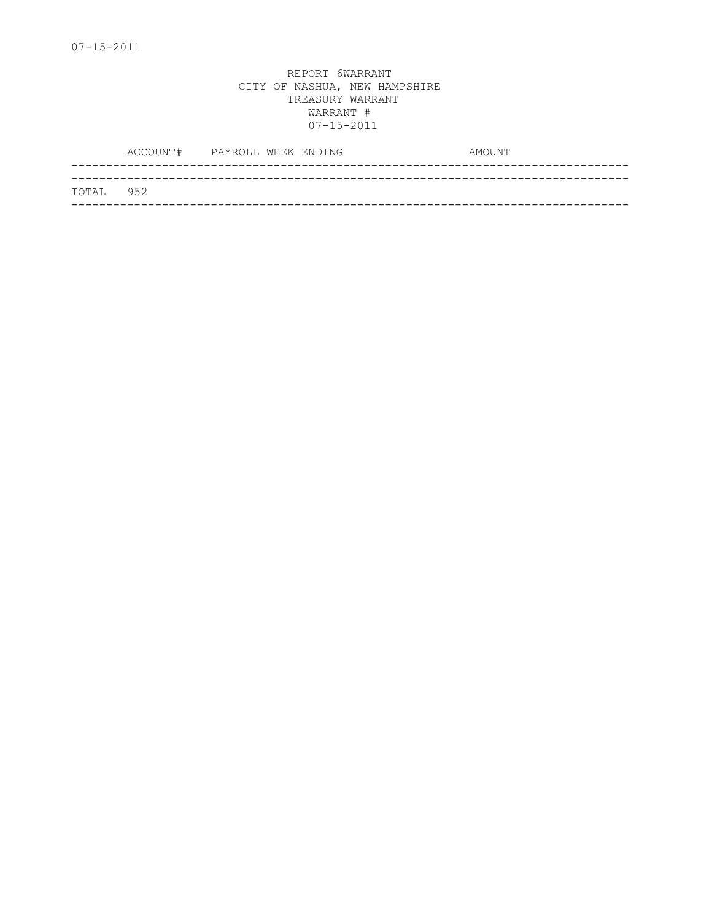|            | ACCOUNT# PAYROLL WEEK ENDING |  |  | AMOUNT |
|------------|------------------------------|--|--|--------|
|            |                              |  |  |        |
| ТОТАІ. 952 |                              |  |  |        |
|            |                              |  |  |        |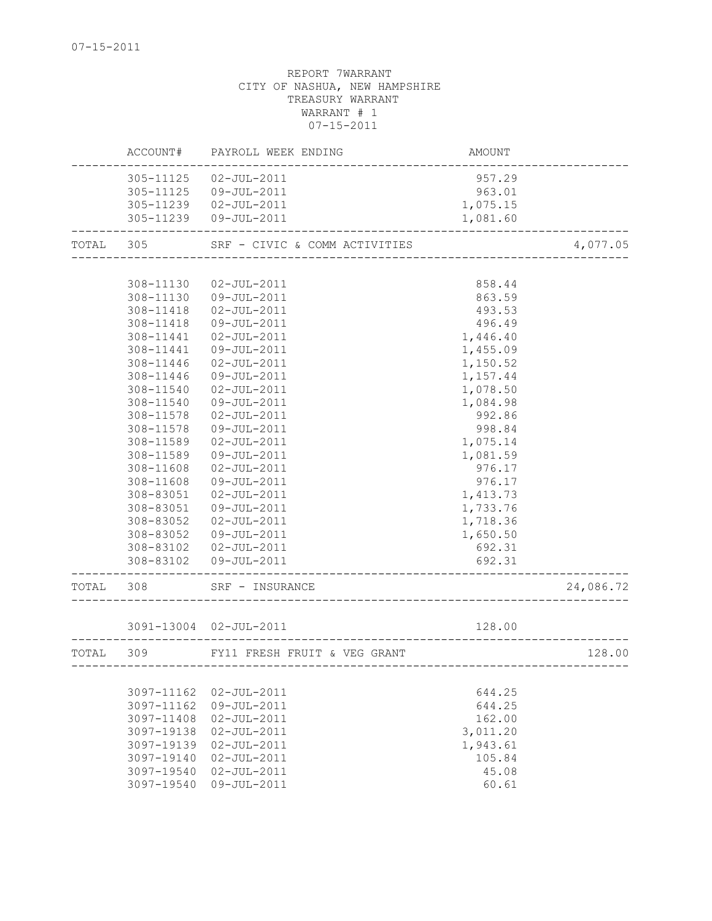|       | ACCOUNT#   | PAYROLL WEEK ENDING           | AMOUNT                     |           |
|-------|------------|-------------------------------|----------------------------|-----------|
|       | 305-11125  | $02 - JUL - 2011$             | 957.29                     |           |
|       |            | 305-11125  09-JUL-2011        | 963.01                     |           |
|       |            | 305-11239  02-JUL-2011        | 1,075.15                   |           |
|       |            | 305-11239  09-JUL-2011        | 1,081.60                   |           |
| TOTAL | 305        | SRF - CIVIC & COMM ACTIVITIES |                            | 4,077.05  |
|       |            |                               |                            |           |
|       | 308-11130  | $02 - JUL - 2011$             | 858.44                     |           |
|       | 308-11130  | 09-JUL-2011                   | 863.59                     |           |
|       | 308-11418  | $02 - JUL - 2011$             | 493.53                     |           |
|       | 308-11418  | 09-JUL-2011                   | 496.49                     |           |
|       | 308-11441  | $02 - JUL - 2011$             | 1,446.40                   |           |
|       | 308-11441  | 09-JUL-2011                   | 1,455.09                   |           |
|       | 308-11446  | $02 - JUL - 2011$             | 1,150.52                   |           |
|       | 308-11446  | 09-JUL-2011                   | 1,157.44                   |           |
|       | 308-11540  | $02 - JUL - 2011$             | 1,078.50                   |           |
|       | 308-11540  | 09-JUL-2011                   | 1,084.98                   |           |
|       | 308-11578  | $02 - JUL - 2011$             | 992.86                     |           |
|       | 308-11578  | 09-JUL-2011                   | 998.84                     |           |
|       | 308-11589  | $02 - JUL - 2011$             | 1,075.14                   |           |
|       | 308-11589  | 09-JUL-2011                   | 1,081.59                   |           |
|       | 308-11608  | $02 - JUL - 2011$             | 976.17                     |           |
|       | 308-11608  | 09-JUL-2011                   | 976.17                     |           |
|       | 308-83051  | $02 - JUL - 2011$             | 1,413.73                   |           |
|       | 308-83051  | 09-JUL-2011                   | 1,733.76                   |           |
|       | 308-83052  | $02 - JUL - 2011$             | 1,718.36                   |           |
|       | 308-83052  | 09-JUL-2011                   | 1,650.50                   |           |
|       |            | 308-83102  02-JUL-2011        | 692.31                     |           |
|       | 308-83102  | 09-JUL-2011                   | 692.31                     |           |
| TOTAL | 308        | SRF - INSURANCE               |                            | 24,086.72 |
|       |            | 3091-13004 02-JUL-2011        | 128.00                     |           |
| TOTAL | 309        | FY11 FRESH FRUIT & VEG GRANT  |                            | 128.00    |
|       |            |                               | -------------------------- |           |
|       | 3097-11162 | $02 - JUL - 2011$             | 644.25                     |           |
|       | 3097-11162 | 09-JUL-2011                   | 644.25                     |           |
|       | 3097-11408 | $02 - JUL - 2011$             | 162.00                     |           |
|       | 3097-19138 | $02 - JUL - 2011$             | 3,011.20                   |           |
|       | 3097-19139 | $02 - JUL - 2011$             | 1,943.61                   |           |
|       | 3097-19140 | $02 - JUL - 2011$             | 105.84                     |           |
|       | 3097-19540 | $02 - JUL - 2011$             | 45.08                      |           |
|       | 3097-19540 | 09-JUL-2011                   | 60.61                      |           |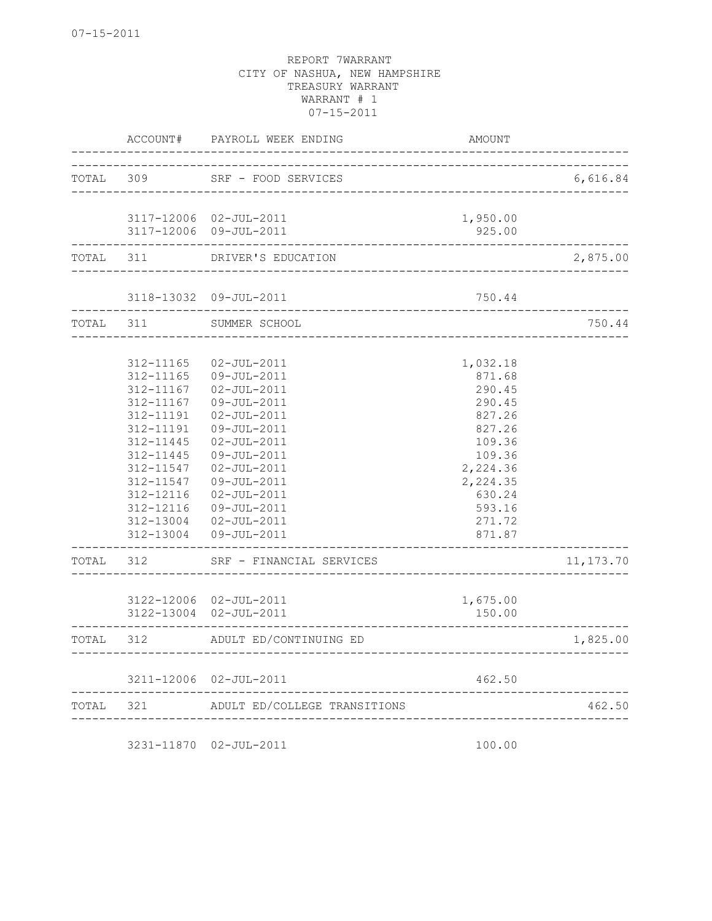|       | ACCOUNT#               | PAYROLL WEEK ENDING                              | AMOUNT             |             |
|-------|------------------------|--------------------------------------------------|--------------------|-------------|
| TOTAL | 309                    | SRF - FOOD SERVICES                              |                    | 6,616.84    |
|       |                        |                                                  |                    |             |
|       |                        | 3117-12006 02-JUL-2011<br>3117-12006 09-JUL-2011 | 1,950.00<br>925.00 |             |
| TOTAL | 311                    | DRIVER'S EDUCATION                               |                    | 2,875.00    |
|       |                        | 3118-13032 09-JUL-2011                           | 750.44             |             |
| TOTAL | 311                    | SUMMER SCHOOL                                    |                    | 750.44      |
|       |                        |                                                  |                    |             |
|       | 312-11165<br>312-11165 | $02 - JUL - 2011$<br>09-JUL-2011                 | 1,032.18<br>871.68 |             |
|       | 312-11167              | $02 - JUL - 2011$                                | 290.45             |             |
|       | 312-11167              | 09-JUL-2011                                      | 290.45             |             |
|       | 312-11191              | $02 - JUL - 2011$                                | 827.26             |             |
|       | 312-11191              | 09-JUL-2011                                      | 827.26             |             |
|       | 312-11445              | $02 - JUL - 2011$                                | 109.36             |             |
|       | 312-11445              | 09-JUL-2011                                      | 109.36             |             |
|       | 312-11547              | $02 - JUL - 2011$                                | 2,224.36           |             |
|       | 312-11547              | 09-JUL-2011                                      | 2,224.35           |             |
|       | 312-12116              | $02 - JUL - 2011$                                | 630.24             |             |
|       | 312-12116<br>312-13004 | 09-JUL-2011<br>$02 - JUL - 2011$                 | 593.16<br>271.72   |             |
|       | 312-13004              | 09-JUL-2011                                      | 871.87             |             |
| TOTAL | 312                    | SRF - FINANCIAL SERVICES                         |                    | 11, 173. 70 |
|       |                        |                                                  |                    |             |
|       |                        | 3122-12006 02-JUL-2011<br>3122-13004 02-JUL-2011 | 1,675.00<br>150.00 |             |
| TOTAL | 312                    | ADULT ED/CONTINUING ED                           |                    | 1,825.00    |
|       |                        | 3211-12006 02-JUL-2011                           | 462.50             |             |
| TOTAL | 321                    | ADULT ED/COLLEGE TRANSITIONS                     |                    | 462.50      |

3231-11870 02-JUL-2011 100.00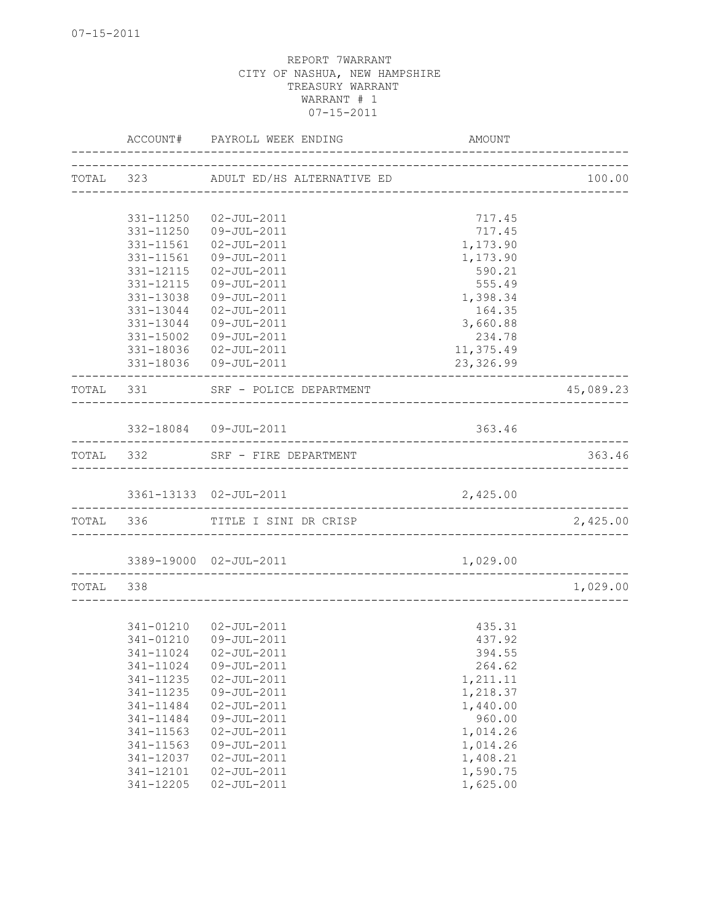|           |           | ACCOUNT# PAYROLL WEEK ENDING                                | AMOUNT    |           |
|-----------|-----------|-------------------------------------------------------------|-----------|-----------|
|           |           | TOTAL 323 ADULT ED/HS ALTERNATIVE ED                        |           | 100.00    |
|           |           |                                                             |           |           |
|           | 331-11250 | 02-JUL-2011                                                 | 717.45    |           |
|           | 331-11250 | 09-JUL-2011                                                 | 717.45    |           |
|           | 331-11561 | $02 - JUL - 2011$                                           | 1,173.90  |           |
|           | 331-11561 | 09-JUL-2011                                                 | 1,173.90  |           |
|           | 331-12115 | 02-JUL-2011                                                 | 590.21    |           |
|           | 331-12115 | 09-JUL-2011                                                 | 555.49    |           |
|           | 331-13038 | 09-JUL-2011                                                 | 1,398.34  |           |
|           |           | 331-13044  02-JUL-2011                                      | 164.35    |           |
|           | 331-13044 | 09-JUL-2011                                                 | 3,660.88  |           |
|           | 331-15002 | 09-JUL-2011                                                 | 234.78    |           |
|           |           | 331-18036  02-JUL-2011                                      | 11,375.49 |           |
|           |           | 331-18036 09-JUL-2011                                       | 23,326.99 |           |
|           |           | TOTAL 331 SRF - POLICE DEPARTMENT                           |           | 45,089.23 |
|           |           |                                                             |           |           |
|           |           | 332-18084 09-JUL-2011<br>_______________________            | 363.46    |           |
|           |           | TOTAL 332 SRF - FIRE DEPARTMENT                             |           | 363.46    |
|           |           | 3361-13133 02-JUL-2011                                      | 2,425.00  |           |
|           |           | TOTAL 336 TITLE I SINI DR CRISP                             |           | 2,425.00  |
|           |           |                                                             |           |           |
|           |           | 3389-19000 02-JUL-2011<br>_________________________________ | 1,029.00  |           |
| TOTAL 338 |           |                                                             |           | 1,029.00  |
|           |           |                                                             |           |           |
|           |           | 341-01210  02-JUL-2011                                      | 435.31    |           |
|           |           | 341-01210 09-JUL-2011                                       | 437.92    |           |
|           |           |                                                             | 394.55    |           |
|           | 341-11024 | 09-JUL-2011                                                 | 264.62    |           |
|           | 341-11235 | $02 - JUL - 2011$                                           | 1,211.11  |           |
|           | 341-11235 | 09-JUL-2011                                                 | 1,218.37  |           |
|           | 341-11484 | $02 - JUL - 2011$                                           | 1,440.00  |           |
|           | 341-11484 | 09-JUL-2011                                                 | 960.00    |           |
|           | 341-11563 | $02 - JUL - 2011$                                           | 1,014.26  |           |
|           | 341-11563 | $09 - JUL - 2011$                                           | 1,014.26  |           |
|           | 341-12037 | $02 - JUL - 2011$                                           | 1,408.21  |           |
|           | 341-12101 | $02 - JUL - 2011$                                           | 1,590.75  |           |
|           | 341-12205 | $02 - JUL - 2011$                                           | 1,625.00  |           |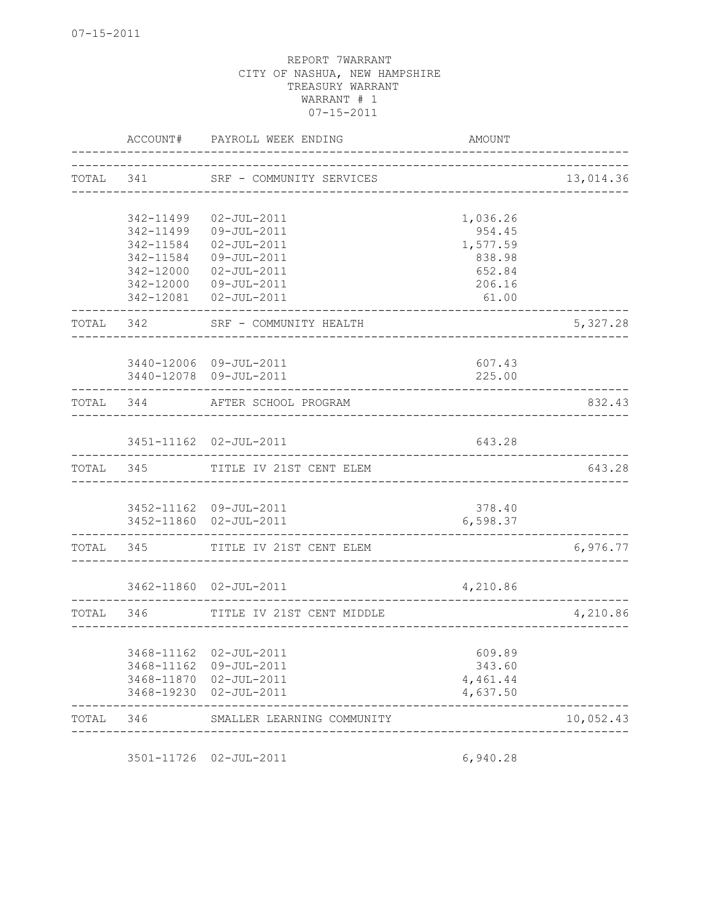| ACCOUNT#                                                                   |                                                                                                          | AMOUNT                                                                                                                                                                                                                                                                                                                                                                                                                                                               |                                                   |
|----------------------------------------------------------------------------|----------------------------------------------------------------------------------------------------------|----------------------------------------------------------------------------------------------------------------------------------------------------------------------------------------------------------------------------------------------------------------------------------------------------------------------------------------------------------------------------------------------------------------------------------------------------------------------|---------------------------------------------------|
|                                                                            |                                                                                                          |                                                                                                                                                                                                                                                                                                                                                                                                                                                                      | 13,014.36                                         |
| 342-11499<br>342-11499<br>342-11584<br>342-11584<br>342-12000<br>342-12000 | $02 - JUL - 2011$<br>09-JUL-2011<br>$02 - JUL - 2011$<br>09-JUL-2011<br>$02 - JUL - 2011$<br>09-JUL-2011 | 1,036.26<br>954.45<br>1,577.59<br>838.98<br>652.84<br>206.16<br>61.00                                                                                                                                                                                                                                                                                                                                                                                                |                                                   |
|                                                                            |                                                                                                          |                                                                                                                                                                                                                                                                                                                                                                                                                                                                      | 5,327.28                                          |
|                                                                            |                                                                                                          | 607.43<br>225.00                                                                                                                                                                                                                                                                                                                                                                                                                                                     |                                                   |
|                                                                            |                                                                                                          |                                                                                                                                                                                                                                                                                                                                                                                                                                                                      | 832.43                                            |
|                                                                            |                                                                                                          | 643.28                                                                                                                                                                                                                                                                                                                                                                                                                                                               |                                                   |
|                                                                            |                                                                                                          |                                                                                                                                                                                                                                                                                                                                                                                                                                                                      | 643.28                                            |
|                                                                            |                                                                                                          | 378.40<br>6,598.37                                                                                                                                                                                                                                                                                                                                                                                                                                                   |                                                   |
|                                                                            |                                                                                                          |                                                                                                                                                                                                                                                                                                                                                                                                                                                                      | 6,976.77                                          |
|                                                                            |                                                                                                          | 4,210.86                                                                                                                                                                                                                                                                                                                                                                                                                                                             |                                                   |
|                                                                            | TITLE IV 21ST CENT MIDDLE                                                                                |                                                                                                                                                                                                                                                                                                                                                                                                                                                                      | 4,210.86                                          |
| 3468-19230                                                                 |                                                                                                          | 609.89<br>343.60<br>4,461.44<br>4,637.50                                                                                                                                                                                                                                                                                                                                                                                                                             |                                                   |
| 346                                                                        | SMALLER LEARNING COMMUNITY                                                                               |                                                                                                                                                                                                                                                                                                                                                                                                                                                                      | 10,052.43                                         |
|                                                                            | TOTAL 342<br>TOTAL 344<br>TOTAL 345<br>TOTAL 346                                                         | PAYROLL WEEK ENDING<br>TOTAL 341 SRF - COMMUNITY SERVICES<br>342-12081  02-JUL-2011<br>SRF - COMMUNITY HEALTH<br>3440-12006 09-JUL-2011<br>3440-12078 09-JUL-2011<br>AFTER SCHOOL PROGRAM<br>3451-11162 02-JUL-2011<br>TITLE IV 21ST CENT ELEM<br>3452-11162 09-JUL-2011<br>3452-11860 02-JUL-2011<br>TOTAL 345 TITLE IV 21ST CENT ELEM<br>3462-11860 02-JUL-2011<br>3468-11162 02-JUL-2011<br>3468-11162 09-JUL-2011<br>3468-11870 02-JUL-2011<br>$02 - JUL - 2011$ | ______________________________<br>--------------- |

3501-11726 02-JUL-2011 6,940.28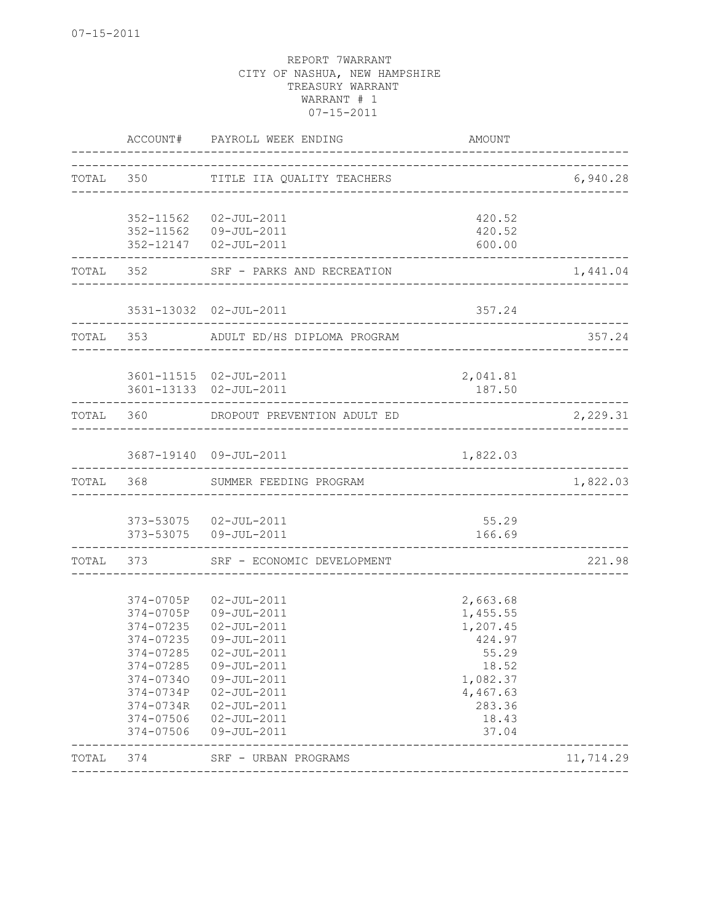|       |                                                                                                                                             | ACCOUNT# PAYROLL WEEK ENDING                                                                                                                                                  | AMOUNT                                                                                                           |           |
|-------|---------------------------------------------------------------------------------------------------------------------------------------------|-------------------------------------------------------------------------------------------------------------------------------------------------------------------------------|------------------------------------------------------------------------------------------------------------------|-----------|
|       |                                                                                                                                             | TOTAL 350 TITLE IIA QUALITY TEACHERS                                                                                                                                          |                                                                                                                  | 6,940.28  |
|       |                                                                                                                                             | 352-11562  02-JUL-2011<br>352-11562  09-JUL-2011<br>352-12147  02-JUL-2011                                                                                                    | 420.52<br>420.52<br>600.00                                                                                       |           |
|       | TOTAL 352                                                                                                                                   | SRF - PARKS AND RECREATION                                                                                                                                                    |                                                                                                                  | 1,441.04  |
|       |                                                                                                                                             | 3531-13032 02-JUL-2011                                                                                                                                                        | 357.24                                                                                                           |           |
|       |                                                                                                                                             | TOTAL 353 ADULT ED/HS DIPLOMA PROGRAM                                                                                                                                         |                                                                                                                  | 357.24    |
|       |                                                                                                                                             | 3601-11515 02-JUL-2011<br>3601-13133  02-JUL-2011                                                                                                                             | 2,041.81<br>187.50                                                                                               |           |
|       | TOTAL 360                                                                                                                                   | DROPOUT PREVENTION ADULT ED                                                                                                                                                   |                                                                                                                  | 2,229.31  |
|       |                                                                                                                                             | 3687-19140 09-JUL-2011                                                                                                                                                        | 1,822.03                                                                                                         |           |
|       |                                                                                                                                             | TOTAL 368 SUMMER FEEDING PROGRAM                                                                                                                                              |                                                                                                                  | 1,822.03  |
|       |                                                                                                                                             | 373-53075  02-JUL-2011<br>373-53075  09-JUL-2011                                                                                                                              | 55.29<br>166.69                                                                                                  |           |
|       |                                                                                                                                             | TOTAL 373 SRF - ECONOMIC DEVELOPMENT                                                                                                                                          |                                                                                                                  | 221.98    |
|       | 374-0705P<br>374-0705P<br>374-07235<br>374-07235<br>374-07285<br>374-07285<br>374-07340<br>374-0734P<br>374-0734R<br>374-07506<br>374-07506 | 02-JUL-2011<br>09-JUL-2011<br>$02 - JUL - 2011$<br>09-JUL-2011<br>02-JUL-2011<br>09-JUL-2011<br>09-JUL-2011<br>02-JUL-2011<br>$02 - JUL - 2011$<br>02-JUL-2011<br>09-JUL-2011 | 2,663.68<br>1,455.55<br>1,207.45<br>424.97<br>55.29<br>18.52<br>1,082.37<br>4,467.63<br>283.36<br>18.43<br>37.04 |           |
| TOTAL | 374                                                                                                                                         | SRF - URBAN PROGRAMS                                                                                                                                                          |                                                                                                                  | 11,714.29 |
|       |                                                                                                                                             |                                                                                                                                                                               |                                                                                                                  |           |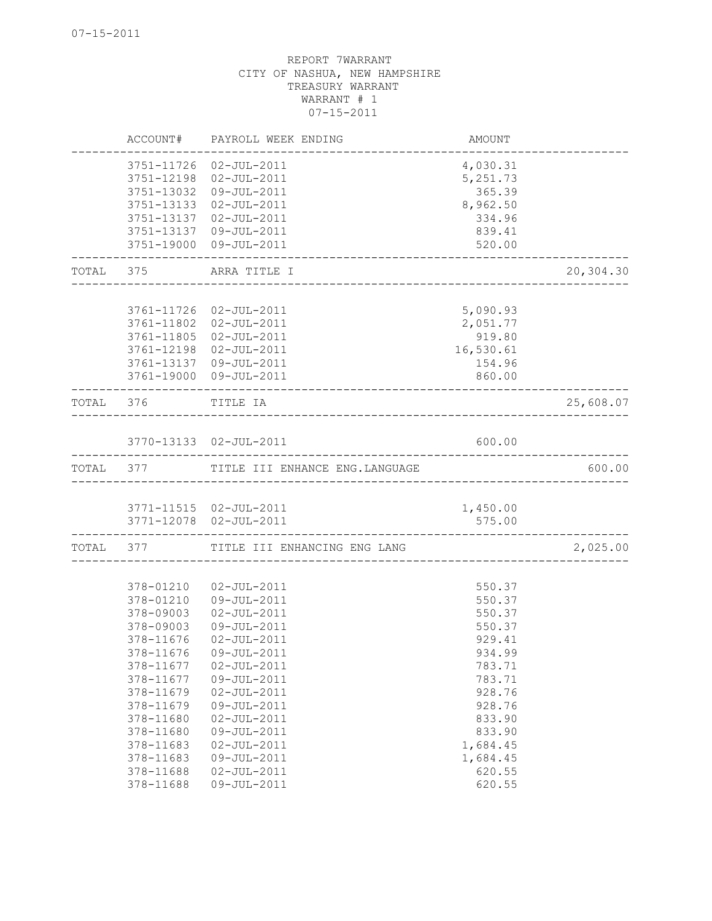|           | ACCOUNT#               | PAYROLL WEEK ENDING                      | AMOUNT             |           |
|-----------|------------------------|------------------------------------------|--------------------|-----------|
|           | 3751-11726             | 02-JUL-2011                              | 4,030.31           |           |
|           | 3751-12198             | $02 - JUL - 2011$                        | 5,251.73           |           |
|           | 3751-13032             | 09-JUL-2011                              | 365.39             |           |
|           | 3751-13133             | 02-JUL-2011                              | 8,962.50           |           |
|           | 3751-13137             | 02-JUL-2011                              | 334.96             |           |
|           | 3751-13137             | 09-JUL-2011                              | 839.41             |           |
|           | 3751-19000             | 09-JUL-2011                              | 520.00             |           |
| TOTAL     | 375                    | ARRA TITLE I                             |                    | 20,304.30 |
|           |                        |                                          |                    |           |
|           |                        | 3761-11726 02-JUL-2011                   | 5,090.93           |           |
|           | 3761-11802             | 02-JUL-2011                              | 2,051.77           |           |
|           | 3761-11805             | 02-JUL-2011                              | 919.80             |           |
|           | 3761-12198             | 02-JUL-2011                              | 16,530.61          |           |
|           | 3761-13137             | 09-JUL-2011                              | 154.96             |           |
|           |                        | 3761-19000 09-JUL-2011                   | 860.00             |           |
| TOTAL 376 |                        | TITLE IA<br>__________________________   |                    | 25,608.07 |
|           |                        | 3770-13133 02-JUL-2011                   | 600.00             |           |
|           |                        | TOTAL 377 TITLE III ENHANCE ENG.LANGUAGE |                    | 600.00    |
|           |                        |                                          |                    |           |
|           |                        | 3771-11515  02-JUL-2011                  | 1,450.00           |           |
|           |                        | 3771-12078  02-JUL-2011                  | 575.00             |           |
|           |                        | TOTAL 377 TITLE III ENHANCING ENG LANG   |                    | 2,025.00  |
|           |                        |                                          |                    |           |
|           | 378-01210              | $02 - JUL - 2011$                        | 550.37             |           |
|           | 378-01210              | 09-JUL-2011                              | 550.37             |           |
|           | 378-09003              | 02-JUL-2011                              | 550.37             |           |
|           | 378-09003              | 09-JUL-2011                              | 550.37             |           |
|           | 378-11676              | $02 - JUL - 2011$                        | 929.41             |           |
|           |                        | 378-11676 09-JUL-2011                    | 934.99             |           |
|           | 378-11677              | $02 - JUL - 2011$                        | 783.71             |           |
|           | 378-11677              | 09-JUL-2011                              | 783.71             |           |
|           | 378-11679              | $02 - JUL - 2011$                        | 928.76             |           |
|           | 378-11679              | 09-JUL-2011                              | 928.76             |           |
|           | 378-11680              | $02 - JUL - 2011$                        | 833.90             |           |
|           | 378-11680              | 09-JUL-2011                              | 833.90             |           |
|           | 378-11683              | $02 - JUL - 2011$                        | 1,684.45           |           |
|           | 378-11683              | 09-JUL-2011                              | 1,684.45<br>620.55 |           |
|           | 378-11688<br>378-11688 | $02 - JUL - 2011$<br>09-JUL-2011         | 620.55             |           |
|           |                        |                                          |                    |           |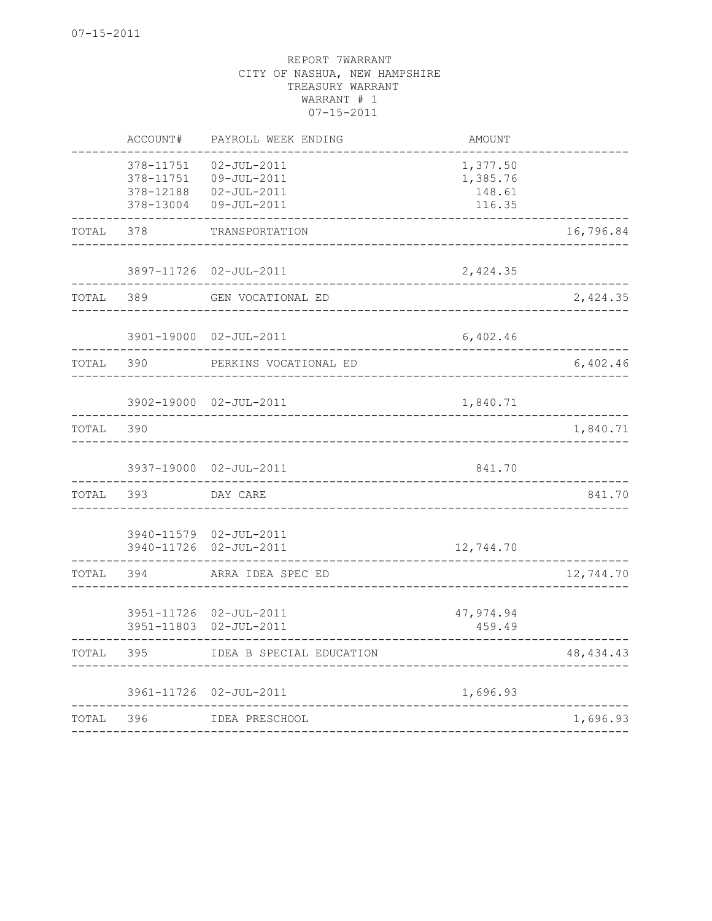|       | ACCOUNT#                                         | PAYROLL WEEK ENDING                                                  | AMOUNT                                   |             |
|-------|--------------------------------------------------|----------------------------------------------------------------------|------------------------------------------|-------------|
|       | 378-11751<br>378-11751<br>378-12188<br>378-13004 | $02 - JUL - 2011$<br>09-JUL-2011<br>$02 - JUL - 2011$<br>09-JUL-2011 | 1,377.50<br>1,385.76<br>148.61<br>116.35 |             |
| TOTAL | 378                                              | TRANSPORTATION                                                       |                                          | 16,796.84   |
|       | 3897-11726                                       | $02 - JUL - 2011$                                                    | 2,424.35                                 |             |
| TOTAL | 389                                              | GEN VOCATIONAL ED                                                    |                                          | 2,424.35    |
|       | 3901-19000                                       | $02 - JUL - 2011$                                                    | 6,402.46                                 |             |
| TOTAL | 390                                              | PERKINS VOCATIONAL ED                                                |                                          | 6,402.46    |
|       | 3902-19000                                       | $02 - JUL - 2011$                                                    | 1,840.71                                 |             |
| TOTAL | 390                                              | -----------------------------                                        |                                          | 1,840.71    |
|       | 3937-19000                                       | $02 - JUL - 2011$                                                    | 841.70                                   |             |
| TOTAL | 393                                              | DAY CARE                                                             | ----------------------------             | 841.70      |
|       | 3940-11726                                       | 3940-11579 02-JUL-2011<br>$02 - JUL - 2011$                          | 12,744.70                                |             |
| TOTAL | 394                                              | ARRA IDEA SPEC ED                                                    |                                          | 12,744.70   |
|       | 3951-11726<br>3951-11803                         | $02 - JUL - 2011$<br>$02 - JUL - 2011$                               | 47,974.94<br>459.49                      |             |
| TOTAL | 395                                              | IDEA B SPECIAL EDUCATION                                             |                                          | 48, 434. 43 |
|       | 3961-11726                                       | $02 - JUL - 2011$                                                    | 1,696.93                                 |             |
| TOTAL | 396                                              | IDEA PRESCHOOL<br>_______________                                    |                                          | 1,696.93    |
|       |                                                  |                                                                      |                                          |             |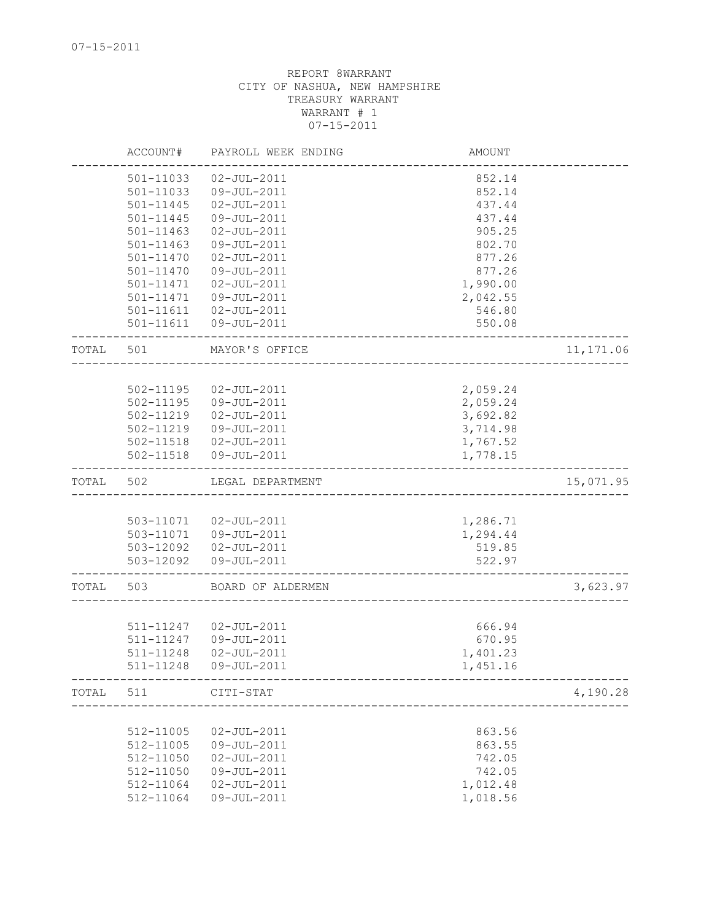|       | ACCOUNT#      | PAYROLL WEEK ENDING              | <b>AMOUNT</b> |            |
|-------|---------------|----------------------------------|---------------|------------|
|       | 501-11033     | $02 - JUL - 2011$                | 852.14        |            |
|       | 501-11033     | 09-JUL-2011                      | 852.14        |            |
|       | 501-11445     | $02 - JUL - 2011$                | 437.44        |            |
|       | 501-11445     | 09-JUL-2011                      | 437.44        |            |
|       | $501 - 11463$ | $02 - JUL - 2011$                | 905.25        |            |
|       | $501 - 11463$ | 09-JUL-2011                      | 802.70        |            |
|       | 501-11470     | $02 - JUL - 2011$                | 877.26        |            |
|       | 501-11470     | 09-JUL-2011                      | 877.26        |            |
|       | 501-11471     | $02 - JUL - 2011$                | 1,990.00      |            |
|       | 501-11471     | 09-JUL-2011                      | 2,042.55      |            |
|       | 501-11611     | $02 - JUL - 2011$                | 546.80        |            |
|       | 501-11611     | 09-JUL-2011                      | 550.08        |            |
| TOTAL | 501           | MAYOR'S OFFICE                   |               | 11, 171.06 |
|       |               |                                  |               |            |
|       | 502-11195     | $02 - JUL - 2011$                | 2,059.24      |            |
|       | $502 - 11195$ | 09-JUL-2011                      | 2,059.24      |            |
|       | 502-11219     | $02 - JUL - 2011$                | 3,692.82      |            |
|       | 502-11219     | 09-JUL-2011                      | 3,714.98      |            |
|       |               | 502-11518  02-JUL-2011           | 1,767.52      |            |
|       | 502-11518     | $09 - JUL - 2011$                | 1,778.15      |            |
| TOTAL | 502           | LEGAL DEPARTMENT                 |               | 15,071.95  |
|       |               |                                  |               |            |
|       | 503-11071     | $02 - JUL - 2011$                | 1,286.71      |            |
|       |               | 503-11071  09-JUL-2011           | 1,294.44      |            |
|       | 503-12092     | $02 - JUL - 2011$                | 519.85        |            |
|       | 503-12092     | 09-JUL-2011                      | 522.97        |            |
| TOTAL | 503           | BOARD OF ALDERMEN                |               | 3,623.97   |
|       |               |                                  |               |            |
|       | 511-11247     | $02 - JUL - 2011$                | 666.94        |            |
|       | 511-11247     | 09-JUL-2011                      | 670.95        |            |
|       | 511-11248     | $02 - JUL - 2011$<br>09-JUL-2011 | 1,401.23      |            |
|       | 511-11248     |                                  | 1,451.16      |            |
| TOTAL | 511           | CITI-STAT                        |               | 4,190.28   |
|       |               |                                  |               |            |
|       | 512-11005     | $02 - JUL - 2011$                | 863.56        |            |
|       | 512-11005     | 09-JUL-2011                      | 863.55        |            |
|       | 512-11050     | $02 - JUL - 2011$                | 742.05        |            |
|       | 512-11050     | 09-JUL-2011                      | 742.05        |            |
|       | 512-11064     | $02 - JUL - 2011$                | 1,012.48      |            |
|       | 512-11064     | 09-JUL-2011                      | 1,018.56      |            |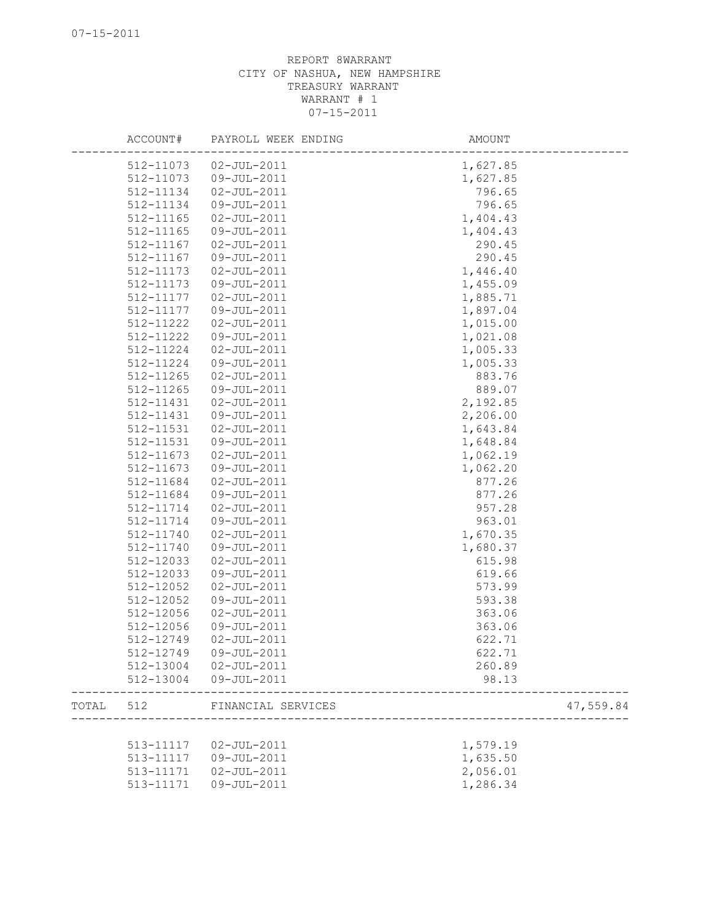|       | ACCOUNT#  | PAYROLL WEEK ENDING    | AMOUNT    |
|-------|-----------|------------------------|-----------|
|       |           | 512-11073  02-JUL-2011 | 1,627.85  |
|       | 512-11073 | 09-JUL-2011            | 1,627.85  |
|       | 512-11134 | $02 - JUL - 2011$      | 796.65    |
|       | 512-11134 | 09-JUL-2011            | 796.65    |
|       | 512-11165 | $02 - JUL - 2011$      | 1,404.43  |
|       | 512-11165 | 09-JUL-2011            | 1,404.43  |
|       | 512-11167 | $02 - JUL - 2011$      | 290.45    |
|       | 512-11167 | 09-JUL-2011            | 290.45    |
|       | 512-11173 | $02 - JUL - 2011$      | 1,446.40  |
|       | 512-11173 | 09-JUL-2011            | 1,455.09  |
|       | 512-11177 | 02-JUL-2011            | 1,885.71  |
|       | 512-11177 | 09-JUL-2011            | 1,897.04  |
|       | 512-11222 | $02 - JUL - 2011$      | 1,015.00  |
|       | 512-11222 | 09-JUL-2011            | 1,021.08  |
|       | 512-11224 | $02 - JUL - 2011$      | 1,005.33  |
|       | 512-11224 | 09-JUL-2011            | 1,005.33  |
|       | 512-11265 | $02 - JUL - 2011$      | 883.76    |
|       | 512-11265 | 09-JUL-2011            | 889.07    |
|       | 512-11431 | $02 - JUL - 2011$      | 2,192.85  |
|       | 512-11431 | 09-JUL-2011            | 2,206.00  |
|       | 512-11531 | $02 - JUL - 2011$      | 1,643.84  |
|       | 512-11531 | 09-JUL-2011            | 1,648.84  |
|       | 512-11673 | $02 - JUL - 2011$      | 1,062.19  |
|       | 512-11673 | 09-JUL-2011            | 1,062.20  |
|       | 512-11684 | $02 - JUL - 2011$      | 877.26    |
|       | 512-11684 | 09-JUL-2011            | 877.26    |
|       | 512-11714 | $02 - JUL - 2011$      | 957.28    |
|       | 512-11714 | 09-JUL-2011            | 963.01    |
|       | 512-11740 | $02 - JUL - 2011$      | 1,670.35  |
|       | 512-11740 | 09-JUL-2011            | 1,680.37  |
|       | 512-12033 | $02 - JUL - 2011$      | 615.98    |
|       | 512-12033 | 09-JUL-2011            | 619.66    |
|       | 512-12052 | $02 - JUL - 2011$      | 573.99    |
|       | 512-12052 | 09-JUL-2011            | 593.38    |
|       | 512-12056 | $02 - JUL - 2011$      | 363.06    |
|       | 512-12056 | 09-JUL-2011            | 363.06    |
|       | 512-12749 | $02 - JUL - 2011$      | 622.71    |
|       | 512-12749 | 09-JUL-2011            | 622.71    |
|       | 512-13004 | $02 - JUL - 2011$      | 260.89    |
|       | 512-13004 | 09-JUL-2011            | 98.13     |
| TOTAL | 512       | FINANCIAL SERVICES     | 47,559.84 |
|       |           |                        |           |
|       | 513-11117 | $02 - JUL - 2011$      | 1,579.19  |
|       | 513-11117 | 09-JUL-2011            | 1,635.50  |
|       | 513-11171 | $02 - JUL - 2011$      | 2,056.01  |
|       | 513-11171 | 09-JUL-2011            | 1,286.34  |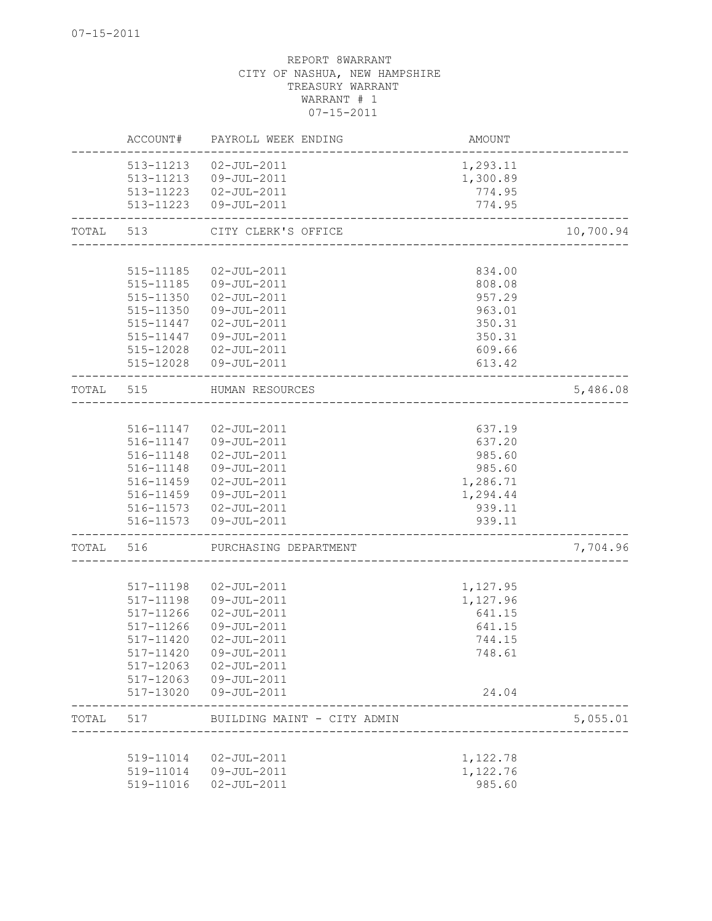|       | ACCOUNT#               | PAYROLL WEEK ENDING                              | AMOUNT               |           |
|-------|------------------------|--------------------------------------------------|----------------------|-----------|
|       | 513-11213<br>513-11213 | $02 - JUL - 2011$<br>09-JUL-2011                 | 1,293.11<br>1,300.89 |           |
|       | 513-11223              | 513-11223  02-JUL-2011<br>09-JUL-2011            | 774.95<br>774.95     |           |
| TOTAL | 513                    | CITY CLERK'S OFFICE<br>_________________________ |                      | 10,700.94 |
|       | 515-11185              | $02 - JUL - 2011$                                | 834.00               |           |
|       | 515-11185              | 09-JUL-2011                                      | 808.08               |           |
|       | 515-11350              | $02 - JUL - 2011$                                | 957.29               |           |
|       | 515-11350              | 09-JUL-2011                                      | 963.01               |           |
|       | 515-11447              | 02-JUL-2011                                      | 350.31               |           |
|       | 515-11447              | 09-JUL-2011                                      | 350.31               |           |
|       | 515-12028              | $02 - JUL - 2011$                                | 609.66               |           |
|       | 515-12028              | 09-JUL-2011                                      | 613.42               |           |
| TOTAL | 515                    | HUMAN RESOURCES<br>--------------------------    |                      | 5,486.08  |
|       |                        |                                                  |                      |           |
|       | 516-11147              | 02-JUL-2011                                      | 637.19               |           |
|       | 516-11147              | 09-JUL-2011                                      | 637.20               |           |
|       | 516-11148              | $02 - JUL - 2011$                                | 985.60               |           |
|       | 516-11148<br>516-11459 | 09-JUL-2011<br>$02 - JUL - 2011$                 | 985.60<br>1,286.71   |           |
|       | 516-11459              | 09-JUL-2011                                      | 1,294.44             |           |
|       | 516-11573              | 02-JUL-2011                                      | 939.11               |           |
|       | 516-11573              | 09-JUL-2011                                      | 939.11               |           |
| TOTAL | 516                    | PURCHASING DEPARTMENT                            |                      | 7,704.96  |
|       |                        |                                                  |                      |           |
|       | 517-11198              | $02 - JUL - 2011$                                | 1,127.95             |           |
|       | 517-11198              | 09-JUL-2011                                      | 1,127.96             |           |
|       | 517-11266              | $02 - JUL - 2011$                                | 641.15               |           |
|       | $517 - 11266$          | 09-JUL-2011                                      | 641.15               |           |
|       | 517-11420              | $02 - JUL - 2011$                                | 744.15               |           |
|       | 517-11420              | 09-JUL-2011<br>$02 - JUL - 2011$                 | 748.61               |           |
|       | 517-12063<br>517-12063 | 09-JUL-2011                                      |                      |           |
|       | 517-13020              | 09-JUL-2011                                      | 24.04                |           |
| TOTAL | 517                    | BUILDING MAINT - CITY ADMIN                      |                      | 5,055.01  |
|       |                        |                                                  |                      |           |
|       | 519-11014              | $02 - JUL - 2011$                                | 1,122.78             |           |
|       |                        | 519-11014  09-JUL-2011                           | 1,122.76             |           |
|       | 519-11016              | $02 - JUL - 2011$                                | 985.60               |           |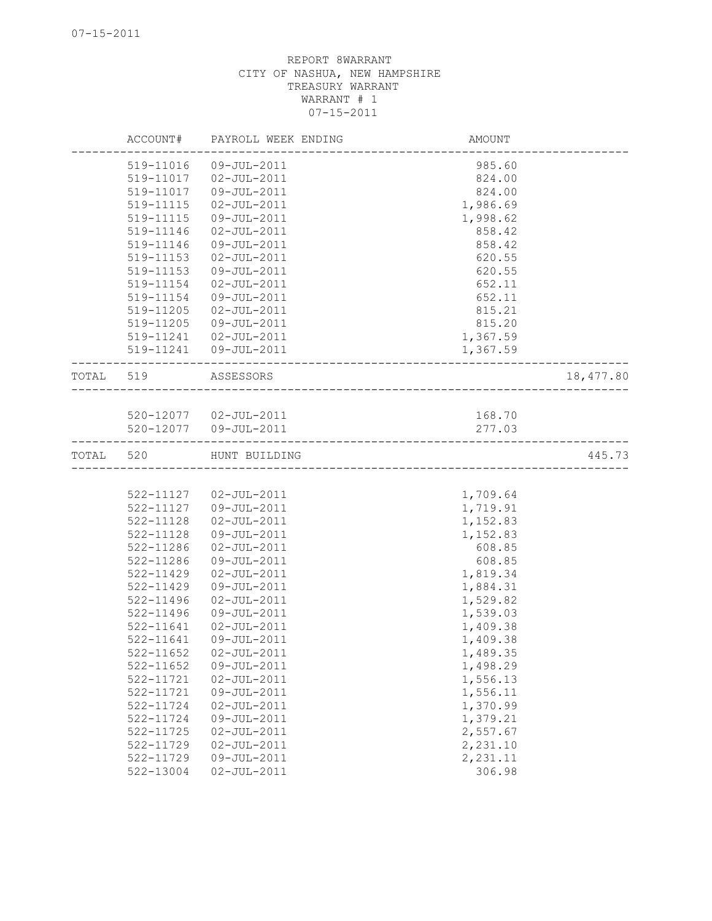| 09-JUL-2011<br>519-11016<br>985.60<br>519-11017<br>02-JUL-2011<br>824.00<br>519-11017<br>09-JUL-2011<br>824.00<br>519-11115<br>02-JUL-2011<br>1,986.69<br>519-11115<br>09-JUL-2011<br>1,998.62<br>519-11146<br>858.42<br>02-JUL-2011<br>09-JUL-2011<br>858.42<br>519-11146<br>519-11153<br>02-JUL-2011<br>620.55<br>620.55<br>519-11153<br>09-JUL-2011<br>$02 - JUL - 2011$<br>519-11154<br>652.11<br>519-11154<br>09-JUL-2011<br>652.11<br>02-JUL-2011<br>519-11205<br>815.21<br>519-11205<br>09-JUL-2011<br>815.20<br>519-11241  02-JUL-2011<br>1,367.59<br>519-11241  09-JUL-2011<br>1,367.59<br>18,477.80<br>ASSESSORS<br>-----------------------<br>520-12077  02-JUL-2011<br>168.70<br>520-12077  09-JUL-2011<br>277.03<br>445.73<br>520<br>HUNT BUILDING<br>522-11127  02-JUL-2011<br>1,709.64<br>522-11127<br>09-JUL-2011<br>1,719.91<br>522-11128<br>1,152.83<br>02-JUL-2011<br>522-11128<br>09-JUL-2011<br>1,152.83<br>522-11286<br>$02 - JUL - 2011$<br>608.85<br>522-11286<br>09-JUL-2011<br>608.85<br>522-11429<br>02-JUL-2011<br>1,819.34<br>1,884.31<br>522-11429<br>09-JUL-2011<br>$02 - JUL - 2011$<br>1,529.82<br>522-11496<br>522-11496<br>09-JUL-2011<br>1,539.03<br>1,409.38<br>522-11641<br>02-JUL-2011 |           | ACCOUNT# | PAYROLL WEEK ENDING | AMOUNT   |  |
|-------------------------------------------------------------------------------------------------------------------------------------------------------------------------------------------------------------------------------------------------------------------------------------------------------------------------------------------------------------------------------------------------------------------------------------------------------------------------------------------------------------------------------------------------------------------------------------------------------------------------------------------------------------------------------------------------------------------------------------------------------------------------------------------------------------------------------------------------------------------------------------------------------------------------------------------------------------------------------------------------------------------------------------------------------------------------------------------------------------------------------------------------------------------------------------------------------------------------------|-----------|----------|---------------------|----------|--|
|                                                                                                                                                                                                                                                                                                                                                                                                                                                                                                                                                                                                                                                                                                                                                                                                                                                                                                                                                                                                                                                                                                                                                                                                                               |           |          |                     |          |  |
|                                                                                                                                                                                                                                                                                                                                                                                                                                                                                                                                                                                                                                                                                                                                                                                                                                                                                                                                                                                                                                                                                                                                                                                                                               |           |          |                     |          |  |
|                                                                                                                                                                                                                                                                                                                                                                                                                                                                                                                                                                                                                                                                                                                                                                                                                                                                                                                                                                                                                                                                                                                                                                                                                               |           |          |                     |          |  |
|                                                                                                                                                                                                                                                                                                                                                                                                                                                                                                                                                                                                                                                                                                                                                                                                                                                                                                                                                                                                                                                                                                                                                                                                                               |           |          |                     |          |  |
|                                                                                                                                                                                                                                                                                                                                                                                                                                                                                                                                                                                                                                                                                                                                                                                                                                                                                                                                                                                                                                                                                                                                                                                                                               |           |          |                     |          |  |
|                                                                                                                                                                                                                                                                                                                                                                                                                                                                                                                                                                                                                                                                                                                                                                                                                                                                                                                                                                                                                                                                                                                                                                                                                               |           |          |                     |          |  |
|                                                                                                                                                                                                                                                                                                                                                                                                                                                                                                                                                                                                                                                                                                                                                                                                                                                                                                                                                                                                                                                                                                                                                                                                                               |           |          |                     |          |  |
|                                                                                                                                                                                                                                                                                                                                                                                                                                                                                                                                                                                                                                                                                                                                                                                                                                                                                                                                                                                                                                                                                                                                                                                                                               |           |          |                     |          |  |
|                                                                                                                                                                                                                                                                                                                                                                                                                                                                                                                                                                                                                                                                                                                                                                                                                                                                                                                                                                                                                                                                                                                                                                                                                               |           |          |                     |          |  |
|                                                                                                                                                                                                                                                                                                                                                                                                                                                                                                                                                                                                                                                                                                                                                                                                                                                                                                                                                                                                                                                                                                                                                                                                                               |           |          |                     |          |  |
|                                                                                                                                                                                                                                                                                                                                                                                                                                                                                                                                                                                                                                                                                                                                                                                                                                                                                                                                                                                                                                                                                                                                                                                                                               |           |          |                     |          |  |
|                                                                                                                                                                                                                                                                                                                                                                                                                                                                                                                                                                                                                                                                                                                                                                                                                                                                                                                                                                                                                                                                                                                                                                                                                               |           |          |                     |          |  |
|                                                                                                                                                                                                                                                                                                                                                                                                                                                                                                                                                                                                                                                                                                                                                                                                                                                                                                                                                                                                                                                                                                                                                                                                                               |           |          |                     |          |  |
|                                                                                                                                                                                                                                                                                                                                                                                                                                                                                                                                                                                                                                                                                                                                                                                                                                                                                                                                                                                                                                                                                                                                                                                                                               |           |          |                     |          |  |
|                                                                                                                                                                                                                                                                                                                                                                                                                                                                                                                                                                                                                                                                                                                                                                                                                                                                                                                                                                                                                                                                                                                                                                                                                               |           |          |                     |          |  |
|                                                                                                                                                                                                                                                                                                                                                                                                                                                                                                                                                                                                                                                                                                                                                                                                                                                                                                                                                                                                                                                                                                                                                                                                                               | TOTAL 519 |          |                     |          |  |
|                                                                                                                                                                                                                                                                                                                                                                                                                                                                                                                                                                                                                                                                                                                                                                                                                                                                                                                                                                                                                                                                                                                                                                                                                               |           |          |                     |          |  |
|                                                                                                                                                                                                                                                                                                                                                                                                                                                                                                                                                                                                                                                                                                                                                                                                                                                                                                                                                                                                                                                                                                                                                                                                                               |           |          |                     |          |  |
|                                                                                                                                                                                                                                                                                                                                                                                                                                                                                                                                                                                                                                                                                                                                                                                                                                                                                                                                                                                                                                                                                                                                                                                                                               |           |          |                     |          |  |
|                                                                                                                                                                                                                                                                                                                                                                                                                                                                                                                                                                                                                                                                                                                                                                                                                                                                                                                                                                                                                                                                                                                                                                                                                               | TOTAL     |          |                     |          |  |
|                                                                                                                                                                                                                                                                                                                                                                                                                                                                                                                                                                                                                                                                                                                                                                                                                                                                                                                                                                                                                                                                                                                                                                                                                               |           |          |                     |          |  |
|                                                                                                                                                                                                                                                                                                                                                                                                                                                                                                                                                                                                                                                                                                                                                                                                                                                                                                                                                                                                                                                                                                                                                                                                                               |           |          |                     |          |  |
|                                                                                                                                                                                                                                                                                                                                                                                                                                                                                                                                                                                                                                                                                                                                                                                                                                                                                                                                                                                                                                                                                                                                                                                                                               |           |          |                     |          |  |
|                                                                                                                                                                                                                                                                                                                                                                                                                                                                                                                                                                                                                                                                                                                                                                                                                                                                                                                                                                                                                                                                                                                                                                                                                               |           |          |                     |          |  |
|                                                                                                                                                                                                                                                                                                                                                                                                                                                                                                                                                                                                                                                                                                                                                                                                                                                                                                                                                                                                                                                                                                                                                                                                                               |           |          |                     |          |  |
|                                                                                                                                                                                                                                                                                                                                                                                                                                                                                                                                                                                                                                                                                                                                                                                                                                                                                                                                                                                                                                                                                                                                                                                                                               |           |          |                     |          |  |
|                                                                                                                                                                                                                                                                                                                                                                                                                                                                                                                                                                                                                                                                                                                                                                                                                                                                                                                                                                                                                                                                                                                                                                                                                               |           |          |                     |          |  |
|                                                                                                                                                                                                                                                                                                                                                                                                                                                                                                                                                                                                                                                                                                                                                                                                                                                                                                                                                                                                                                                                                                                                                                                                                               |           |          |                     |          |  |
|                                                                                                                                                                                                                                                                                                                                                                                                                                                                                                                                                                                                                                                                                                                                                                                                                                                                                                                                                                                                                                                                                                                                                                                                                               |           |          |                     |          |  |
|                                                                                                                                                                                                                                                                                                                                                                                                                                                                                                                                                                                                                                                                                                                                                                                                                                                                                                                                                                                                                                                                                                                                                                                                                               |           |          |                     |          |  |
|                                                                                                                                                                                                                                                                                                                                                                                                                                                                                                                                                                                                                                                                                                                                                                                                                                                                                                                                                                                                                                                                                                                                                                                                                               |           |          |                     |          |  |
|                                                                                                                                                                                                                                                                                                                                                                                                                                                                                                                                                                                                                                                                                                                                                                                                                                                                                                                                                                                                                                                                                                                                                                                                                               |           |          |                     |          |  |
| 522-11641<br>09-JUL-2011                                                                                                                                                                                                                                                                                                                                                                                                                                                                                                                                                                                                                                                                                                                                                                                                                                                                                                                                                                                                                                                                                                                                                                                                      |           |          |                     | 1,409.38 |  |
| 522-11652  02-JUL-2011<br>1,489.35                                                                                                                                                                                                                                                                                                                                                                                                                                                                                                                                                                                                                                                                                                                                                                                                                                                                                                                                                                                                                                                                                                                                                                                            |           |          |                     |          |  |
| 522-11652<br>09-JUL-2011<br>1,498.29                                                                                                                                                                                                                                                                                                                                                                                                                                                                                                                                                                                                                                                                                                                                                                                                                                                                                                                                                                                                                                                                                                                                                                                          |           |          |                     |          |  |
| 522-11721<br>$02 - JUL - 2011$<br>1,556.13                                                                                                                                                                                                                                                                                                                                                                                                                                                                                                                                                                                                                                                                                                                                                                                                                                                                                                                                                                                                                                                                                                                                                                                    |           |          |                     |          |  |
| 1,556.11<br>522-11721<br>09-JUL-2011                                                                                                                                                                                                                                                                                                                                                                                                                                                                                                                                                                                                                                                                                                                                                                                                                                                                                                                                                                                                                                                                                                                                                                                          |           |          |                     |          |  |
| 1,370.99<br>522-11724<br>$02 - JUL - 2011$                                                                                                                                                                                                                                                                                                                                                                                                                                                                                                                                                                                                                                                                                                                                                                                                                                                                                                                                                                                                                                                                                                                                                                                    |           |          |                     |          |  |
| 522-11724<br>09-JUL-2011<br>1,379.21                                                                                                                                                                                                                                                                                                                                                                                                                                                                                                                                                                                                                                                                                                                                                                                                                                                                                                                                                                                                                                                                                                                                                                                          |           |          |                     |          |  |
| $02 - JUL - 2011$<br>2,557.67<br>522-11725                                                                                                                                                                                                                                                                                                                                                                                                                                                                                                                                                                                                                                                                                                                                                                                                                                                                                                                                                                                                                                                                                                                                                                                    |           |          |                     |          |  |
| $02 - JUL - 2011$<br>2,231.10<br>522-11729                                                                                                                                                                                                                                                                                                                                                                                                                                                                                                                                                                                                                                                                                                                                                                                                                                                                                                                                                                                                                                                                                                                                                                                    |           |          |                     |          |  |
| 2,231.11<br>522-11729<br>09-JUL-2011                                                                                                                                                                                                                                                                                                                                                                                                                                                                                                                                                                                                                                                                                                                                                                                                                                                                                                                                                                                                                                                                                                                                                                                          |           |          |                     |          |  |
| 306.98<br>522-13004<br>$02 - JUL - 2011$                                                                                                                                                                                                                                                                                                                                                                                                                                                                                                                                                                                                                                                                                                                                                                                                                                                                                                                                                                                                                                                                                                                                                                                      |           |          |                     |          |  |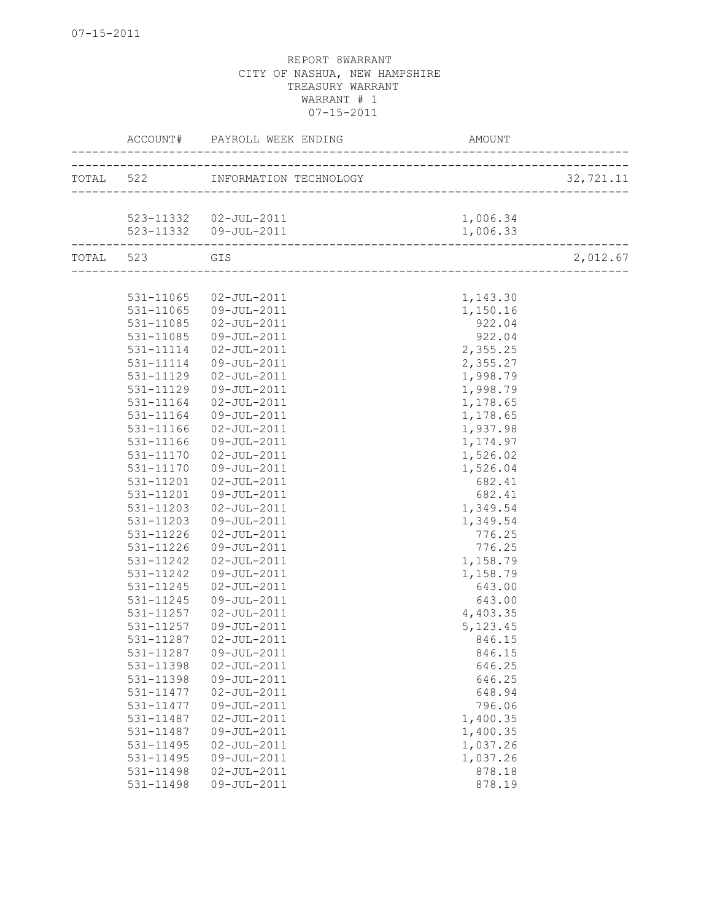|           |               | ACCOUNT# PAYROLL WEEK ENDING |           |           |
|-----------|---------------|------------------------------|-----------|-----------|
|           |               |                              |           | 32,721.11 |
|           |               |                              |           |           |
|           |               | 523-11332  02-JUL-2011       | 1,006.34  |           |
|           |               | 523-11332  09-JUL-2011       | 1,006.33  |           |
| TOTAL 523 |               | GIS                          |           | 2,012.67  |
|           |               |                              |           |           |
|           |               |                              |           |           |
|           | 531-11065     | 02-JUL-2011                  | 1,143.30  |           |
|           | 531-11065     | 09-JUL-2011                  | 1,150.16  |           |
|           | 531-11085     | 02-JUL-2011                  | 922.04    |           |
|           | 531-11085     | 09-JUL-2011                  | 922.04    |           |
|           | 531-11114     | 02-JUL-2011                  | 2,355.25  |           |
|           | 531-11114     | 09-JUL-2011                  | 2,355.27  |           |
|           | 531-11129     | $02 - JUL - 2011$            | 1,998.79  |           |
|           | 531-11129     | 09-JUL-2011                  | 1,998.79  |           |
|           | 531-11164     | $02 - JUL - 2011$            | 1,178.65  |           |
|           | 531-11164     | 09-JUL-2011                  | 1,178.65  |           |
|           | 531-11166     | 02-JUL-2011                  | 1,937.98  |           |
|           | 531-11166     | 09-JUL-2011                  | 1, 174.97 |           |
|           | 531-11170     | 02-JUL-2011                  | 1,526.02  |           |
|           | 531-11170     | 09-JUL-2011                  | 1,526.04  |           |
|           | 531-11201     | 02-JUL-2011                  | 682.41    |           |
|           | 531-11201     | 09-JUL-2011                  | 682.41    |           |
|           | 531-11203     | $02 - JUL - 2011$            | 1,349.54  |           |
|           | 531-11203     | 09-JUL-2011                  | 1,349.54  |           |
|           | 531-11226     | 02-JUL-2011                  | 776.25    |           |
|           | $531 - 11226$ | 09-JUL-2011                  | 776.25    |           |
|           | 531-11242     | 02-JUL-2011                  | 1,158.79  |           |
|           | 531-11242     | 09-JUL-2011                  | 1,158.79  |           |
|           | 531-11245     | $02 - JUL - 2011$            | 643.00    |           |
|           | 531-11245     | 09-JUL-2011                  | 643.00    |           |
|           | 531-11257     | $02 - JUL - 2011$            | 4,403.35  |           |
|           | 531-11257     | 09-JUL-2011                  | 5, 123.45 |           |
|           | 531-11287     | $02 - JUL - 2011$            | 846.15    |           |
|           | 531-11287     | 09-JUL-2011                  | 846.15    |           |
|           | 531-11398     | $02 - JUL - 2011$            | 646.25    |           |
|           | 531-11398     | 09-JUL-2011                  | 646.25    |           |
|           | 531-11477     | $02 - JUL - 2011$            | 648.94    |           |
|           | 531-11477     | 09-JUL-2011                  | 796.06    |           |
|           | 531-11487     | $02 - JUL - 2011$            | 1,400.35  |           |
|           | 531-11487     | 09-JUL-2011                  | 1,400.35  |           |
|           | 531-11495     | $02 - JUL - 2011$            | 1,037.26  |           |
|           | 531-11495     | 09-JUL-2011                  | 1,037.26  |           |
|           | 531-11498     | $02 - JUL - 2011$            | 878.18    |           |
|           | 531-11498     | 09-JUL-2011                  | 878.19    |           |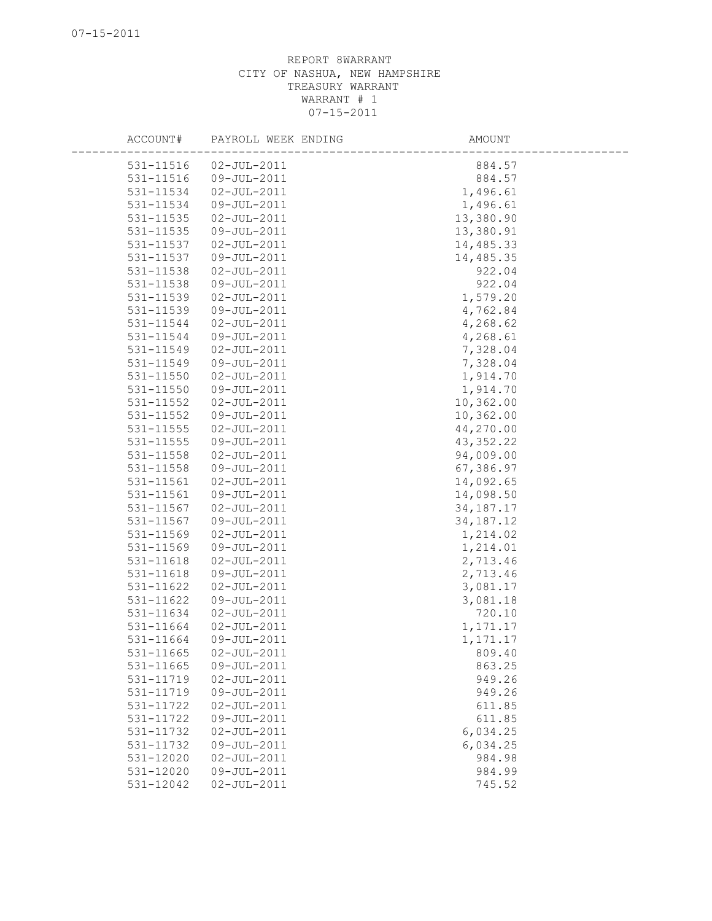| ACCOUNT#      | PAYROLL WEEK ENDING              | AMOUNT      |
|---------------|----------------------------------|-------------|
|               |                                  |             |
| 531-11516     | $02 - JUL - 2011$<br>09-JUL-2011 | 884.57      |
| 531-11516     |                                  | 884.57      |
| 531-11534     | $02 - JUL - 2011$                | 1,496.61    |
| 531-11534     | 09-JUL-2011                      | 1,496.61    |
| 531-11535     | $02 - JUL - 2011$                | 13,380.90   |
| 531-11535     | 09-JUL-2011                      | 13,380.91   |
| 531-11537     | $02 - JUL - 2011$                | 14,485.33   |
| 531-11537     | 09-JUL-2011                      | 14,485.35   |
| 531-11538     | $02 - JUL - 2011$                | 922.04      |
| 531-11538     | 09-JUL-2011                      | 922.04      |
| 531-11539     | $02 - JUL - 2011$                | 1,579.20    |
| 531-11539     | 09-JUL-2011                      | 4,762.84    |
| 531-11544     | $02 - JUL - 2011$                | 4,268.62    |
| 531-11544     | 09-JUL-2011                      | 4,268.61    |
| 531-11549     | $02 - JUL - 2011$                | 7,328.04    |
| 531-11549     | 09-JUL-2011                      | 7,328.04    |
| 531-11550     | $02 - JUL - 2011$                | 1,914.70    |
| 531-11550     | 09-JUL-2011                      | 1,914.70    |
| 531-11552     | $02 - JUL - 2011$                | 10,362.00   |
| 531-11552     | 09-JUL-2011                      | 10,362.00   |
| 531-11555     | $02 - JUL - 2011$                | 44,270.00   |
| 531-11555     | 09-JUL-2011                      | 43, 352.22  |
| 531-11558     | $02 - JUL - 2011$                | 94,009.00   |
| 531-11558     | 09-JUL-2011                      | 67,386.97   |
| 531-11561     | $02 - JUL - 2011$                | 14,092.65   |
| $531 - 11561$ | 09-JUL-2011                      | 14,098.50   |
| 531-11567     | $02 - JUL - 2011$                | 34, 187. 17 |
| 531-11567     | 09-JUL-2011                      | 34, 187. 12 |
| 531-11569     | $02 - JUL - 2011$                | 1,214.02    |
| 531-11569     | 09-JUL-2011                      | 1,214.01    |
| 531-11618     | $02 - JUL - 2011$                | 2,713.46    |
| 531-11618     | 09-JUL-2011                      | 2,713.46    |
| 531-11622     | $02 - JUL - 2011$                | 3,081.17    |
| 531-11622     | 09-JUL-2011                      | 3,081.18    |
| 531-11634     | $02 - JUL - 2011$                | 720.10      |
| 531-11664     | $02 - JUL - 2011$                | 1,171.17    |
| 531-11664     | 09-JUL-2011                      | 1,171.17    |
| 531-11665     | $02 - JUL - 2011$                | 809.40      |
| 531-11665     | 09-JUL-2011                      | 863.25      |
| 531-11719     | $02 - JUL - 2011$                | 949.26      |
| 531-11719     | 09-JUL-2011                      | 949.26      |
| 531-11722     | $02 - JUL - 2011$                | 611.85      |
| 531-11722     | 09-JUL-2011                      | 611.85      |
| 531-11732     | $02 - JUL - 2011$                | 6,034.25    |
| 531-11732     | 09-JUL-2011                      | 6,034.25    |
| 531-12020     | $02 - JUL - 2011$                | 984.98      |
| 531-12020     | 09-JUL-2011                      | 984.99      |
| 531-12042     | $02 - JUL - 2011$                | 745.52      |
|               |                                  |             |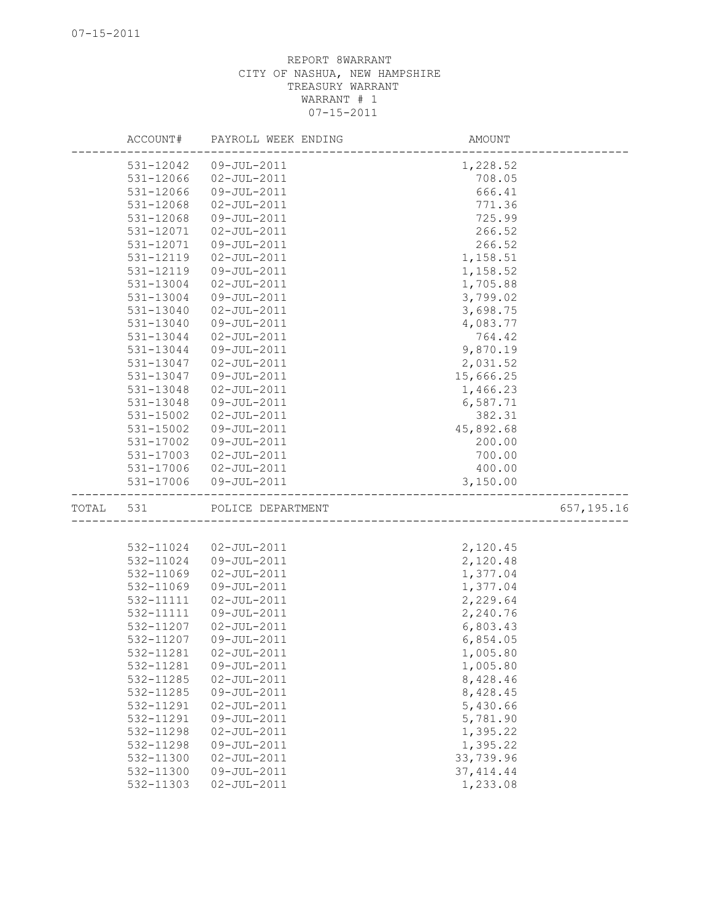|       | ACCOUNT#               | PAYROLL WEEK ENDING | AMOUNT     |             |
|-------|------------------------|---------------------|------------|-------------|
|       | 531-12042              | 09-JUL-2011         | 1,228.52   |             |
|       | 531-12066              | $02 - JUL - 2011$   | 708.05     |             |
|       | 531-12066              | 09-JUL-2011         | 666.41     |             |
|       | 531-12068              | $02 - JUL - 2011$   | 771.36     |             |
|       | 531-12068              | 09-JUL-2011         | 725.99     |             |
|       | 531-12071              | $02 - JUL - 2011$   | 266.52     |             |
|       | 531-12071              | 09-JUL-2011         | 266.52     |             |
|       | 531-12119              | $02 - JUL - 2011$   | 1,158.51   |             |
|       | 531-12119              | 09-JUL-2011         | 1,158.52   |             |
|       | 531-13004              | $02 - JUL - 2011$   | 1,705.88   |             |
|       | 531-13004              | 09-JUL-2011         | 3,799.02   |             |
|       | 531-13040              | $02 - JUL - 2011$   | 3,698.75   |             |
|       | 531-13040              | 09-JUL-2011         | 4,083.77   |             |
|       | 531-13044              | $02 - JUL - 2011$   | 764.42     |             |
|       | 531-13044              | 09-JUL-2011         | 9,870.19   |             |
|       | 531-13047              | $02 - JUL - 2011$   | 2,031.52   |             |
|       | 531-13047              | 09-JUL-2011         | 15,666.25  |             |
|       | 531-13048              | $02 - JUL - 2011$   | 1,466.23   |             |
|       | 531-13048              | 09-JUL-2011         | 6,587.71   |             |
|       | 531-15002              | $02 - JUL - 2011$   | 382.31     |             |
|       | 531-15002              | 09-JUL-2011         | 45,892.68  |             |
|       | 531-17002              | 09-JUL-2011         | 200.00     |             |
|       | 531-17003              | $02 - JUL - 2011$   | 700.00     |             |
|       |                        | 02-JUL-2011         | 400.00     |             |
|       | 531-17006<br>531-17006 | 09-JUL-2011         | 3,150.00   |             |
|       |                        |                     |            |             |
| TOTAL | 531                    | POLICE DEPARTMENT   |            | 657, 195.16 |
|       |                        |                     |            |             |
|       | 532-11024              | $02 - JUL - 2011$   | 2,120.45   |             |
|       | 532-11024              | 09-JUL-2011         | 2,120.48   |             |
|       | 532-11069              | $02 - JUL - 2011$   | 1,377.04   |             |
|       | 532-11069              | 09-JUL-2011         | 1,377.04   |             |
|       | 532-11111              | $02 - JUL - 2011$   | 2,229.64   |             |
|       | 532-11111              | 09-JUL-2011         | 2,240.76   |             |
|       | 532-11207              | $02 - JUL - 2011$   | 6,803.43   |             |
|       | 532-11207              | 09-JUL-2011         | 6,854.05   |             |
|       | 532-11281              | $02 - JUL - 2011$   | 1,005.80   |             |
|       | 532-11281              | 09-JUL-2011         | 1,005.80   |             |
|       | 532-11285              | $02 - JUL - 2011$   | 8,428.46   |             |
|       | 532-11285              | 09-JUL-2011         | 8,428.45   |             |
|       | 532-11291              | $02 - JUL - 2011$   | 5,430.66   |             |
|       | 532-11291              | 09-JUL-2011         | 5,781.90   |             |
|       | 532-11298              | $02 - JUL - 2011$   | 1,395.22   |             |
|       | 532-11298              | 09-JUL-2011         | 1,395.22   |             |
|       | 532-11300              | $02 - JUL - 2011$   | 33,739.96  |             |
|       | 532-11300              | 09-JUL-2011         | 37, 414.44 |             |
|       | 532-11303              | $02 - JUL - 2011$   | 1,233.08   |             |
|       |                        |                     |            |             |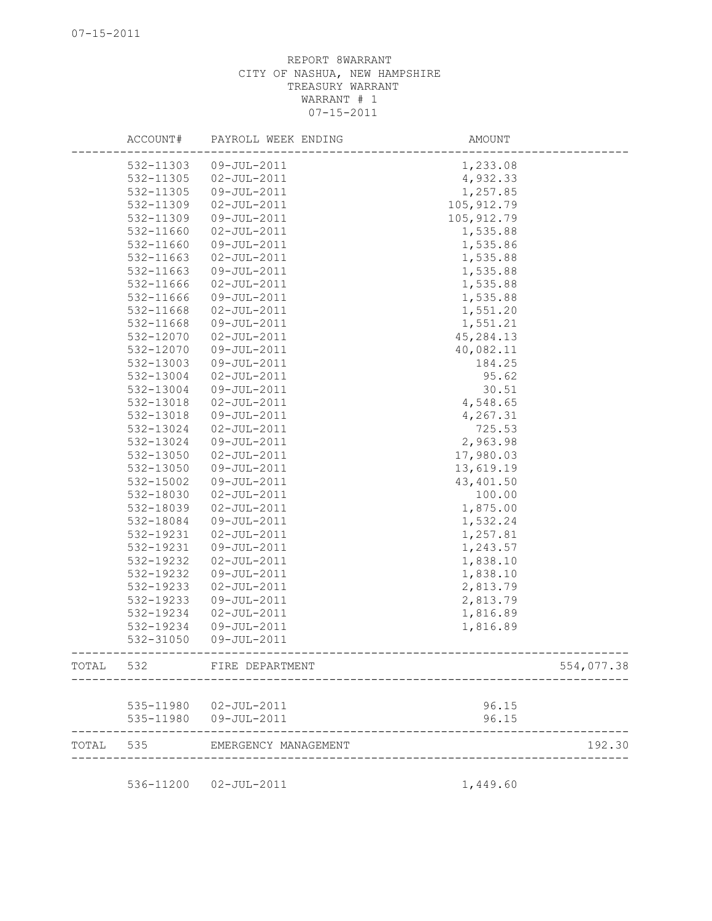|       | ACCOUNT#  | PAYROLL WEEK ENDING    | AMOUNT      |            |
|-------|-----------|------------------------|-------------|------------|
|       | 532-11303 | 09-JUL-2011            | 1,233.08    |            |
|       | 532-11305 | $02 - JUL - 2011$      | 4,932.33    |            |
|       | 532-11305 | 09-JUL-2011            | 1,257.85    |            |
|       | 532-11309 | $02 - JUL - 2011$      | 105, 912.79 |            |
|       | 532-11309 | 09-JUL-2011            | 105, 912.79 |            |
|       | 532-11660 | $02 - JUL - 2011$      | 1,535.88    |            |
|       | 532-11660 | 09-JUL-2011            | 1,535.86    |            |
|       | 532-11663 | $02 - JUL - 2011$      | 1,535.88    |            |
|       | 532-11663 | 09-JUL-2011            | 1,535.88    |            |
|       | 532-11666 | $02 - JUL - 2011$      | 1,535.88    |            |
|       | 532-11666 | 09-JUL-2011            | 1,535.88    |            |
|       | 532-11668 | 02-JUL-2011            | 1,551.20    |            |
|       | 532-11668 | 09-JUL-2011            | 1,551.21    |            |
|       | 532-12070 | $02 - JUL - 2011$      | 45,284.13   |            |
|       | 532-12070 | 09-JUL-2011            | 40,082.11   |            |
|       | 532-13003 | 09-JUL-2011            | 184.25      |            |
|       | 532-13004 | $02 - JUL - 2011$      | 95.62       |            |
|       | 532-13004 | $09 - JUL - 2011$      | 30.51       |            |
|       | 532-13018 | $02 - JUL - 2011$      | 4,548.65    |            |
|       | 532-13018 | 09-JUL-2011            | 4,267.31    |            |
|       | 532-13024 | 02-JUL-2011            | 725.53      |            |
|       | 532-13024 | $09 - JUL - 2011$      | 2,963.98    |            |
|       | 532-13050 | $02 - JUL - 2011$      | 17,980.03   |            |
|       | 532-13050 | 09-JUL-2011            | 13,619.19   |            |
|       | 532-15002 | 09-JUL-2011            | 43,401.50   |            |
|       | 532-18030 | $02 - JUL - 2011$      | 100.00      |            |
|       | 532-18039 | $02 - JUL - 2011$      | 1,875.00    |            |
|       | 532-18084 | 09-JUL-2011            | 1,532.24    |            |
|       | 532-19231 | $02 - JUL - 2011$      | 1,257.81    |            |
|       | 532-19231 | 09-JUL-2011            | 1,243.57    |            |
|       | 532-19232 | $02 - JUL - 2011$      | 1,838.10    |            |
|       | 532-19232 | 09-JUL-2011            | 1,838.10    |            |
|       | 532-19233 | $02 - JUL - 2011$      | 2,813.79    |            |
|       | 532-19233 | 09-JUL-2011            | 2,813.79    |            |
|       | 532-19234 | $02 - JUL - 2011$      | 1,816.89    |            |
|       | 532-19234 | 09-JUL-2011            | 1,816.89    |            |
|       | 532-31050 | 09-JUL-2011            |             |            |
| TOTAL | 532       | FIRE DEPARTMENT        |             | 554,077.38 |
|       |           | 535-11980  02-JUL-2011 | 96.15       |            |
|       | 535-11980 | 09-JUL-2011            | 96.15       |            |
| TOTAL | 535       | EMERGENCY MANAGEMENT   |             | 192.30     |
|       |           | 536-11200  02-JUL-2011 | 1,449.60    |            |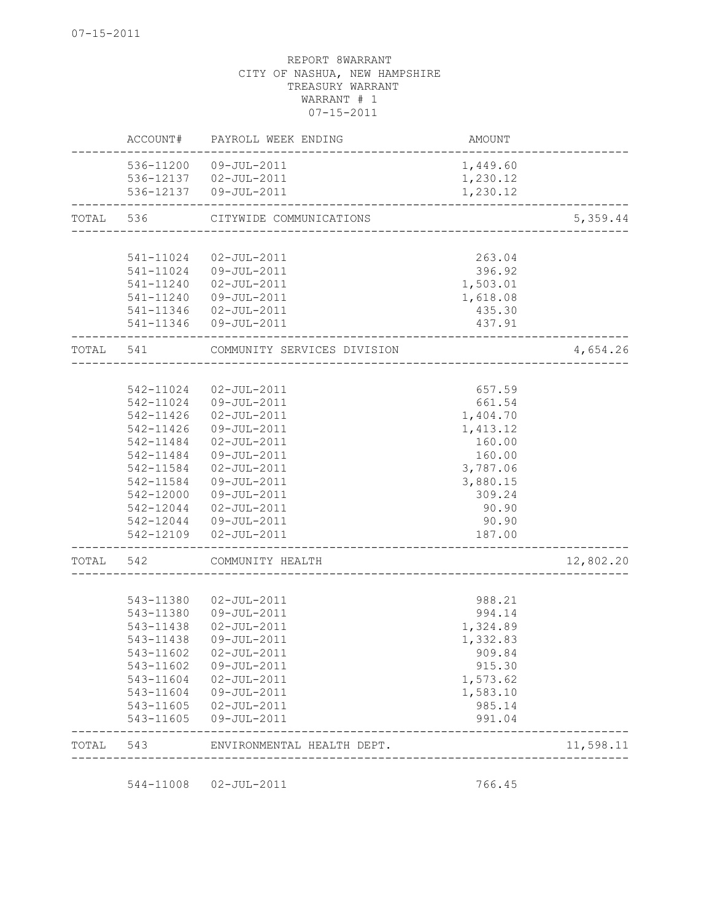| TOTAL | 543                    | ENVIRONMENTAL HEALTH DEPT.       |                  | 11,598.11 |
|-------|------------------------|----------------------------------|------------------|-----------|
|       | 543-11605<br>543-11605 | 02-JUL-2011<br>09-JUL-2011       | 985.14<br>991.04 |           |
|       | 543-11604              | 09-JUL-2011                      | 1,583.10         |           |
|       | 543-11604              | $02 - JUL - 2011$                | 1,573.62         |           |
|       | 543-11602              | 09-JUL-2011                      | 915.30           |           |
|       | 543-11602              | $02 - JU$ T $-2011$              | 909.84           |           |
|       | 543-11438              | 09-JUL-2011                      | 1,332.83         |           |
|       | 543-11438              | 02-JUL-2011                      | 1,324.89         |           |
|       | 543-11380              | 09-JUL-2011                      | 994.14           |           |
|       | 543-11380              | $02 - JUL - 2011$                | 988.21           |           |
| TOTAL | 542                    | COMMUNITY HEALTH                 |                  | 12,802.20 |
|       | 542-12109              | $02 - JUL - 2011$                | 187.00           |           |
|       | 542-12044              | 09-JUL-2011                      | 90.90            |           |
|       | 542-12044              | 02-JUL-2011                      | 90.90            |           |
|       | 542-12000              | 09-JUL-2011                      | 309.24           |           |
|       | 542-11584              | 09-JUL-2011                      | 3,880.15         |           |
|       | 542-11584              | $02 - JUL - 2011$                | 3,787.06         |           |
|       | 542-11484              | 09-JUL-2011                      | 160.00           |           |
|       | 542-11484              | 02-JUL-2011                      | 160.00           |           |
|       | 542-11426              | 09-JUL-2011                      | 1,413.12         |           |
|       | 542-11426              | $02 - JUL - 2011$                | 1,404.70         |           |
|       | 542-11024              | 09-JUL-2011                      | 661.54           |           |
|       | 542-11024              | $02 - JUL - 2011$                | 657.59           |           |
| TOTAL | 541                    | COMMUNITY SERVICES DIVISION      |                  | 4,654.26  |
|       | 541-11346              | 09-JUL-2011                      | 437.91           |           |
|       | 541-11346              | 02-JUL-2011                      | 435.30           |           |
|       | 541-11240              | 09-JUL-2011                      | 1,618.08         |           |
|       | 541-11240              | $02 - JUL - 2011$                | 1,503.01         |           |
|       | 541-11024<br>541-11024 | $02 - JUL - 2011$<br>09-JUL-2011 | 263.04<br>396.92 |           |
| TOTAL | 536                    | CITYWIDE COMMUNICATIONS          |                  | 5,359.44  |
|       |                        | 536-12137  09-JUL-2011           | 1,230.12         |           |
|       |                        | 536-12137  02-JUL-2011           | 1,230.12         |           |
|       | 536-11200              | 09-JUL-2011                      | 1,449.60         |           |
|       | ACCOUNT#               | PAYROLL WEEK ENDING              | AMOUNT           |           |

544-11008 02-JUL-2011 766.45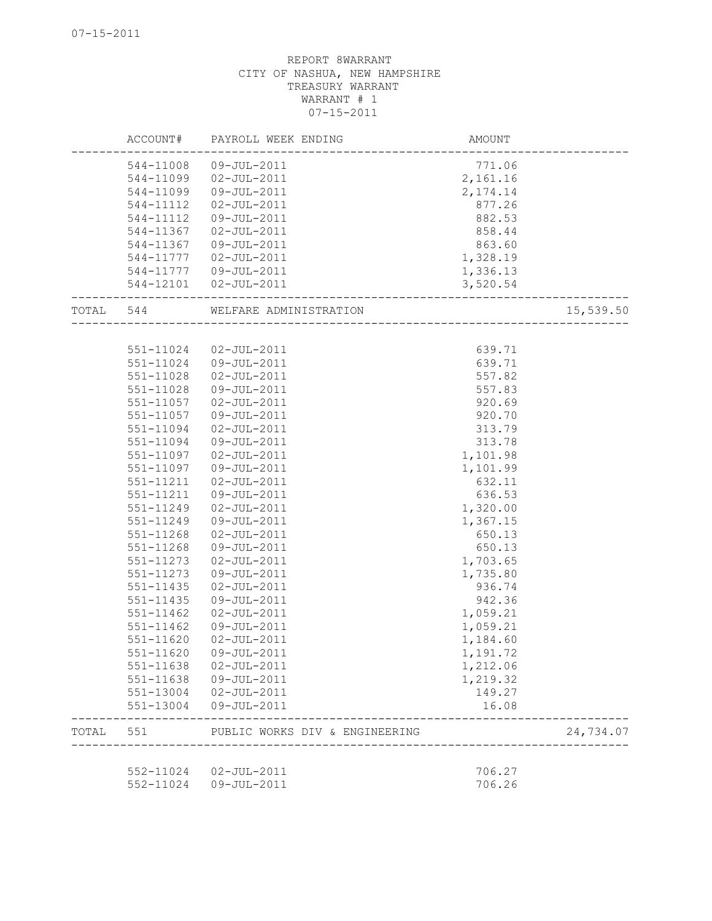|           | ACCOUNT#      | PAYROLL WEEK ENDING            | AMOUNT    |           |
|-----------|---------------|--------------------------------|-----------|-----------|
|           |               | 544-11008 09-JUL-2011          | 771.06    |           |
|           | 544-11099     | 02-JUL-2011                    | 2,161.16  |           |
|           | 544-11099     | 09-JUL-2011                    | 2, 174.14 |           |
|           | 544-11112     | 02-JUL-2011                    | 877.26    |           |
|           | 544-11112     | 09-JUL-2011                    | 882.53    |           |
|           | 544-11367     | $02 - JUL - 2011$              | 858.44    |           |
|           | 544-11367     | 09-JUL-2011                    | 863.60    |           |
|           | 544-11777     | $02 - JUL - 2011$              | 1,328.19  |           |
|           |               | 544-11777  09-JUL-2011         | 1,336.13  |           |
|           |               | 544-12101  02-JUL-2011         | 3,520.54  |           |
| TOTAL 544 |               | WELFARE ADMINISTRATION         |           | 15,539.50 |
|           |               |                                |           |           |
|           | 551-11024     | 02-JUL-2011                    | 639.71    |           |
|           | 551-11024     | 09-JUL-2011                    | 639.71    |           |
|           | 551-11028     | $02 - JUL - 2011$              | 557.82    |           |
|           | 551-11028     | 09-JUL-2011                    | 557.83    |           |
|           | 551-11057     | $02 - JUL - 2011$              | 920.69    |           |
|           | 551-11057     | 09-JUL-2011                    | 920.70    |           |
|           | 551-11094     | 02-JUL-2011                    | 313.79    |           |
|           | 551-11094     | 09-JUL-2011                    | 313.78    |           |
|           | 551-11097     | 02-JUL-2011                    | 1,101.98  |           |
|           | 551-11097     | 09-JUL-2011                    | 1,101.99  |           |
|           | 551-11211     | $02 - JUL - 2011$              | 632.11    |           |
|           | 551-11211     | 09-JUL-2011                    | 636.53    |           |
|           | 551-11249     | $02 - JUL - 2011$              | 1,320.00  |           |
|           | 551-11249     | 09-JUL-2011                    | 1,367.15  |           |
|           | 551-11268     | $02 - JUL - 2011$              | 650.13    |           |
|           | 551-11268     | 09-JUL-2011                    | 650.13    |           |
|           | $551 - 11273$ | $02 - JUL - 2011$              | 1,703.65  |           |
|           | 551-11273     | 09-JUL-2011                    | 1,735.80  |           |
|           | 551-11435     | $02 - JUL - 2011$              | 936.74    |           |
|           | 551-11435     | 09-JUL-2011                    | 942.36    |           |
|           | $551 - 11462$ | $02 - JUL - 2011$              | 1,059.21  |           |
|           | 551-11462     | 09-JUL-2011                    | 1,059.21  |           |
|           | 551-11620     | $02 - JUL - 2011$              | 1,184.60  |           |
|           | 551-11620     | 09-JUL-2011                    | 1,191.72  |           |
|           | 551-11638     | $02 - JUL - 2011$              | 1,212.06  |           |
|           | 551-11638     | 09-JUL-2011                    | 1,219.32  |           |
|           | 551-13004     | 02-JUL-2011                    | 149.27    |           |
|           | 551-13004     | 09-JUL-2011                    | 16.08     |           |
| TOTAL     | 551           | PUBLIC WORKS DIV & ENGINEERING |           | 24,734.07 |
|           |               |                                |           |           |
|           |               | 552-11024  02-JUL-2011         | 706.27    |           |
|           |               | 552-11024 09-JUL-2011          | 706.26    |           |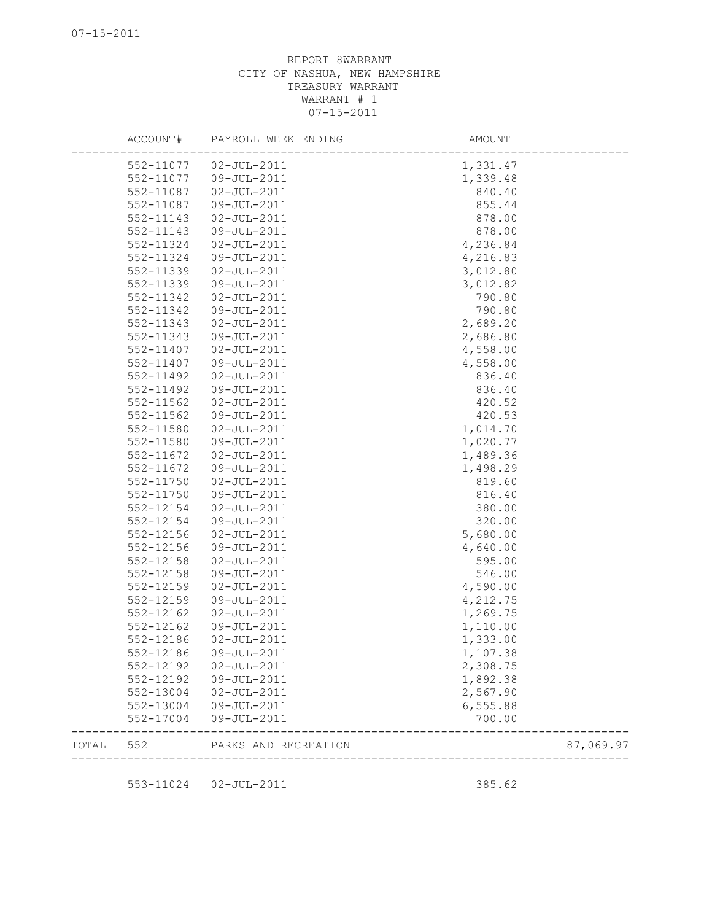|       | ACCOUNT#  | PAYROLL WEEK ENDING    | AMOUNT   |           |
|-------|-----------|------------------------|----------|-----------|
|       |           | 552-11077  02-JUL-2011 | 1,331.47 |           |
|       | 552-11077 | 09-JUL-2011            | 1,339.48 |           |
|       | 552-11087 | $02 - JUL - 2011$      | 840.40   |           |
|       | 552-11087 | 09-JUL-2011            | 855.44   |           |
|       | 552-11143 | $02 - JUL - 2011$      | 878.00   |           |
|       | 552-11143 | 09-JUL-2011            | 878.00   |           |
|       | 552-11324 | $02 - JUL - 2011$      | 4,236.84 |           |
|       | 552-11324 | 09-JUL-2011            | 4,216.83 |           |
|       | 552-11339 | $02 - JUL - 2011$      | 3,012.80 |           |
|       | 552-11339 | 09-JUL-2011            | 3,012.82 |           |
|       | 552-11342 | $02 - JUL - 2011$      | 790.80   |           |
|       | 552-11342 | 09-JUL-2011            | 790.80   |           |
|       | 552-11343 | 02-JUL-2011            | 2,689.20 |           |
|       | 552-11343 | 09-JUL-2011            | 2,686.80 |           |
|       | 552-11407 | 02-JUL-2011            | 4,558.00 |           |
|       | 552-11407 | 09-JUL-2011            | 4,558.00 |           |
|       | 552-11492 | $02 - JUL - 2011$      | 836.40   |           |
|       | 552-11492 | 09-JUL-2011            | 836.40   |           |
|       | 552-11562 | $02 - JUL - 2011$      | 420.52   |           |
|       | 552-11562 | 09-JUL-2011            | 420.53   |           |
|       | 552-11580 | $02 - JUL - 2011$      | 1,014.70 |           |
|       | 552-11580 | 09-JUL-2011            | 1,020.77 |           |
|       | 552-11672 | $02 - JUL - 2011$      | 1,489.36 |           |
|       | 552-11672 | 09-JUL-2011            | 1,498.29 |           |
|       | 552-11750 | $02 - JUL - 2011$      | 819.60   |           |
|       | 552-11750 | 09-JUL-2011            | 816.40   |           |
|       | 552-12154 | $02 - JUL - 2011$      | 380.00   |           |
|       | 552-12154 | 09-JUL-2011            | 320.00   |           |
|       | 552-12156 | $02 - JUL - 2011$      | 5,680.00 |           |
|       | 552-12156 | 09-JUL-2011            | 4,640.00 |           |
|       | 552-12158 | $02 - JUL - 2011$      | 595.00   |           |
|       | 552-12158 | 09-JUL-2011            | 546.00   |           |
|       | 552-12159 | $02 - JUL - 2011$      | 4,590.00 |           |
|       | 552-12159 | 09-JUL-2011            | 4,212.75 |           |
|       | 552-12162 | $02 - JUL - 2011$      | 1,269.75 |           |
|       | 552-12162 | 09-JUL-2011            | 1,110.00 |           |
|       | 552-12186 | $02 - JUL - 2011$      | 1,333.00 |           |
|       | 552-12186 | 09-JUL-2011            | 1,107.38 |           |
|       | 552-12192 | $02 - JUL - 2011$      | 2,308.75 |           |
|       | 552-12192 | 09-JUL-2011            | 1,892.38 |           |
|       | 552-13004 | $02 - JUL - 2011$      | 2,567.90 |           |
|       | 552-13004 | 09-JUL-2011            | 6,555.88 |           |
|       | 552-17004 | 09-JUL-2011            | 700.00   |           |
| TOTAL | 552       | PARKS AND RECREATION   |          | 87,069.97 |

553-11024 02-JUL-2011 385.62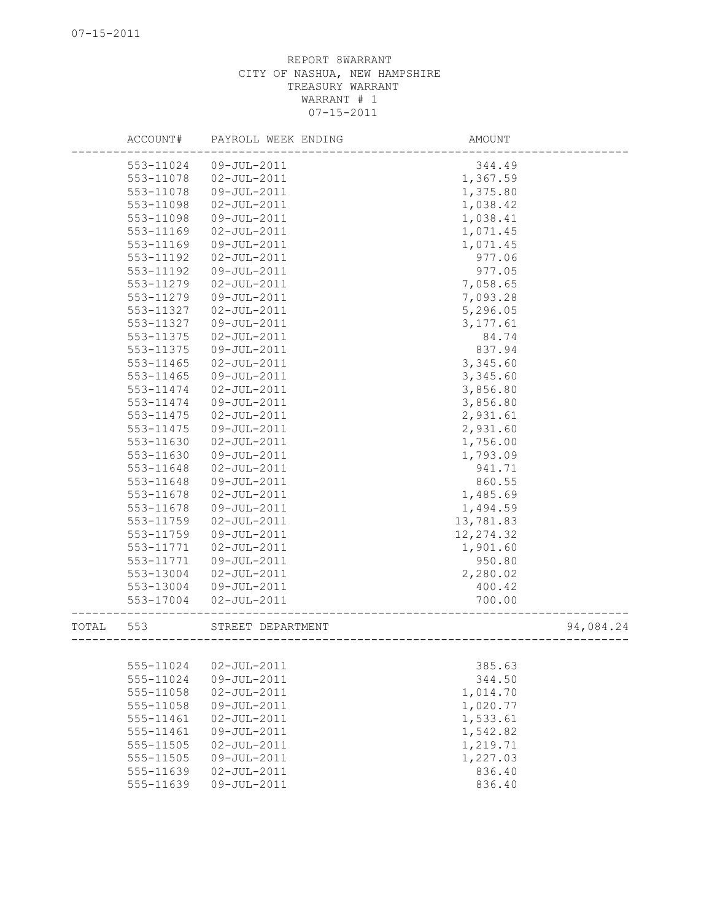|       | ACCOUNT#  | PAYROLL WEEK ENDING | AMOUNT     |           |
|-------|-----------|---------------------|------------|-----------|
|       | 553-11024 | 09-JUL-2011         | 344.49     |           |
|       | 553-11078 | $02 - JUL - 2011$   | 1,367.59   |           |
|       | 553-11078 | 09-JUL-2011         | 1,375.80   |           |
|       | 553-11098 | $02 - JUL - 2011$   | 1,038.42   |           |
|       | 553-11098 | 09-JUL-2011         | 1,038.41   |           |
|       | 553-11169 | $02 - JUL - 2011$   | 1,071.45   |           |
|       | 553-11169 | 09-JUL-2011         | 1,071.45   |           |
|       | 553-11192 | $02 - JUL - 2011$   | 977.06     |           |
|       | 553-11192 | 09-JUL-2011         | 977.05     |           |
|       | 553-11279 | $02 - JUL - 2011$   | 7,058.65   |           |
|       | 553-11279 | 09-JUL-2011         | 7,093.28   |           |
|       | 553-11327 | $02 - JUL - 2011$   | 5,296.05   |           |
|       | 553-11327 | 09-JUL-2011         | 3,177.61   |           |
|       | 553-11375 | $02 - JUL - 2011$   | 84.74      |           |
|       | 553-11375 | 09-JUL-2011         | 837.94     |           |
|       | 553-11465 | $02 - JUL - 2011$   | 3,345.60   |           |
|       | 553-11465 | 09-JUL-2011         | 3,345.60   |           |
|       | 553-11474 | $02 - JUL - 2011$   | 3,856.80   |           |
|       | 553-11474 | 09-JUL-2011         | 3,856.80   |           |
|       | 553-11475 | $02 - JUL - 2011$   | 2,931.61   |           |
|       | 553-11475 | 09-JUL-2011         | 2,931.60   |           |
|       | 553-11630 | $02 - JUL - 2011$   | 1,756.00   |           |
|       | 553-11630 | 09-JUL-2011         | 1,793.09   |           |
|       | 553-11648 | $02 - JUL - 2011$   | 941.71     |           |
|       | 553-11648 | 09-JUL-2011         | 860.55     |           |
|       | 553-11678 | $02 - JUL - 2011$   | 1,485.69   |           |
|       | 553-11678 | 09-JUL-2011         | 1,494.59   |           |
|       | 553-11759 | $02 - JUL - 2011$   | 13,781.83  |           |
|       | 553-11759 | 09-JUL-2011         | 12, 274.32 |           |
|       | 553-11771 | $02 - JUL - 2011$   | 1,901.60   |           |
|       | 553-11771 | 09-JUL-2011         | 950.80     |           |
|       | 553-13004 | $02 - JUL - 2011$   | 2,280.02   |           |
|       | 553-13004 | 09-JUL-2011         | 400.42     |           |
|       | 553-17004 | $02 - JUL - 2011$   | 700.00     |           |
| TOTAL | 553       | STREET DEPARTMENT   |            | 94,084.24 |
|       |           |                     |            |           |
|       | 555-11024 | $02 - JUL - 2011$   | 385.63     |           |
|       | 555-11024 | 09-JUL-2011         | 344.50     |           |
|       | 555-11058 | $02 - JUL - 2011$   | 1,014.70   |           |
|       | 555-11058 | 09-JUL-2011         | 1,020.77   |           |
|       | 555-11461 | $02 - JUL - 2011$   | 1,533.61   |           |
|       | 555-11461 | 09-JUL-2011         | 1,542.82   |           |
|       | 555-11505 | $02 - JUL - 2011$   | 1,219.71   |           |
|       | 555-11505 | 09-JUL-2011         | 1,227.03   |           |
|       | 555-11639 | $02 - JUL - 2011$   | 836.40     |           |
|       | 555-11639 | 09-JUL-2011         | 836.40     |           |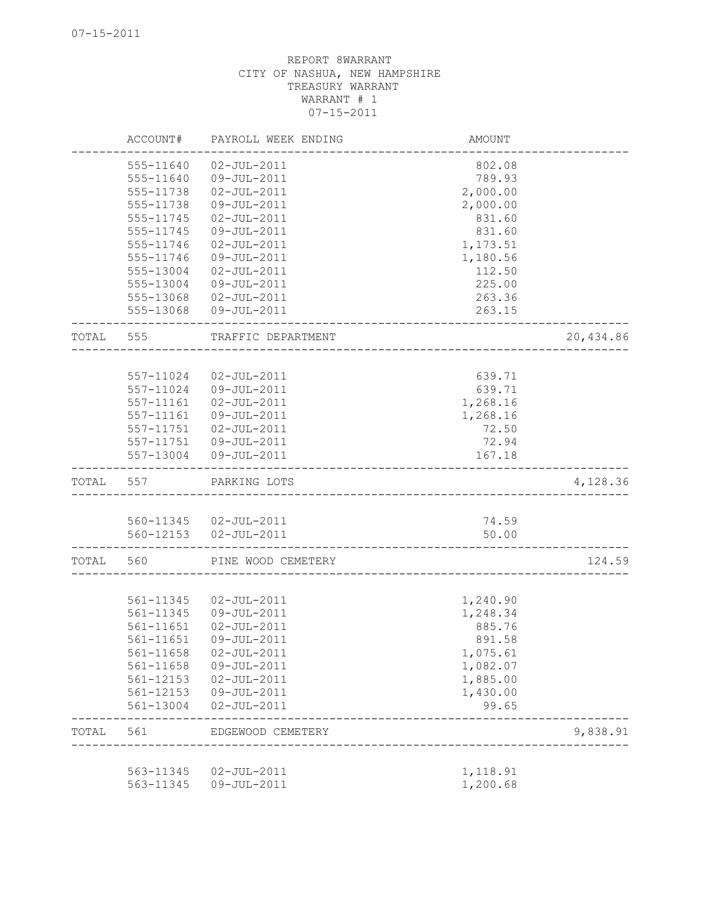|       | ACCOUNT#      | PAYROLL WEEK ENDING                            | AMOUNT                              |           |
|-------|---------------|------------------------------------------------|-------------------------------------|-----------|
|       | 555-11640     | $02 - JUL - 2011$                              | 802.08                              |           |
|       | 555-11640     | 09-JUL-2011                                    | 789.93                              |           |
|       | 555-11738     | $02 - JUL - 2011$                              | 2,000.00                            |           |
|       | 555-11738     | 09-JUL-2011                                    | 2,000.00                            |           |
|       | $555 - 11745$ | $02 - JUL - 2011$                              | 831.60                              |           |
|       | 555-11745     | 09-JUL-2011                                    | 831.60                              |           |
|       | 555-11746     | $02 - JUL - 2011$                              | 1,173.51                            |           |
|       | 555-11746     | 09-JUL-2011                                    | 1,180.56                            |           |
|       | 555-13004     | $02 - JUL - 2011$                              | 112.50                              |           |
|       | 555-13004     | 09-JUL-2011                                    | 225.00                              |           |
|       |               | 555-13068 02-JUL-2011                          | 263.36                              |           |
|       | 555-13068     | 09-JUL-2011                                    | 263.15                              |           |
| TOTAL | 555           | TRAFFIC DEPARTMENT                             |                                     | 20,434.86 |
|       |               |                                                |                                     |           |
|       | 557-11024     | $02 - JUL - 2011$                              | 639.71                              |           |
|       | 557-11024     | 09-JUL-2011                                    | 639.71                              |           |
|       | 557-11161     | $02 - JUL - 2011$                              | 1,268.16                            |           |
|       | 557-11161     | 09-JUL-2011                                    | 1,268.16                            |           |
|       |               | 557-11751 02-JUL-2011<br>557-11751 09-JUL-2011 | 72.50                               |           |
|       |               | 557-13004 09-JUL-2011                          | 72.94<br>167.18                     |           |
| TOTAL | 557           | PARKING LOTS                                   | ___________________________________ | 4,128.36  |
|       |               |                                                |                                     |           |
|       |               | 560-11345  02-JUL-2011                         | 74.59                               |           |
|       |               | 560-12153  02-JUL-2011                         | 50.00                               |           |
| TOTAL | 560           | PINE WOOD CEMETERY                             |                                     | 124.59    |
|       |               |                                                |                                     |           |
|       | 561-11345     | $02 - JUL - 2011$                              | 1,240.90                            |           |
|       | 561-11345     | 09-JUL-2011                                    | 1,248.34                            |           |
|       | 561-11651     | $02 - JUL - 2011$                              | 885.76                              |           |
|       | 561-11651     | 09-JUL-2011                                    | 891.58                              |           |
|       | 561-11658     | $02 - JUL - 2011$                              | 1,075.61                            |           |
|       | 561-11658     | 09-JUL-2011                                    | 1,082.07                            |           |
|       |               | 561-12153  02-JUL-2011                         | 1,885.00                            |           |
|       | 561-12153     | 09-JUL-2011                                    | 1,430.00                            |           |
|       | 561-13004     | $02 - JUL - 2011$                              | 99.65                               |           |
| TOTAL | 561           | EDGEWOOD CEMETERY                              |                                     | 9,838.91  |
|       | 563-11345     | 02-JUL-2011                                    | 1,118.91                            |           |
|       | 563-11345     | 09-JUL-2011                                    | 1,200.68                            |           |
|       |               |                                                |                                     |           |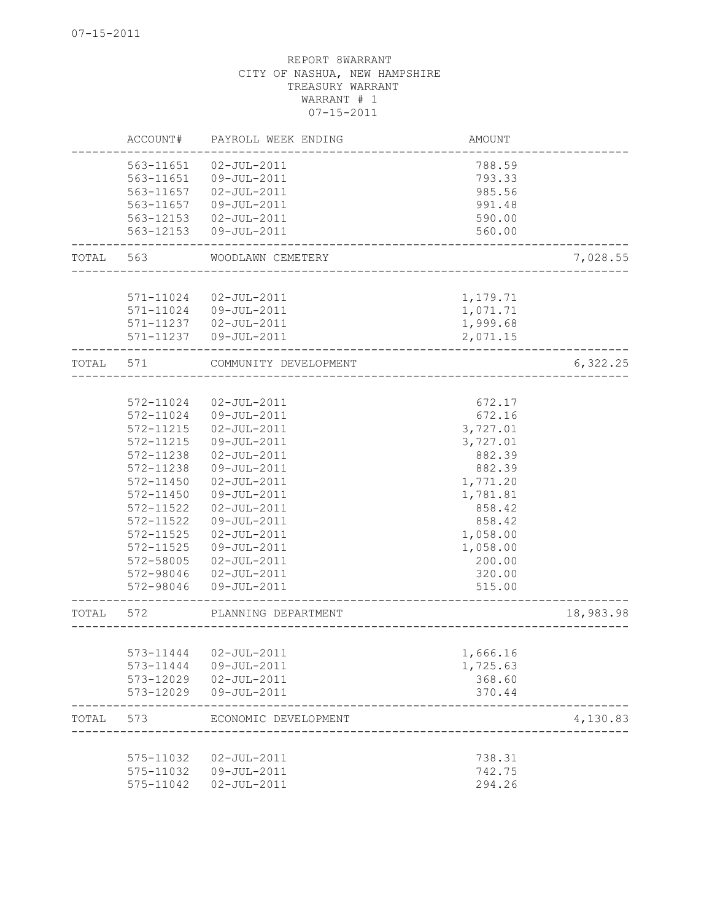|       | ACCOUNT#  | PAYROLL WEEK ENDING              | AMOUNT   |           |
|-------|-----------|----------------------------------|----------|-----------|
|       | 563-11651 | $02 - JUL - 2011$                | 788.59   |           |
|       | 563-11651 | 09-JUL-2011                      | 793.33   |           |
|       | 563-11657 | $02 - JUL - 2011$                | 985.56   |           |
|       | 563-11657 | 09-JUL-2011                      | 991.48   |           |
|       | 563-12153 | 02-JUL-2011                      | 590.00   |           |
|       | 563-12153 | 09-JUL-2011                      | 560.00   |           |
| TOTAL | 563       | WOODLAWN CEMETERY                |          | 7,028.55  |
|       |           |                                  |          |           |
|       | 571-11024 | $02 - JUL - 2011$                | 1,179.71 |           |
|       | 571-11024 | 09-JUL-2011                      | 1,071.71 |           |
|       |           | 571-11237  02-JUL-2011           | 1,999.68 |           |
|       |           | 571-11237  09-JUL-2011           | 2,071.15 |           |
| TOTAL | 571       | COMMUNITY DEVELOPMENT            |          | 6,322.25  |
|       |           |                                  |          |           |
|       | 572-11024 | $02 - JUL - 2011$                | 672.17   |           |
|       | 572-11024 | 09-JUL-2011                      | 672.16   |           |
|       | 572-11215 | $02 - JUL - 2011$                | 3,727.01 |           |
|       | 572-11215 | 09-JUL-2011                      | 3,727.01 |           |
|       | 572-11238 | $02 - JUL - 2011$                | 882.39   |           |
|       | 572-11238 | 09-JUL-2011                      | 882.39   |           |
|       | 572-11450 | $02 - JUL - 2011$                | 1,771.20 |           |
|       | 572-11450 | 09-JUL-2011                      | 1,781.81 |           |
|       | 572-11522 | $02 - JUL - 2011$                | 858.42   |           |
|       | 572-11522 | 09-JUL-2011                      | 858.42   |           |
|       | 572-11525 | $02 - JUL - 2011$                | 1,058.00 |           |
|       | 572-11525 | 09-JUL-2011                      | 1,058.00 |           |
|       | 572-58005 | $02 - JUL - 2011$                | 200.00   |           |
|       | 572-98046 | $02 - JUL - 2011$                | 320.00   |           |
|       | 572-98046 | 09-JUL-2011                      | 515.00   |           |
| TOTAL | 572       | PLANNING DEPARTMENT              |          | 18,983.98 |
|       |           |                                  |          |           |
|       |           | 573-11444  02-JUL-2011           | 1,666.16 |           |
|       | 573-11444 | 09-JUL-2011                      | 1,725.63 |           |
|       |           | 573-12029  02-JUL-2011           | 368.60   |           |
|       | 573-12029 | 09-JUL-2011                      | 370.44   |           |
| TOTAL | 573       | ECONOMIC DEVELOPMENT             |          | 4,130.83  |
|       | 575-11032 |                                  | 738.31   |           |
|       | 575-11032 | $02 - JUL - 2011$<br>09-JUL-2011 | 742.75   |           |
|       | 575-11042 | $02 - JUL - 2011$                | 294.26   |           |
|       |           |                                  |          |           |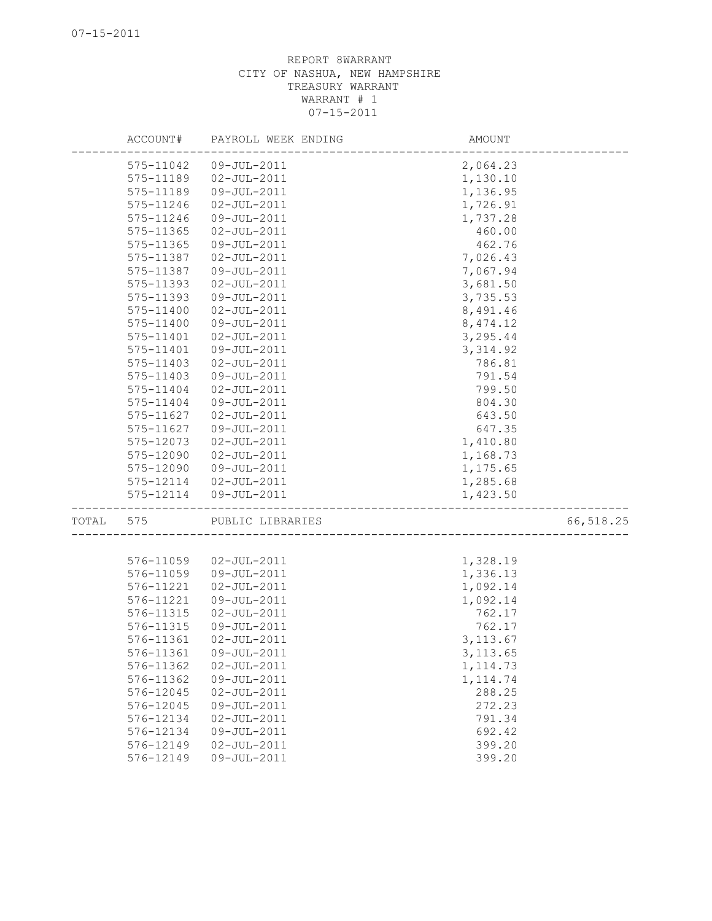|       | ACCOUNT#      | PAYROLL WEEK ENDING | AMOUNT    |           |
|-------|---------------|---------------------|-----------|-----------|
|       | 575-11042     | 09-JUL-2011         | 2,064.23  |           |
|       | 575-11189     | $02 - JUL - 2011$   | 1,130.10  |           |
|       | 575-11189     | 09-JUL-2011         | 1,136.95  |           |
|       | 575-11246     | $02 - JUL - 2011$   | 1,726.91  |           |
|       | 575-11246     | 09-JUL-2011         | 1,737.28  |           |
|       | 575-11365     | $02 - JUL - 2011$   | 460.00    |           |
|       | 575-11365     | 09-JUL-2011         | 462.76    |           |
|       | 575-11387     | $02 - JUL - 2011$   | 7,026.43  |           |
|       | 575-11387     | 09-JUL-2011         | 7,067.94  |           |
|       | $575 - 11393$ | $02 - JUL - 2011$   | 3,681.50  |           |
|       | 575-11393     | 09-JUL-2011         | 3,735.53  |           |
|       | 575-11400     | $02 - JUL - 2011$   | 8,491.46  |           |
|       | 575-11400     | 09-JUL-2011         | 8, 474.12 |           |
|       | 575-11401     | $02 - JUL - 2011$   | 3,295.44  |           |
|       | 575-11401     | 09-JUL-2011         | 3, 314.92 |           |
|       | 575-11403     | $02 - JUL - 2011$   | 786.81    |           |
|       | 575-11403     | 09-JUL-2011         | 791.54    |           |
|       | 575-11404     | $02 - JUL - 2011$   | 799.50    |           |
|       | 575-11404     | 09-JUL-2011         | 804.30    |           |
|       | 575-11627     | $02 - JUL - 2011$   | 643.50    |           |
|       | 575-11627     | 09-JUL-2011         |           |           |
|       |               | $02 - JUL - 2011$   | 647.35    |           |
|       | 575-12073     |                     | 1,410.80  |           |
|       | 575-12090     | $02 - JUL - 2011$   | 1,168.73  |           |
|       | 575-12090     | 09-JUL-2011         | 1,175.65  |           |
|       | 575-12114     | 02-JUL-2011         | 1,285.68  |           |
|       | 575-12114     | 09-JUL-2011         | 1,423.50  |           |
| TOTAL | 575           | PUBLIC LIBRARIES    |           | 66,518.25 |
|       |               |                     |           |           |
|       | 576-11059     | $02 - JUL - 2011$   | 1,328.19  |           |
|       | 576-11059     | $09 - JUL - 2011$   | 1,336.13  |           |
|       | 576-11221     | $02 - JUL - 2011$   | 1,092.14  |           |
|       | 576-11221     | 09-JUL-2011         | 1,092.14  |           |
|       | 576-11315     | $02 - JUL - 2011$   | 762.17    |           |
|       | 576-11315     | 09-JUL-2011         | 762.17    |           |
|       | 576-11361     | $02 - JUL - 2011$   | 3, 113.67 |           |
|       | 576-11361     | 09-JUL-2011         | 3, 113.65 |           |
|       | 576-11362     | $02 - JUL - 2011$   | 1, 114.73 |           |
|       | 576-11362     | 09-JUL-2011         | 1, 114.74 |           |
|       | 576-12045     | $02 - JUL - 2011$   | 288.25    |           |
|       | 576-12045     | 09-JUL-2011         | 272.23    |           |
|       | 576-12134     | $02 - JUL - 2011$   | 791.34    |           |
|       | 576-12134     | 09-JUL-2011         | 692.42    |           |
|       | 576-12149     | $02 - JUL - 2011$   | 399.20    |           |
|       | 576-12149     | 09-JUL-2011         | 399.20    |           |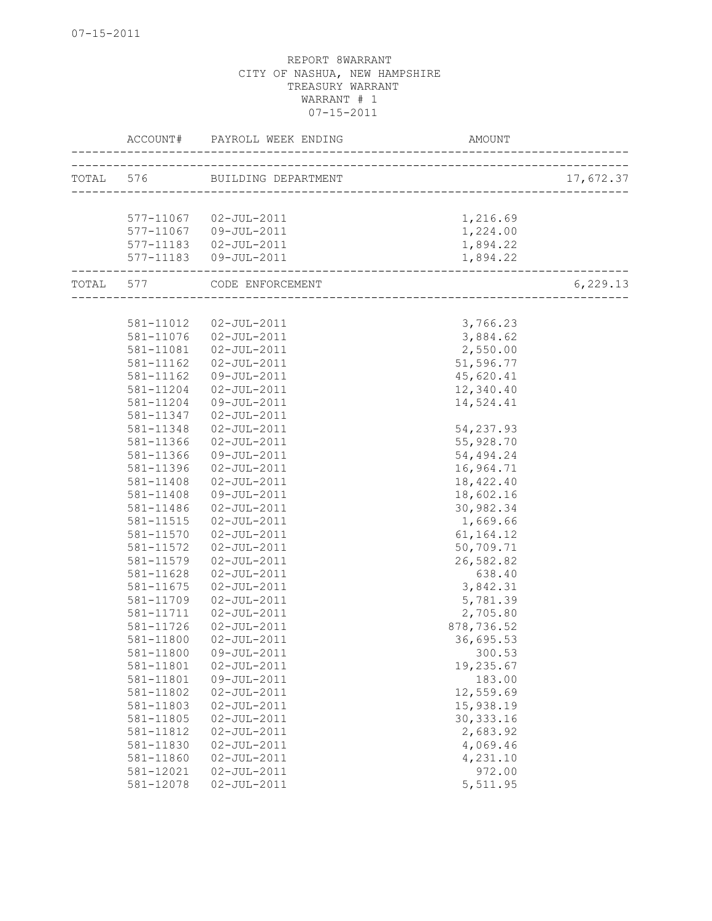|                 | ACCOUNT# PAYROLL WEEK ENDING  | AMOUNT                       |           |
|-----------------|-------------------------------|------------------------------|-----------|
|                 | TOTAL 576 BUILDING DEPARTMENT |                              | 17,672.37 |
|                 |                               |                              |           |
|                 | 577-11067  02-JUL-2011        | 1,216.69                     |           |
|                 | 577-11067 09-JUL-2011         | 1,224.00                     |           |
|                 | 577-11183  02-JUL-2011        | 1,894.22                     |           |
|                 | 577-11183  09-JUL-2011        | 1,894.22                     |           |
| --------------- | TOTAL 577 CODE ENFORCEMENT    | ---------------------------- | 6,229.13  |
|                 |                               |                              |           |
| 581-11012       | 02-JUL-2011                   | 3,766.23                     |           |
|                 | 581-11076  02-JUL-2011        | 3,884.62                     |           |
| 581-11081       | 02-JUL-2011                   | 2,550.00                     |           |
| 581-11162       | $02 - JUL - 2011$             | 51,596.77                    |           |
| 581-11162       | 09-JUL-2011                   | 45,620.41                    |           |
| 581-11204       | $02 - JUL - 2011$             | 12,340.40                    |           |
| 581-11204       | 09-JUL-2011                   | 14,524.41                    |           |
| 581-11347       | $02 - JUL - 2011$             |                              |           |
| 581-11348       | $02 - JUL - 2011$             | 54, 237.93                   |           |
| 581-11366       | $02 - JUL - 2011$             | 55,928.70                    |           |
| 581-11366       | 09-JUL-2011                   | 54,494.24                    |           |
| 581-11396       | $02 - JUL - 2011$             | 16,964.71                    |           |
| 581-11408       | $02 - JUL - 2011$             | 18,422.40                    |           |
| 581-11408       | 09-JUL-2011                   | 18,602.16                    |           |
| 581-11486       | $02 - JUL - 2011$             | 30,982.34                    |           |
| 581-11515       | $02 - JUL - 2011$             | 1,669.66                     |           |
| 581-11570       | $02 - JUL - 2011$             | 61, 164. 12                  |           |
| 581-11572       | $02 - JUL - 2011$             | 50,709.71                    |           |
| 581-11579       | 02-JUL-2011                   | 26,582.82                    |           |
| 581-11628       | $02 - JUL - 2011$             | 638.40                       |           |
| 581-11675       | $02 - JUL - 2011$             | 3,842.31                     |           |
| 581-11709       | $02 - JUL - 2011$             | 5,781.39                     |           |
| 581-11711       | $02 - JUL - 2011$             | 2,705.80                     |           |
| 581-11726       | $02 - JUL - 2011$             | 878,736.52                   |           |
| 581-11800       | $02 - JUL - 2011$             | 36,695.53                    |           |
| 581-11800       | 09-JUL-2011                   | 300.53                       |           |
| 581-11801       | $02 - JUL - 2011$             | 19,235.67                    |           |
| 581-11801       | 09-JUL-2011                   | 183.00                       |           |
| 581-11802       | $02 - JUL - 2011$             | 12,559.69                    |           |
| 581-11803       | $02 - JUL - 2011$             | 15,938.19                    |           |
| 581-11805       | $02 - JUL - 2011$             | 30, 333.16                   |           |
| 581-11812       | $02 - JUL - 2011$             | 2,683.92                     |           |
| 581-11830       | $02 - JUL - 2011$             | 4,069.46                     |           |
| 581-11860       | $02 - JUL - 2011$             | 4,231.10                     |           |
| 581-12021       | $02 - JUL - 2011$             | 972.00                       |           |
| 581-12078       | $02 - JUL - 2011$             | 5,511.95                     |           |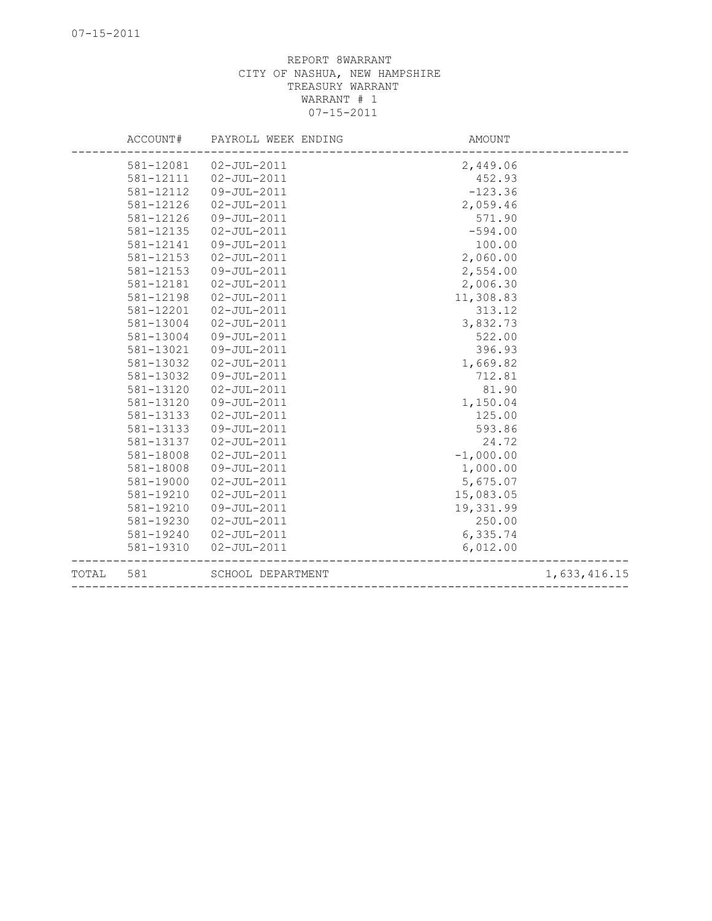| TOTAL | 581       | SCHOOL DEPARTMENT   |             | 1,633,416.15 |
|-------|-----------|---------------------|-------------|--------------|
|       | 581-19310 | $02 - JUL - 2011$   | 6,012.00    |              |
|       | 581-19240 | $02 - JUL - 2011$   | 6,335.74    |              |
|       | 581-19230 | $02 - JUL - 2011$   | 250.00      |              |
|       | 581-19210 | 09-JUL-2011         | 19,331.99   |              |
|       | 581-19210 | $02 - JUL - 2011$   | 15,083.05   |              |
|       | 581-19000 | $02 - JUL - 2011$   | 5,675.07    |              |
|       | 581-18008 | 09-JUL-2011         | 1,000.00    |              |
|       | 581-18008 | $02 - JUL - 2011$   | $-1,000.00$ |              |
|       | 581-13137 | $02 - JUL - 2011$   | 24.72       |              |
|       | 581-13133 | 09-JUL-2011         | 593.86      |              |
|       | 581-13133 | $02 - JUL - 2011$   | 125.00      |              |
|       | 581-13120 | 09-JUL-2011         | 1,150.04    |              |
|       | 581-13120 | $02 - JUL - 2011$   | 81.90       |              |
|       | 581-13032 | 09-JUL-2011         | 712.81      |              |
|       | 581-13032 | $02 - JUL - 2011$   | 1,669.82    |              |
|       | 581-13021 | 09-JUL-2011         | 396.93      |              |
|       | 581-13004 | 09-JUL-2011         | 522.00      |              |
|       | 581-13004 | $02 - JUL - 2011$   | 3,832.73    |              |
|       | 581-12201 | $02 - JUL - 2011$   | 313.12      |              |
|       | 581-12198 | $02 - JUL - 2011$   | 11,308.83   |              |
|       | 581-12181 | $02 - JUL - 2011$   | 2,006.30    |              |
|       | 581-12153 | 09-JUL-2011         | 2,554.00    |              |
|       | 581-12153 | $02 - JUL - 2011$   | 2,060.00    |              |
|       | 581-12141 | 09-JUL-2011         | 100.00      |              |
|       | 581-12135 | $02 - JUL - 2011$   | $-594.00$   |              |
|       | 581-12126 | 09-JUL-2011         | 571.90      |              |
|       | 581-12126 | $02 - JUL - 2011$   | 2,059.46    |              |
|       | 581-12112 | 09-JUL-2011         | $-123.36$   |              |
|       | 581-12111 | $02 - JUL - 2011$   | 452.93      |              |
|       | 581-12081 | $02 - JUL - 2011$   | 2,449.06    |              |
|       | ACCOUNT#  | PAYROLL WEEK ENDING | AMOUNT      |              |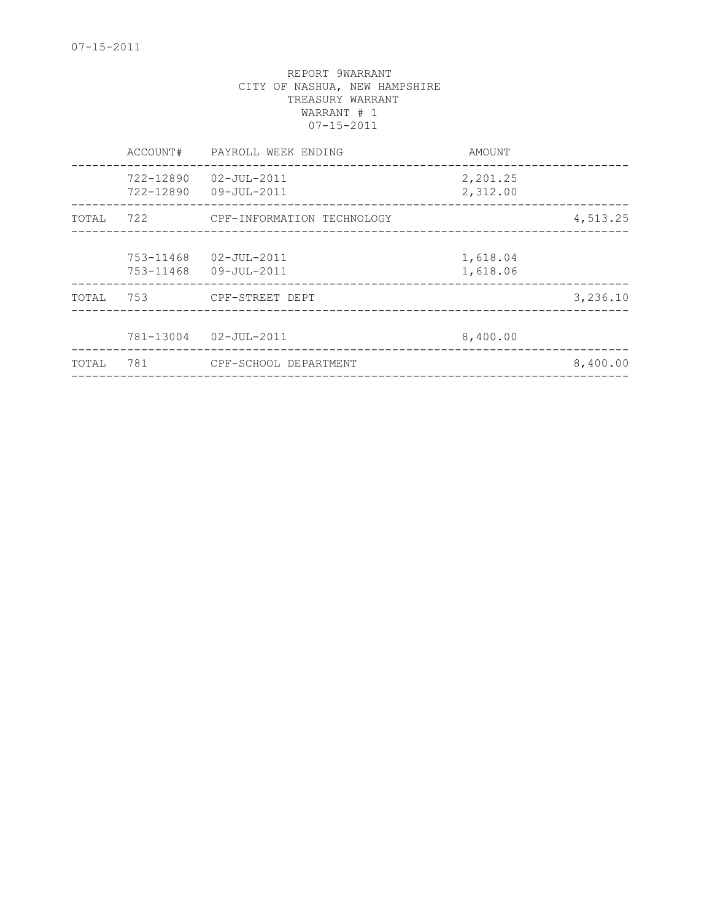| 722-12890<br>02-JUL-2011<br>2,201.25<br>722-12890<br>2,312.00<br>09-JUL-2011<br>722<br>CPF-INFORMATION TECHNOLOGY<br>TOTAL<br>753-11468<br>02-JUL-2011<br>1,618.04<br>1,618.06<br>753-11468<br>09-JUL-2011<br>753<br>CPF-STREET DEPT<br>TOTAL<br>781-13004<br>02-JUL-2011<br>8,400.00<br>781<br>CPF-SCHOOL DEPARTMENT<br>TOTAL | ACCOUNT# | PAYROLL WEEK ENDING | AMOUNT |          |
|--------------------------------------------------------------------------------------------------------------------------------------------------------------------------------------------------------------------------------------------------------------------------------------------------------------------------------|----------|---------------------|--------|----------|
|                                                                                                                                                                                                                                                                                                                                |          |                     |        |          |
|                                                                                                                                                                                                                                                                                                                                |          |                     |        | 4,513.25 |
|                                                                                                                                                                                                                                                                                                                                |          |                     |        |          |
|                                                                                                                                                                                                                                                                                                                                |          |                     |        | 3,236.10 |
|                                                                                                                                                                                                                                                                                                                                |          |                     |        |          |
|                                                                                                                                                                                                                                                                                                                                |          |                     |        | 8,400.00 |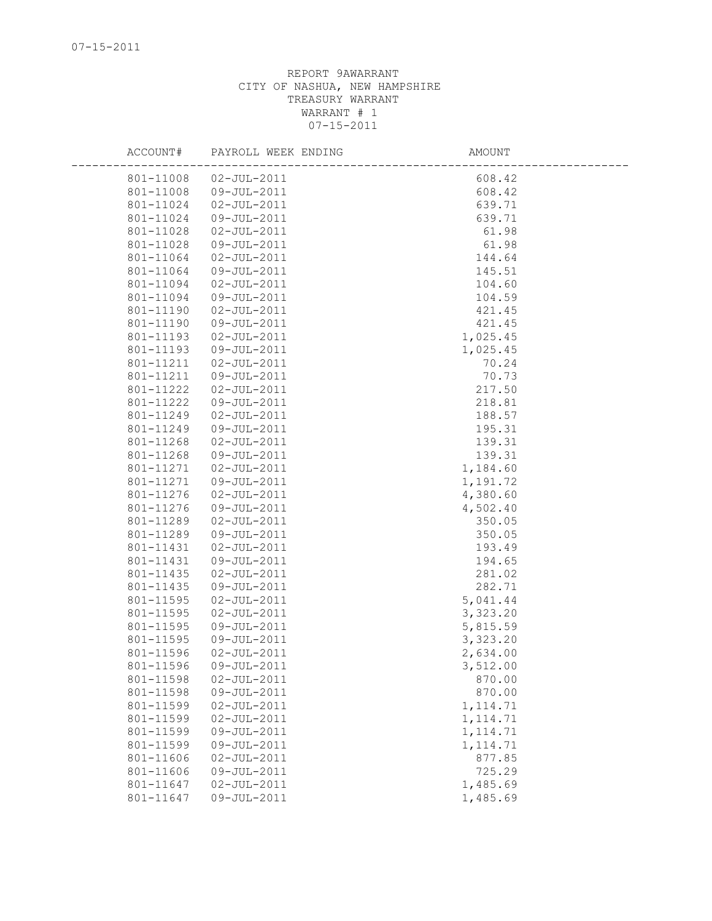| ACCOUNT#  | PAYROLL WEEK ENDING | AMOUNT    |  |
|-----------|---------------------|-----------|--|
| 801-11008 | $02 - JUL - 2011$   | 608.42    |  |
| 801-11008 | 09-JUL-2011         | 608.42    |  |
| 801-11024 | $02 - JUL - 2011$   | 639.71    |  |
| 801-11024 | 09-JUL-2011         | 639.71    |  |
| 801-11028 | $02 - JUL - 2011$   | 61.98     |  |
| 801-11028 | 09-JUL-2011         | 61.98     |  |
| 801-11064 | $02 - JUL - 2011$   | 144.64    |  |
| 801-11064 | 09-JUL-2011         | 145.51    |  |
| 801-11094 | $02 - JUL - 2011$   | 104.60    |  |
| 801-11094 | 09-JUL-2011         | 104.59    |  |
| 801-11190 | $02 - JUL - 2011$   | 421.45    |  |
| 801-11190 | 09-JUL-2011         | 421.45    |  |
| 801-11193 | $02 - JUL - 2011$   | 1,025.45  |  |
| 801-11193 | 09-JUL-2011         | 1,025.45  |  |
| 801-11211 | $02 - JUL - 2011$   | 70.24     |  |
| 801-11211 | 09-JUL-2011         | 70.73     |  |
| 801-11222 | $02 - JUL - 2011$   | 217.50    |  |
| 801-11222 | 09-JUL-2011         | 218.81    |  |
| 801-11249 | $02 - JUL - 2011$   | 188.57    |  |
| 801-11249 | 09-JUL-2011         | 195.31    |  |
| 801-11268 | $02 - JUL - 2011$   | 139.31    |  |
| 801-11268 | 09-JUL-2011         | 139.31    |  |
| 801-11271 | $02 - JUL - 2011$   | 1,184.60  |  |
| 801-11271 | 09-JUL-2011         | 1,191.72  |  |
| 801-11276 | $02 - JUL - 2011$   | 4,380.60  |  |
| 801-11276 | 09-JUL-2011         | 4,502.40  |  |
| 801-11289 | $02 - JUL - 2011$   | 350.05    |  |
| 801-11289 | 09-JUL-2011         | 350.05    |  |
| 801-11431 | $02 - JUL - 2011$   | 193.49    |  |
| 801-11431 | 09-JUL-2011         | 194.65    |  |
| 801-11435 | $02 - JUL - 2011$   | 281.02    |  |
| 801-11435 | 09-JUL-2011         | 282.71    |  |
| 801-11595 | $02 - JUL - 2011$   | 5,041.44  |  |
| 801-11595 | $02 - JUL - 2011$   | 3,323.20  |  |
| 801-11595 | 09-JUL-2011         | 5,815.59  |  |
| 801-11595 | 09-JUL-2011         | 3,323.20  |  |
| 801-11596 | $02 - JUL - 2011$   | 2,634.00  |  |
| 801-11596 | 09-JUL-2011         | 3,512.00  |  |
| 801-11598 | $02 - JUL - 2011$   | 870.00    |  |
| 801-11598 | 09-JUL-2011         | 870.00    |  |
| 801-11599 | $02 - JUL - 2011$   | 1, 114.71 |  |
| 801-11599 | $02 - JUL - 2011$   | 1, 114.71 |  |
| 801-11599 | 09-JUL-2011         | 1, 114.71 |  |
| 801-11599 | 09-JUL-2011         | 1, 114.71 |  |
| 801-11606 | $02 - JUL - 2011$   | 877.85    |  |
| 801-11606 | 09-JUL-2011         | 725.29    |  |
| 801-11647 | $02 - JUL - 2011$   | 1,485.69  |  |
| 801-11647 | 09-JUL-2011         | 1,485.69  |  |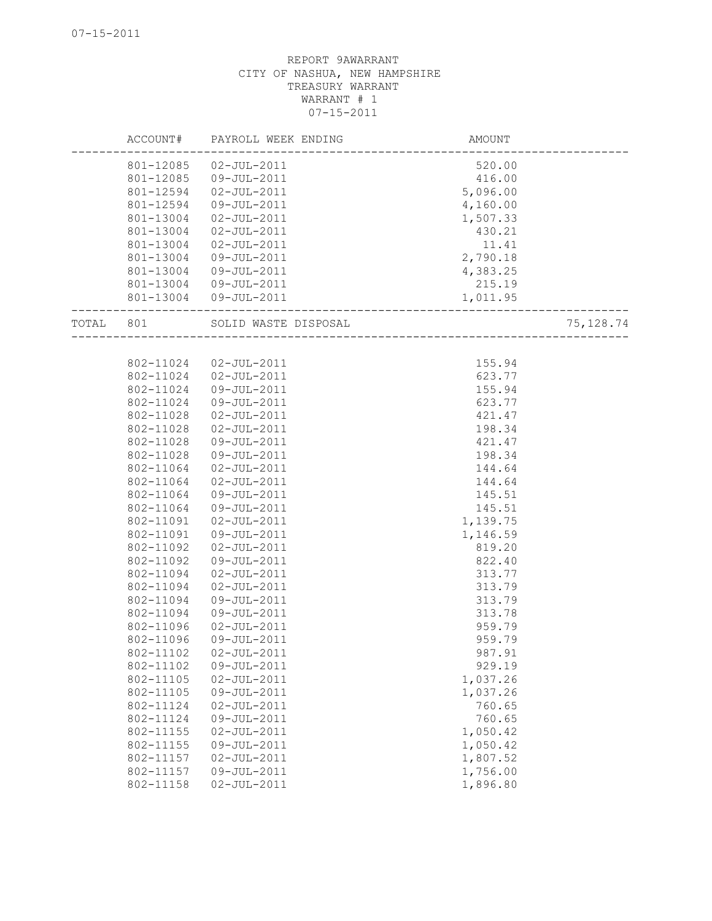|       | ACCOUNT#               | PAYROLL WEEK ENDING              | <b>AMOUNT</b>      |            |
|-------|------------------------|----------------------------------|--------------------|------------|
|       | 801-12085              | $02 - JUL - 2011$                | 520.00             |            |
|       | 801-12085              | 09-JUL-2011                      | 416.00             |            |
|       | 801-12594              | $02 - JUL - 2011$                | 5,096.00           |            |
|       | 801-12594              | 09-JUL-2011                      | 4,160.00           |            |
|       | 801-13004              | $02 - JUL - 2011$                | 1,507.33           |            |
|       | 801-13004              | $02 - JUL - 2011$                | 430.21             |            |
|       | 801-13004              | $02 - JUL - 2011$                | 11.41              |            |
|       | 801-13004              | 09-JUL-2011                      | 2,790.18           |            |
|       | 801-13004              | 09-JUL-2011                      | 4,383.25           |            |
|       | 801-13004              | 09-JUL-2011                      | 215.19             |            |
|       |                        | 801-13004 09-JUL-2011            | 1,011.95           |            |
| TOTAL | 801                    | SOLID WASTE DISPOSAL             |                    | 75, 128.74 |
|       |                        |                                  |                    |            |
|       | 802-11024              | $02 - JUL - 2011$                | 155.94             |            |
|       | 802-11024              | $02 - JUL - 2011$                | 623.77             |            |
|       | 802-11024              | 09-JUL-2011                      | 155.94             |            |
|       | 802-11024              | 09-JUL-2011                      | 623.77             |            |
|       | 802-11028              | $02 - JUL - 2011$                | 421.47             |            |
|       | 802-11028              | $02 - JUL - 2011$                | 198.34             |            |
|       | 802-11028              | 09-JUL-2011                      | 421.47             |            |
|       | 802-11028              | 09-JUL-2011                      | 198.34             |            |
|       | 802-11064              | $02 - JUL - 2011$                | 144.64             |            |
|       | 802-11064              | $02 - JUL - 2011$                | 144.64             |            |
|       | 802-11064              | 09-JUL-2011                      | 145.51             |            |
|       | 802-11064              | 09-JUL-2011                      | 145.51             |            |
|       | 802-11091<br>802-11091 | $02 - JUL - 2011$<br>09-JUL-2011 | 1,139.75           |            |
|       | 802-11092              | $02 - JUL - 2011$                | 1,146.59<br>819.20 |            |
|       | 802-11092              | 09-JUL-2011                      | 822.40             |            |
|       | 802-11094              | $02 - JUL - 2011$                | 313.77             |            |
|       | 802-11094              | $02 - JUL - 2011$                | 313.79             |            |
|       | 802-11094              | 09-JUL-2011                      | 313.79             |            |
|       | 802-11094              | 09-JUL-2011                      | 313.78             |            |
|       | 802-11096              | $02 - JUL - 2011$                | 959.79             |            |
|       | 802-11096              | 09-JUL-2011                      | 959.79             |            |
|       | 802-11102              | 02-JUL-2011                      | 987.91             |            |
|       | 802-11102              | 09-JUL-2011                      | 929.19             |            |
|       | 802-11105              | $02 - JUL - 2011$                | 1,037.26           |            |
|       | 802-11105              | 09-JUL-2011                      | 1,037.26           |            |
|       | 802-11124              | $02 - JUL - 2011$                | 760.65             |            |
|       | 802-11124              | 09-JUL-2011                      | 760.65             |            |
|       | 802-11155              | $02 - JUL - 2011$                | 1,050.42           |            |
|       | 802-11155              | 09-JUL-2011                      | 1,050.42           |            |
|       | 802-11157              | $02 - JUL - 2011$                | 1,807.52           |            |
|       | 802-11157              | 09-JUL-2011                      | 1,756.00           |            |
|       | 802-11158              | $02 - JUL - 2011$                | 1,896.80           |            |
|       |                        |                                  |                    |            |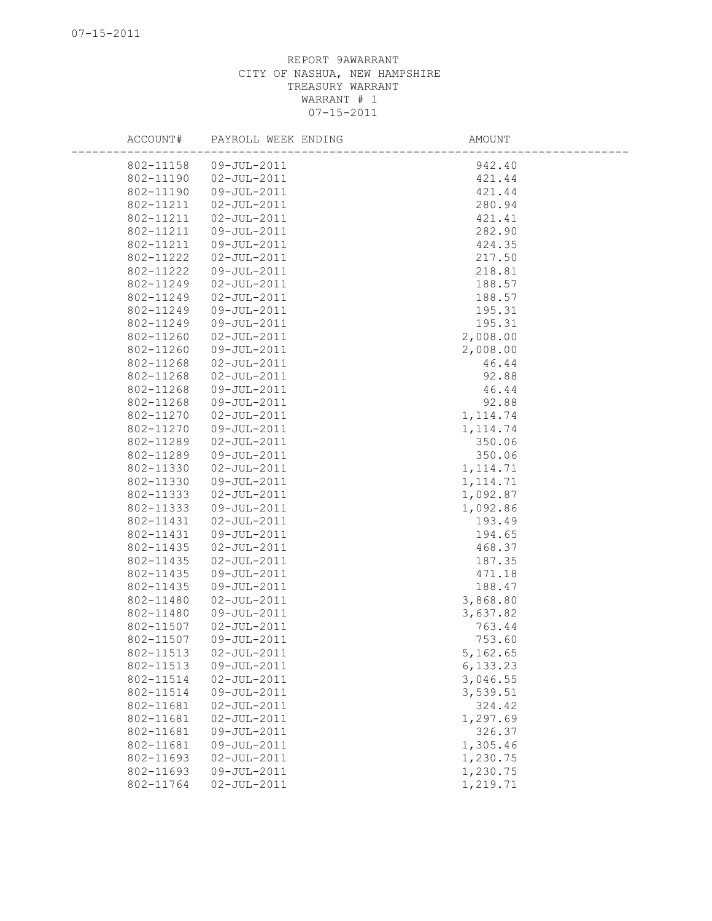| ACCOUNT#  | PAYROLL WEEK ENDING | AMOUNT    |
|-----------|---------------------|-----------|
| 802-11158 | 09-JUL-2011         | 942.40    |
| 802-11190 | $02 - JUL - 2011$   | 421.44    |
| 802-11190 | 09-JUL-2011         | 421.44    |
| 802-11211 | $02 - JUL - 2011$   | 280.94    |
| 802-11211 | $02 - JUL - 2011$   | 421.41    |
| 802-11211 | 09-JUL-2011         | 282.90    |
| 802-11211 | 09-JUL-2011         | 424.35    |
| 802-11222 | $02 - JUL - 2011$   | 217.50    |
| 802-11222 | 09-JUL-2011         | 218.81    |
| 802-11249 | $02 - JUL - 2011$   | 188.57    |
| 802-11249 | $02 - JUL - 2011$   | 188.57    |
| 802-11249 | 09-JUL-2011         | 195.31    |
| 802-11249 | 09-JUL-2011         | 195.31    |
| 802-11260 | $02 - JUL - 2011$   | 2,008.00  |
| 802-11260 | 09-JUL-2011         | 2,008.00  |
| 802-11268 | $02 - JUL - 2011$   | 46.44     |
| 802-11268 | $02 - JUL - 2011$   | 92.88     |
| 802-11268 | 09-JUL-2011         | 46.44     |
| 802-11268 | 09-JUL-2011         | 92.88     |
| 802-11270 | $02 - JUL - 2011$   | 1, 114.74 |
| 802-11270 | 09-JUL-2011         | 1, 114.74 |
| 802-11289 | $02 - JUL - 2011$   | 350.06    |
| 802-11289 | 09-JUL-2011         | 350.06    |
| 802-11330 | $02 - JUL - 2011$   | 1, 114.71 |
| 802-11330 | 09-JUL-2011         | 1, 114.71 |
| 802-11333 | $02 - JUL - 2011$   | 1,092.87  |
| 802-11333 | 09-JUL-2011         | 1,092.86  |
| 802-11431 | $02 - JUL - 2011$   | 193.49    |
| 802-11431 | $09 - JUL - 2011$   | 194.65    |
| 802-11435 | $02 - JUL - 2011$   | 468.37    |
| 802-11435 | $02 - JUL - 2011$   | 187.35    |
| 802-11435 | 09-JUL-2011         | 471.18    |
| 802-11435 | 09-JUL-2011         | 188.47    |
| 802-11480 | $02 - JUL - 2011$   | 3,868.80  |
| 802-11480 | 09-JUL-2011         | 3,637.82  |
| 802-11507 | $02 - JUL - 2011$   | 763.44    |
| 802-11507 | 09-JUL-2011         | 753.60    |
| 802-11513 | $02 - JUL - 2011$   | 5,162.65  |
| 802-11513 | 09-JUL-2011         | 6,133.23  |
| 802-11514 | $02 - JUL - 2011$   | 3,046.55  |
| 802-11514 | 09-JUL-2011         | 3,539.51  |
| 802-11681 | $02 - JUL - 2011$   | 324.42    |
| 802-11681 | $02 - JUL - 2011$   | 1,297.69  |
| 802-11681 | 09-JUL-2011         | 326.37    |
| 802-11681 | $09 - JUL - 2011$   | 1,305.46  |
| 802-11693 | $02 - JUL - 2011$   | 1,230.75  |
| 802-11693 | 09-JUL-2011         | 1,230.75  |
| 802-11764 | $02 - JUL - 2011$   | 1,219.71  |